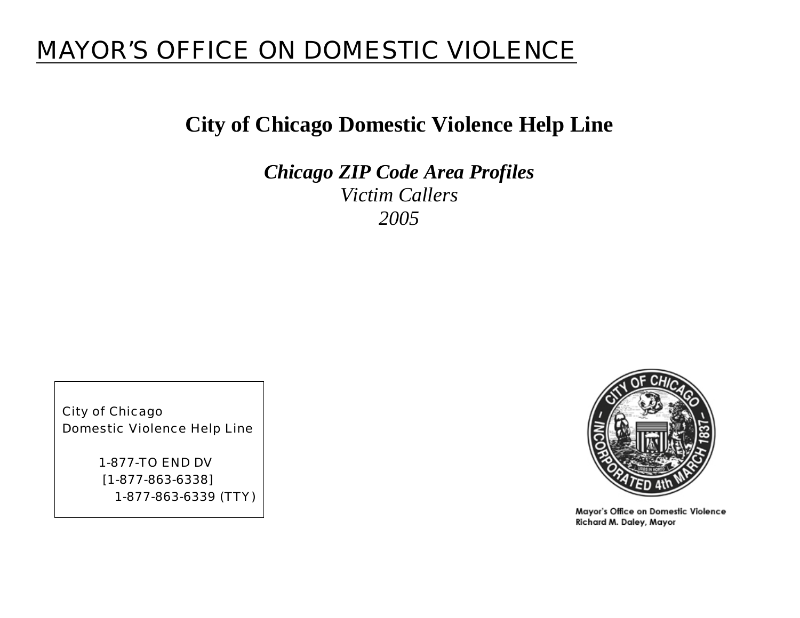# MAYOR'S OFFICE ON DOMESTIC VIOLENCE

# **City of Chicago Domestic Violence Help Line**

*Chicago ZIP Code Area Profiles Victim Callers 2005* 

City of Chicago Domestic Violence Help Line

> 1-877-TO END DV [1-877-863-6338] 1-877-863-6339 (TTY)



Mayor's Office on Domestic Violence Richard M. Daley, Mayor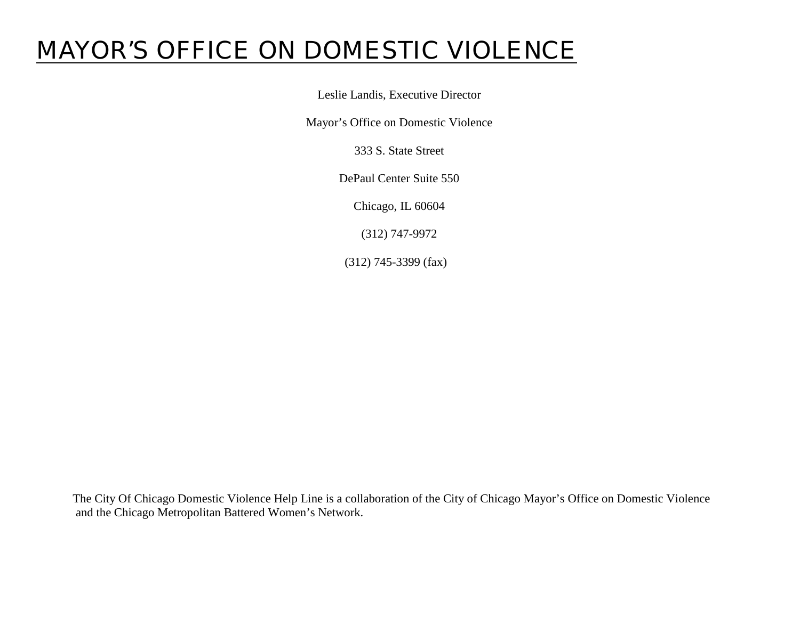# MAYOR'S OFFICE ON DOMESTIC VIOLENCE

Leslie Landis, Executive Director

Mayor's Office on Domestic Violence

333 S. State Street

DePaul Center Suite 550

Chicago, IL 60604

(312) 747-9972

(312) 745-3399 (fax)

The City Of Chicago Domestic Violence Help Line is a collaboration of the City of Chicago Mayor's Office on Domestic Violence and the Chicago Metropolitan Battered Women's Network.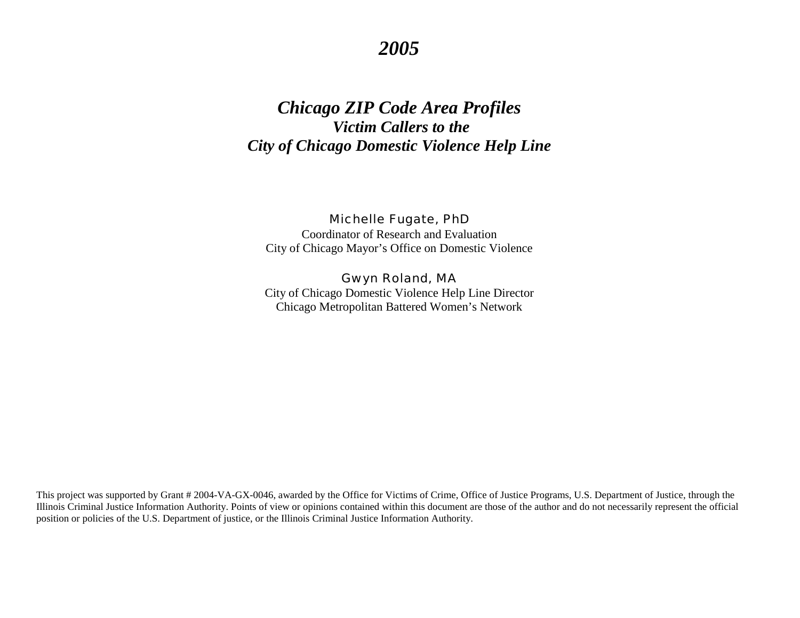# *2005*

# *Chicago ZIP Code Area Profiles Victim Callers to the City of Chicago Domestic Violence Help Line*

Michelle Fugate, PhD Coordinator of Research and Evaluation City of Chicago Mayor's Office on Domestic Violence

Gwyn Roland, MA City of Chicago Domestic Violence Help Line Director Chicago Metropolitan Battered Women's Network

This project was supported by Grant # 2004-VA-GX-0046, awarded by the Office for Victims of Crime, Office of Justice Programs, U.S. Department of Justice, through the Illinois Criminal Justice Information Authority. Points of view or opinions contained within this document are those of the author and do not necessarily represent the official position or policies of the U.S. Department of justice, or the Illinois Criminal Justice Information Authority.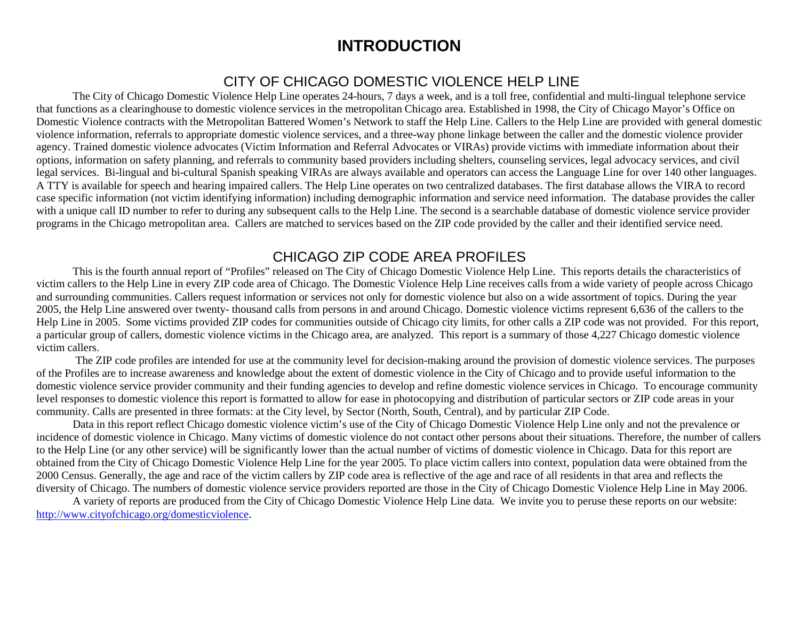# **INTRODUCTION**

## CITY OF CHICAGO DOMESTIC VIOLENCE HELP LINE

<span id="page-3-0"></span>The City of Chicago Domestic Violence Help Line operates 24-hours, 7 days a week, and is a toll free, confidential and multi-lingual telephone service that functions as a clearinghouse to domestic violence services in the metropolitan Chicago area. Established in 1998, the City of Chicago Mayor's Office on Domestic Violence contracts with the Metropolitan Battered Women's Network to staff the Help Line. Callers to the Help Line are provided with general domestic violence information, referrals to appropriate domestic violence services, and a three-way phone linkage between the caller and the domestic violence provider agency. Trained domestic violence advocates (Victim Information and Referral Advocates or VIRAs) provide victims with immediate information about their options, information on safety planning, and referrals to community based providers including shelters, counseling services, legal advocacy services, and civil legal services. Bi-lingual and bi-cultural Spanish speaking VIRAs are always available and operators can access the Language Line for over 140 other languages. A TTY is available for speech and hearing impaired callers. The Help Line operates on two centralized databases. The first database allows the VIRA to record case specific information (not victim identifying information) including demographic information and service need information. The database provides the caller with a unique call ID number to refer to during any subsequent calls to the Help Line. The second is a searchable database of domestic violence service provider programs in the Chicago metropolitan area. Callers are matched to services based on the ZIP code provided by the caller and their identified service need.

### CHICAGO ZIP CODE AREA PROFILES

This is the fourth annual report of "Profiles" released on The City of Chicago Domestic Violence Help Line. This reports details the characteristics of victim callers to the Help Line in every ZIP code area of Chicago. The Domestic Violence Help Line receives calls from a wide variety of people across Chicago and surrounding communities. Callers request information or services not only for domestic violence but also on a wide assortment of topics. During the year 2005, the Help Line answered over twenty- thousand calls from persons in and around Chicago. Domestic violence victims represent 6,636 of the callers to the Help Line in 2005. Some victims provided ZIP codes for communities outside of Chicago city limits, for other calls a ZIP code was not provided. For this report, a particular group of callers, domestic violence victims in the Chicago area, are analyzed. This report is a summary of those 4,227 Chicago domestic violence victim callers.

 The ZIP code profiles are intended for use at the community level for decision-making around the provision of domestic violence services. The purposes of the Profiles are to increase awareness and knowledge about the extent of domestic violence in the City of Chicago and to provide useful information to the domestic violence service provider community and their funding agencies to develop and refine domestic violence services in Chicago. To encourage community level responses to domestic violence this report is formatted to allow for ease in photocopying and distribution of particular sectors or ZIP code areas in your community. Calls are presented in three formats: at the City level, by Sector (North, South, Central), and by particular ZIP Code.

Data in this report reflect Chicago domestic violence victim's use of the City of Chicago Domestic Violence Help Line only and not the prevalence or incidence of domestic violence in Chicago. Many victims of domestic violence do not contact other persons about their situations. Therefore, the number of callers to the Help Line (or any other service) will be significantly lower than the actual number of victims of domestic violence in Chicago. Data for this report are obtained from the City of Chicago Domestic Violence Help Line for the year 2005. To place victim callers into context, population data were obtained from the 2000 Census. Generally, the age and race of the victim callers by ZIP code area is reflective of the age and race of all residents in that area and reflects the diversity of Chicago. The numbers of domestic violence service providers reported are those in the City of Chicago Domestic Violence Help Line in May 2006.

 A variety of reports are produced from the City of Chicago Domestic Violence Help Line data. We invite you to peruse these reports on our website: [http://www.cityofchicago.org/domesticviolence.](http://egov.cityofchicago.org/city/webportal/portalDeptCategoryAction.do?deptCategoryOID=-536894841&contentType=COC_EDITORIAL&topChannelName=SubAgency&entityName=Domestic+Violence&deptMainCategoryOID=-536888446)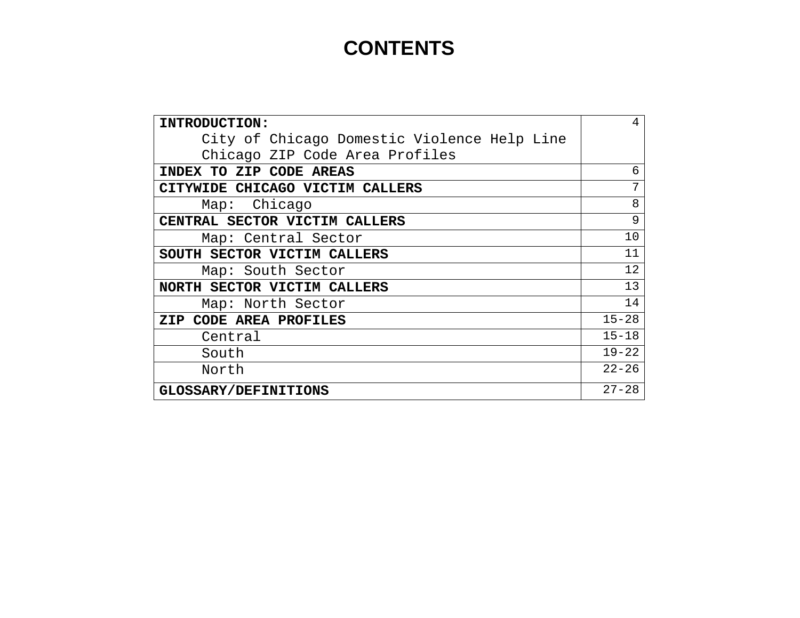# **CONTENTS**

| INTRODUCTION:                               | 4         |
|---------------------------------------------|-----------|
| City of Chicago Domestic Violence Help Line |           |
| Chicago ZIP Code Area Profiles              |           |
| INDEX TO ZIP CODE AREAS                     | 6         |
| CITYWIDE CHICAGO VICTIM CALLERS             | 7         |
| Chicago<br>Map:                             | 8         |
| CENTRAL SECTOR VICTIM CALLERS               | 9         |
| Map: Central Sector                         | 10        |
| SOUTH SECTOR VICTIM CALLERS                 | 11        |
| Map: South Sector                           | 12        |
| NORTH SECTOR VICTIM CALLERS                 | 13        |
| Map: North Sector                           | 14        |
| ZIP CODE AREA PROFILES                      | $15 - 28$ |
| Central                                     | $15 - 18$ |
| South                                       | $19 - 22$ |
| North                                       | $22 - 26$ |
| <b>GLOSSARY/DEFINITIONS</b>                 | $27 - 28$ |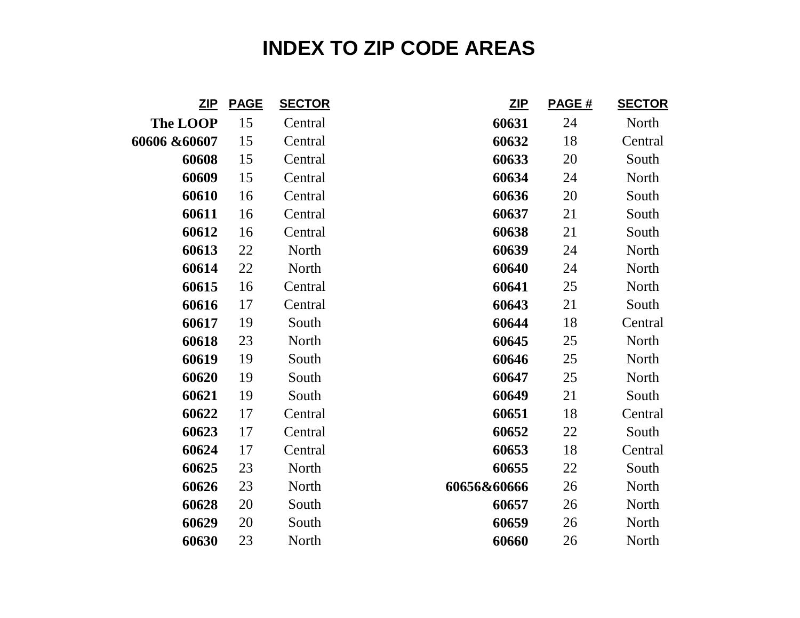# **INDEX TO ZIP CODE AREAS**

<span id="page-5-0"></span>

| <u>ZIP</u>      | <b>PAGE</b> | <b>SECTOR</b> | ZIP         | PAGE # | <b>SECTOR</b> |
|-----------------|-------------|---------------|-------------|--------|---------------|
| <b>The LOOP</b> | 15          | Central       | 60631       | 24     | North         |
| 60606 &60607    | 15          | Central       | 60632       | 18     | Central       |
| 60608           | 15          | Central       | 60633       | 20     | South         |
| 60609           | 15          | Central       | 60634       | 24     | North         |
| 60610           | 16          | Central       | 60636       | 20     | South         |
| 60611           | 16          | Central       | 60637       | 21     | South         |
| 60612           | 16          | Central       | 60638       | 21     | South         |
| 60613           | 22          | North         | 60639       | 24     | North         |
| 60614           | 22          | North         | 60640       | 24     | North         |
| 60615           | 16          | Central       | 60641       | 25     | North         |
| 60616           | 17          | Central       | 60643       | 21     | South         |
| 60617           | 19          | South         | 60644       | 18     | Central       |
| 60618           | 23          | North         | 60645       | 25     | North         |
| 60619           | 19          | South         | 60646       | 25     | North         |
| 60620           | 19          | South         | 60647       | 25     | North         |
| 60621           | 19          | South         | 60649       | 21     | South         |
| 60622           | 17          | Central       | 60651       | 18     | Central       |
| 60623           | 17          | Central       | 60652       | 22     | South         |
| 60624           | 17          | Central       | 60653       | 18     | Central       |
| 60625           | 23          | North         | 60655       | 22     | South         |
| 60626           | 23          | North         | 60656&60666 | 26     | North         |
| 60628           | 20          | South         | 60657       | 26     | North         |
| 60629           | 20          | South         | 60659       | 26     | North         |
| 60630           | 23          | North         | 60660       | 26     | North         |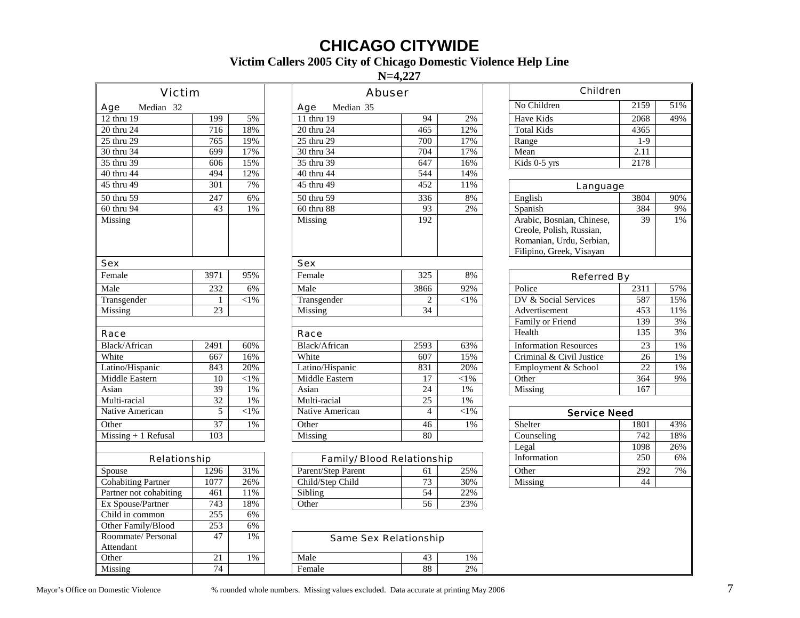# **CHICAGO CITYWIDE**

#### **Victim Callers 2005 City of Chicago Domestic Violence Help Line**

**N=4,227** 

<span id="page-6-0"></span>

| Victim                    |                  |            | Abuser                     |                 |                   | Children                                                                                                      |                 |       |
|---------------------------|------------------|------------|----------------------------|-----------------|-------------------|---------------------------------------------------------------------------------------------------------------|-----------------|-------|
| Median 32<br>Age          |                  |            | Median 35<br>Age           |                 |                   | No Children                                                                                                   | 2159            | 51%   |
| $12$ thru $19$            | 199              | 5%         | 11 thru 19                 | 94              | 2%                | <b>Have Kids</b>                                                                                              | 2068            | 49%   |
| 20 thru 24                | 716              | 18%        | 20 thru 24                 | 465             | 12%               | <b>Total Kids</b>                                                                                             | 4365            |       |
| 25 thru 29                | 765              | 19%        | 25 thru 29                 | 700             | 17%               | Range                                                                                                         | $1-9$           |       |
| 30 thru 34                | 699              | 17%        | 30 thru 34                 | 704             | 17%               | Mean                                                                                                          | 2.11            |       |
| $35$ thru 39              | 606              | 15%        | 35 thru 39                 | 647             | 16%               | Kids 0-5 yrs                                                                                                  | 2178            |       |
| 40 thru 44                | 494              | 12%        | 40 thru 44                 | 544             | 14%               |                                                                                                               |                 |       |
| 45 thru 49                | $\overline{301}$ | 7%         | 45 thru 49                 | 452             | 11%               | Language                                                                                                      |                 |       |
| 50 thru 59                | 247              | 6%         | 50 thru 59                 | 336             | 8%                | English                                                                                                       | 3804            | 90%   |
| 60 thru 94                | 43               | 1%         | 60 thru 88                 | 93              | 2%                | Spanish                                                                                                       | 384             | 9%    |
| Missing                   |                  |            | Missing                    | 192             |                   | Arabic, Bosnian, Chinese,<br>Creole, Polish, Russian,<br>Romanian, Urdu, Serbian,<br>Filipino, Greek, Visayan | 39              | 1%    |
| Sex                       |                  |            | Sex                        |                 |                   |                                                                                                               |                 |       |
| Female                    | 3971             | 95%        | Female                     | 325             | 8%                | Referred By                                                                                                   |                 |       |
| Male                      | 232              | 6%         | Male                       | 3866            | 92%               | Police                                                                                                        | 2311            | 57%   |
| Transgender               | $\mathbf{1}$     | ${<}1\%$   | Transgender                | $\overline{2}$  | $\overline{<}1\%$ | DV & Social Services                                                                                          | 587             | 15%   |
| Missing                   | $\overline{23}$  |            | Missing                    | $\overline{34}$ |                   | Advertisement                                                                                                 | 453             | 11%   |
|                           |                  |            |                            |                 |                   | Family or Friend                                                                                              | 139             | 3%    |
| Race                      |                  |            | Race                       |                 |                   | Health                                                                                                        | 135             | 3%    |
| Black/African             | 2491             | 60%        | Black/African              | 2593            | 63%               | <b>Information Resources</b>                                                                                  | $\overline{23}$ | $1\%$ |
| White                     | 667              | 16%        | White                      | 607             | 15%               | Criminal & Civil Justice                                                                                      | 26              | $1\%$ |
| Latino/Hispanic           | 843              | 20%        | Latino/Hispanic            | 831             | 20%               | Employment & School                                                                                           | $\overline{22}$ | 1%    |
| Middle Eastern            | 10               | $<\!\!1\%$ | Middle Eastern             | 17              | $<$ l $%$         | Other                                                                                                         | 364             | 9%    |
| Asian                     | 39               | 1%         | Asian                      | $\overline{24}$ | $1\%$             | Missing                                                                                                       | 167             |       |
| Multi-racial              | $\overline{32}$  | 1%         | Multi-racial               | $\overline{25}$ | 1%                |                                                                                                               |                 |       |
| Native American           | 5                | $<\!\!1\%$ | Native American            | $\overline{4}$  | $<\!\!1\%$        | <b>Service Need</b>                                                                                           |                 |       |
| Other                     | 37               | 1%         | Other                      | 46              | 1%                | Shelter                                                                                                       | 1801            | 43%   |
| $Missing + 1$ Refusal     | 103              |            | Missing                    | 80              |                   | Counseling                                                                                                    | 742             | 18%   |
|                           |                  |            |                            |                 |                   | Legal                                                                                                         | 1098            | 26%   |
| Relationship              |                  |            | Family/ Blood Relationship |                 |                   | Information                                                                                                   | 250             | 6%    |
| Spouse                    | 1296             | 31%        | Parent/Step Parent         | 61              | 25%               | Other                                                                                                         | 292             | 7%    |
| <b>Cohabiting Partner</b> | 1077             | 26%        | Child/Step Child           | 73              | 30%               | Missing                                                                                                       | 44              |       |
| Partner not cohabiting    | 461              | 11%        | Sibling                    | 54              | 22%               |                                                                                                               |                 |       |
| Ex Spouse/Partner         | 743              | 18%        | Other                      | 56              | 23%               |                                                                                                               |                 |       |
| Child in common           | $\overline{255}$ | 6%         |                            |                 |                   |                                                                                                               |                 |       |
| Other Family/Blood        | $\overline{253}$ | 6%         |                            |                 |                   |                                                                                                               |                 |       |
| Roommate/ Personal        | 47               | 1%         | Same Sex Relationship      |                 |                   |                                                                                                               |                 |       |
| Attendant                 |                  |            |                            |                 |                   |                                                                                                               |                 |       |
| Other                     | 21               | 1%         | Male                       | 43              | $1\%$             |                                                                                                               |                 |       |

Missing 1992 1994 1994 | Female 1998 | 2%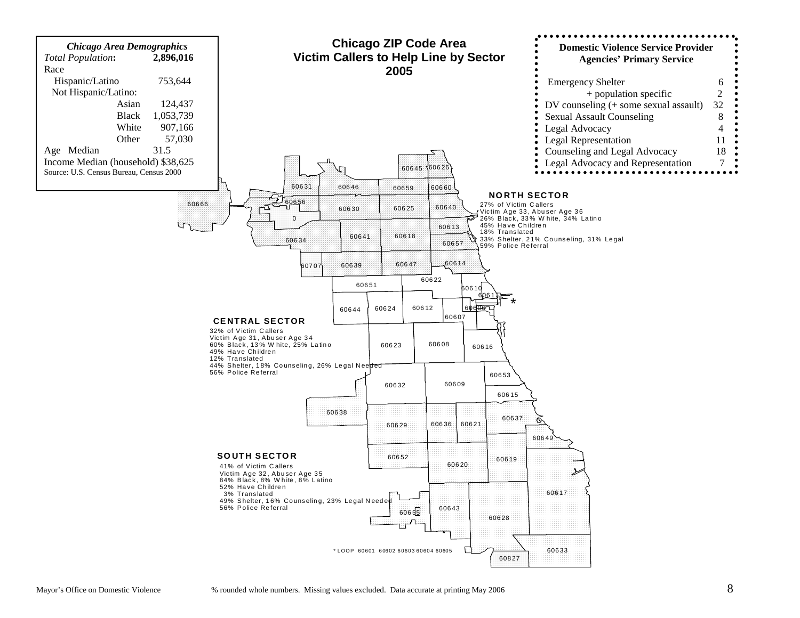<span id="page-7-0"></span>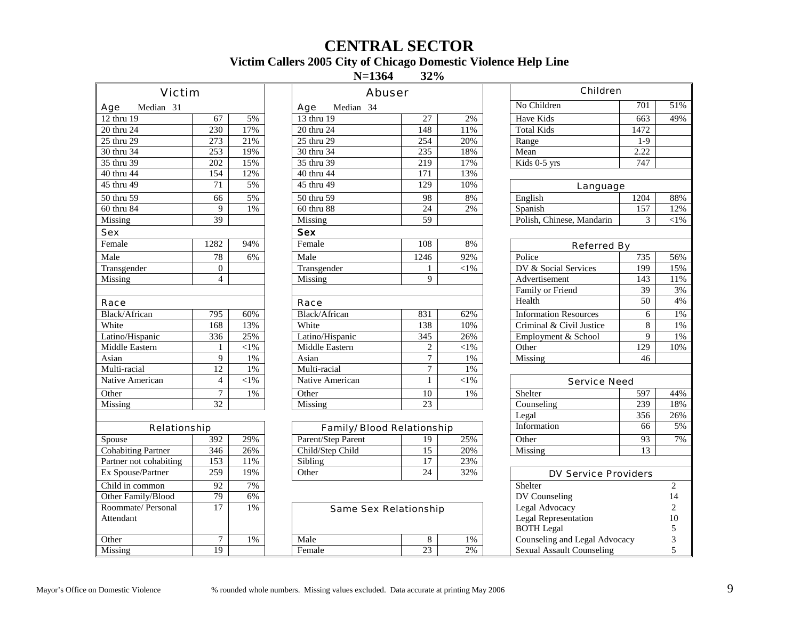# **CENTRAL SECTOR**

#### **Victim Callers 2005 City of Chicago Domestic Violence Help Line**

**N=1364**  $32%$ 

<span id="page-8-0"></span>

| Victim                    |                  |           | Abuser                     |                  |           | Children                         |                 |                |
|---------------------------|------------------|-----------|----------------------------|------------------|-----------|----------------------------------|-----------------|----------------|
| Median 31<br>Age          |                  |           | Median 34<br>Age           |                  |           | No Children                      | 701             | 51%            |
| 12 thru 19                | 67               | 5%        | 13 thru 19                 | 27               | 2%        | <b>Have Kids</b>                 | 663             | 49%            |
| 20 thru 24                | 230              | 17%       | 20 thru 24                 | 148              | 11%       | <b>Total Kids</b>                | 1472            |                |
| 25 thru 29                | 273              | 21%       | 25 thru 29                 | 254              | 20%       | Range                            | $1-9$           |                |
| 30 thru 34                | $\overline{253}$ | 19%       | 30 thru 34                 | 235              | 18%       | Mean                             | 2.22            |                |
| 35 thru 39                | $\overline{202}$ | 15%       | 35 thru 39                 | $\overline{219}$ | 17%       | $\overline{\text{Kids}}$ 0-5 yrs | 747             |                |
| 40 thru 44                | 154              | 12%       | 40 thru 44                 | $\overline{171}$ | 13%       |                                  |                 |                |
| 45 thru 49                | 71               | 5%        | 45 thru 49                 | 129              | 10%       | Language                         |                 |                |
| 50 thru 59                | 66               | 5%        | 50 thru 59                 | 98               | 8%        | English                          | 1204            | 88%            |
| 60 thru 84                | 9                | 1%        | 60 thru 88                 | 24               | 2%        | Spanish                          | 157             | 12%            |
| Missing                   | 39               |           | Missing                    | 59               |           | Polish, Chinese, Mandarin        | 3               | $<$ 1%         |
| Sex                       |                  |           | <b>Sex</b>                 |                  |           |                                  |                 |                |
| Female                    | 1282             | 94%       | Female                     | 108              | 8%        | Referred By                      |                 |                |
| Male                      | 78               | 6%        | Male                       | 1246             | 92%       | Police                           | 735             | 56%            |
| Transgender               | $\Omega$         |           | Transgender                | 1                | $<$ 1%    | DV & Social Services             | 199             | 15%            |
| Missing                   | $\overline{4}$   |           | Missing                    | 9                |           | Advertisement                    | 143             | 11%            |
|                           |                  |           |                            |                  |           | Family or Friend                 | $\overline{39}$ | 3%             |
| Race                      |                  |           | Race                       |                  |           | Health                           | 50              | 4%             |
| Black/African             | 795              | 60%       | <b>Black/African</b>       | 831              | 62%       | <b>Information Resources</b>     | 6               | $1\%$          |
| White                     | 168              | 13%       | White                      | 138              | 10%       | Criminal & Civil Justice         | $\overline{8}$  | $1\%$          |
| Latino/Hispanic           | 336              | 25%       | Latino/Hispanic            | 345              | 26%       | Employment & School              | 9               | 1%             |
| Middle Eastern            | $\mathbf{1}$     | $<$ l $%$ | Middle Eastern             | $\mathbf{2}$     | $<$ l $%$ | Other                            | 129             | 10%            |
| Asian                     | 9                | 1%        | Asian                      | $\overline{7}$   | 1%        | Missing                          | 46              |                |
| Multi-racial              | $\overline{12}$  | 1%        | Multi-racial               | $\tau$           | 1%        |                                  |                 |                |
| Native American           | $\overline{4}$   | ${<}1\%$  | Native American            | $\mathbf{1}$     | $<$ 1%    | Service Need                     |                 |                |
| Other                     | $\tau$           | $1\%$     | Other                      | 10               | 1%        | Shelter                          | 597             | 44%            |
| Missing                   | 32               |           | Missing                    | $\overline{23}$  |           | Counseling                       | 239             | 18%            |
|                           |                  |           |                            |                  |           | Legal                            | 356             | 26%            |
| Relationship              |                  |           | Family/ Blood Relationship |                  |           | Information                      | 66              | 5%             |
| Spouse                    | $\overline{392}$ | 29%       | Parent/Step Parent         | 19               | 25%       | Other                            | $\overline{93}$ | 7%             |
| <b>Cohabiting Partner</b> | $\overline{346}$ | 26%       | Child/Step Child           | $\overline{15}$  | 20%       | Missing                          | 13              |                |
| Partner not cohabiting    | 153              | 11%       | Sibling                    | 17               | 23%       |                                  |                 |                |
| Ex Spouse/Partner         | 259              | 19%       | Other                      | $\overline{24}$  | 32%       | DV Service Providers             |                 |                |
| Child in common           | 92               | 7%        |                            |                  |           | Shelter                          |                 | $\overline{c}$ |
| Other Family/Blood        | $\overline{79}$  | 6%        |                            |                  |           | DV Counseling                    |                 | 14             |
| Roommate/ Personal        | 17               | $1\%$     | Same Sex Relationship      |                  |           | Legal Advocacy                   |                 | $\overline{c}$ |
| Attendant                 |                  |           |                            |                  |           | Legal Representation             |                 | 10             |
|                           |                  |           |                            |                  |           | <b>BOTH</b> Legal                |                 | 5              |
| Other                     | $\tau$           | 1%        | Male                       | 8                | 1%        | Counseling and Legal Advocacy    |                 | 3              |
| Missing                   | 19               |           | Female                     | 23               | 2%        | <b>Sexual Assault Counseling</b> |                 | 5              |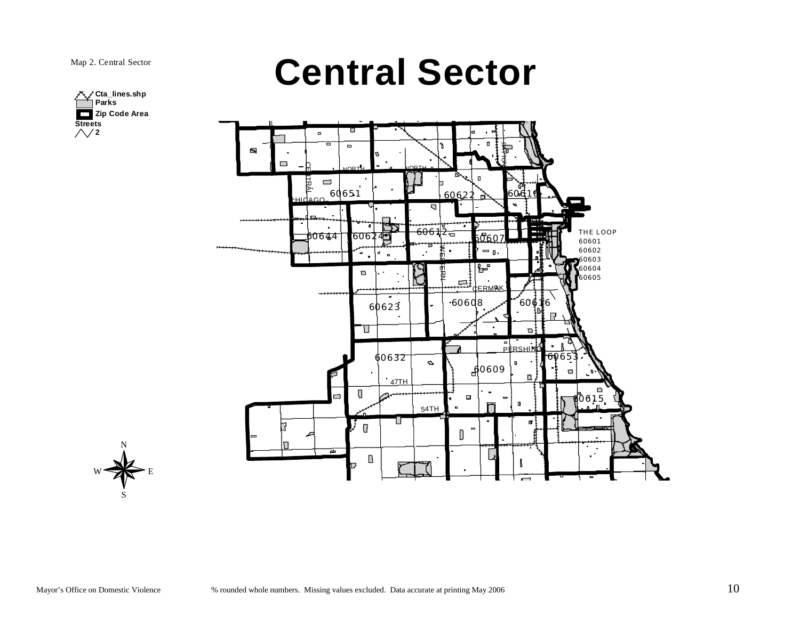

<span id="page-9-0"></span>



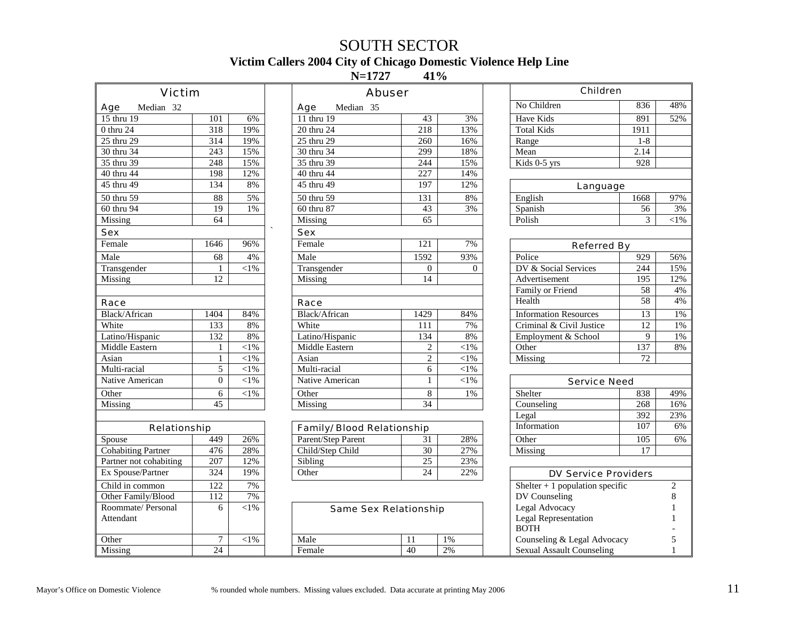# SOUTH SECTOR **Victim Callers 2004 City of Chicago Domestic Violence Help Line**

 $N=1727$ 41%

<span id="page-10-0"></span>

| Victim                    |                  |            | Abuser                     |                 |            | Children                         |                  |                |
|---------------------------|------------------|------------|----------------------------|-----------------|------------|----------------------------------|------------------|----------------|
| Median 32<br>Age          |                  |            | Median 35<br>Age           |                 |            | No Children                      | 836              | 48%            |
| 15 thru 19                | 101              | 6%         | 11 thru 19                 | 43              | 3%         | Have Kids                        | 891              | 52%            |
| 0 thru 24                 | 318              | 19%        | 20 thru 24                 | 218             | 13%        | <b>Total Kids</b>                | 1911             |                |
| 25 thru 29                | 314              | 19%        | 25 thru 29                 | 260             | 16%        | Range                            | $1-8$            |                |
| 30 thru 34                | 243              | 15%        | 30 thru 34                 | 299             | 18%        | Mean                             | 2.14             |                |
| 35 thru 39                | 248              | 15%        | 35 thru 39                 | 244             | 15%        | Kids 0-5 yrs                     | $\overline{928}$ |                |
| 40 thru 44                | 198              | 12%        | 40 thru 44                 | 227             | 14%        |                                  |                  |                |
| 45 thru 49                | 134              | 8%         | 45 thru 49                 | 197             | 12%        | Language                         |                  |                |
| 50 thru 59                | 88               | 5%         | 50 thru 59                 | 131             | 8%         | English                          | 1668             | 97%            |
| 60 thru 94                | 19               | 1%         | 60 thru 87                 | $\overline{43}$ | 3%         | Spanish                          | $\overline{56}$  | 3%             |
| Missing                   | 64               |            | Missing                    | 65              |            | Polish                           | 3                | $<$ 1%         |
| Sex                       |                  |            | Sex                        |                 |            |                                  |                  |                |
| Female                    | 1646             | 96%        | Female                     | 121             | 7%         | Referred By                      |                  |                |
| Male                      | 68               | 4%         | Male                       | 1592            | 93%        | Police                           | 929              | 56%            |
| Transgender               | $\mathbf{1}$     | $<\!\!1\%$ | Transgender                | $\Omega$        | $\Omega$   | DV & Social Services             | 244              | 15%            |
| Missing                   | 12               |            | Missing                    | 14              |            | Advertisement                    | $\overline{195}$ | 12%            |
|                           |                  |            |                            |                 |            | Family or Friend                 | 58               | 4%             |
| Race                      |                  |            | Race                       |                 |            | Health                           | $\overline{58}$  | 4%             |
| Black/African             | 1404             | 84%        | Black/African              | 1429            | 84%        | <b>Information Resources</b>     | $\overline{13}$  | 1%             |
| White                     | 133              | 8%         | White                      | 111             | 7%         | Criminal & Civil Justice         | $\overline{12}$  | $1\%$          |
| Latino/Hispanic           | 132              | 8%         | Latino/Hispanic            | 134             | 8%         | Employment & School              | 9                | 1%             |
| Middle Eastern            | $\mathbf{1}$     | $<\!\!1\%$ | Middle Eastern             | $\overline{c}$  | $<$ l $%$  | Other                            | 137              | 8%             |
| Asian                     | $\mathbf{1}$     | ${<}1\%$   | Asian                      | $\overline{c}$  | $<\!\!1\%$ | Missing                          | 72               |                |
| Multi-racial              | $\overline{5}$   | ${<}1\%$   | Multi-racial               | 6               | $<$ l $%$  |                                  |                  |                |
| Native American           | $\boldsymbol{0}$ | $<$ 1%     | Native American            | $\mathbf{1}$    | $<$ 1%     | Service Need                     |                  |                |
| Other                     | 6                | $< 1\%$    | Other                      | 8               | 1%         | Shelter                          | 838              | 49%            |
| Missing                   | $\overline{45}$  |            | Missing                    | 34              |            | Counseling                       | 268              | 16%            |
|                           |                  |            |                            |                 |            | Legal                            | 392              | 23%            |
| Relationship              |                  |            | Family/ Blood Relationship |                 |            | Information                      | 107              | 6%             |
| Spouse                    | 449              | 26%        | Parent/Step Parent         | 31              | 28%        | Other                            | 105              | 6%             |
| <b>Cohabiting Partner</b> | 476              | 28%        | Child/Step Child           | 30              | 27%        | Missing                          | $\overline{17}$  |                |
| Partner not cohabiting    | $\overline{207}$ | 12%        | Sibling                    | 25              | 23%        |                                  |                  |                |
| Ex Spouse/Partner         | 324              | 19%        | Other                      | 24              | 22%        | <b>DV Service Providers</b>      |                  |                |
| Child in common           | 122              | 7%         |                            |                 |            | Shelter $+1$ population specific |                  | $\overline{c}$ |
| Other Family/Blood        | $\overline{112}$ | 7%         |                            |                 |            | DV Counseling                    |                  | 8              |
| Roommate/ Personal        | 6                | $< 1\%$    | Same Sex Relationship      |                 |            | Legal Advocacy                   |                  | $\mathbf{1}$   |
| Attendant                 |                  |            |                            |                 |            | Legal Representation             |                  |                |
|                           |                  |            |                            |                 |            | <b>BOTH</b>                      |                  |                |
| Other                     | $\overline{7}$   | $<\!\!1\%$ | Male                       | 11              | 1%         | Counseling & Legal Advocacy      |                  | 5              |
| Missing                   | $\overline{24}$  |            | Female                     | $\overline{40}$ | 2%         | <b>Sexual Assault Counseling</b> |                  |                |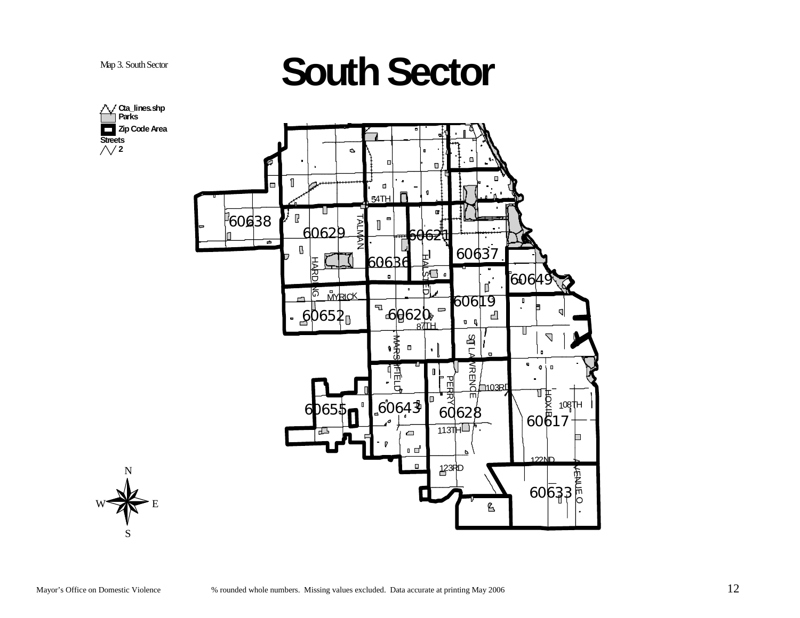# <span id="page-11-0"></span>**Represents South Sector**



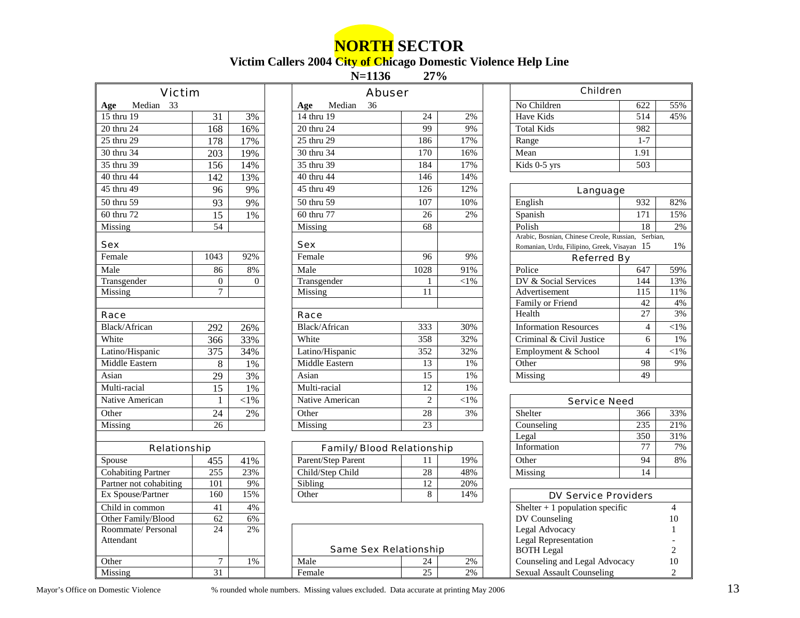# **NORTH SECTOR**

#### **Victim Callers 2004 City of Chicago Domestic Violence Help Line**

**N=1136**  $27%$ 

<span id="page-12-0"></span>

| Victim                    |                  |           |                             | Abuser                     |             | Children                                                                                 |                  |                      |
|---------------------------|------------------|-----------|-----------------------------|----------------------------|-------------|------------------------------------------------------------------------------------------|------------------|----------------------|
| Median 33<br>Age          |                  |           | Median<br>36<br>Age         |                            |             | No Children                                                                              | 622              | 55%                  |
| 15 thru $19$              | 31               | 3%        | 14 thru $\overline{19}$     | 24                         | 2%          | Have Kids                                                                                | $\overline{514}$ | 45%                  |
| 20 thru 24                | 168              | 16%       | 20 thru 24                  | 99                         | 9%          | <b>Total Kids</b>                                                                        | 982              |                      |
| 25 thru 29                | 178              | 17%       | 25 thru 29                  | 186                        | 17%         | Range                                                                                    | $1 - 7$          |                      |
| 30 thru 34                | $\overline{203}$ | 19%       | 30 thru 34                  | 170                        | 16%         | Mean                                                                                     | 1.91             |                      |
| 35 thru 39                | 156              | 14%       | 35 thru 39                  | 184                        | 17%         | Kids 0-5 yrs                                                                             | $\overline{503}$ |                      |
| 40 thru 44                | 142              | 13%       | 40 thru 44                  | 146                        | 14%         |                                                                                          |                  |                      |
| 45 thru 49                | 96               | 9%        | 45 thru 49                  | 126                        | 12%         | Language                                                                                 |                  |                      |
| 50 thru 59                | 93               | 9%        | 50 thru 59                  | 107                        | 10%         | English                                                                                  | 932              | 82%                  |
| 60 thru 72                | $\overline{15}$  | $1\%$     | 60 thru 77                  | 26                         | 2%          | Spanish                                                                                  | 171              | 15%                  |
| Missing                   | 54               |           | Missing                     | 68                         |             | Polish                                                                                   | 18               | 2%                   |
| Sex                       |                  |           | Sex                         |                            |             | Arabic, Bosnian, Chinese Creole, Russian,<br>Romanian, Urdu, Filipino, Greek, Visayan 15 | Serbian,         | 1%                   |
| Female                    | 1043             | 92%       | Female                      | 96                         | 9%          | Referred By                                                                              |                  |                      |
| Male                      | 86               | $8\%$     | Male                        | 1028                       | 91%         | Police                                                                                   | 647              | 59%                  |
| Transgender               | $\overline{0}$   | $\theta$  | Transgender                 | 1                          | ${<}1\%$    | DV & Social Services                                                                     | 144              | 13%                  |
| Missing                   | $\tau$           |           | Missing                     | 11                         |             | Advertisement                                                                            | 115              | 11%                  |
|                           |                  |           |                             |                            |             | Family or Friend                                                                         | 42               | 4%                   |
| Race                      |                  |           | Race                        |                            |             | Health                                                                                   | $\overline{27}$  | 3%                   |
| Black/African             | 292              | 26%       | Black/African               | 333                        | 30%         | <b>Information Resources</b>                                                             | $\overline{4}$   | $<$ 1%               |
| White                     | $\overline{366}$ | 33%       | White                       | 358                        | 32%         | Criminal & Civil Justice                                                                 | 6                | 1%                   |
| Latino/Hispanic           | 375              | 34%       | Latino/Hispanic             | 352                        | 32%         | Employment & School                                                                      | $\overline{4}$   | $<$ l $%$            |
| Middle Eastern            | $\,8\,$          | $1\%$     | Middle Eastern              | 13                         | 1%          | Other                                                                                    | 98               | 9%                   |
| Asian                     | 29               | 3%        | Asian                       | 15                         | $1\%$       | Missing                                                                                  | 49               |                      |
| Multi-racial              | 15               | 1%        | Multi-racial                | 12                         | $1\%$       |                                                                                          |                  |                      |
| Native American           | $\mathbf{1}$     | $<$ l $%$ | Native American             | $\sqrt{2}$                 | ${<}1\%$    | Service Need                                                                             |                  |                      |
| Other                     | 24               | 2%        | Other                       | 28                         | 3%          | Shelter                                                                                  | 366              | 33%                  |
| Missing                   | $\overline{26}$  |           | Missing                     | $\overline{23}$            |             | Counseling                                                                               | 235              | 21%                  |
|                           |                  |           |                             |                            |             | Legal                                                                                    | 350              | 31%                  |
| Relationship              |                  |           |                             | Family/ Blood Relationship |             | Information                                                                              | 77               | 7%                   |
| Spouse                    | 455              | 41%       | Parent/Step Parent          | 11                         | 19%         | Other                                                                                    | $\overline{94}$  | 8%                   |
| <b>Cohabiting Partner</b> | 255              | 23%       | Child/Step Child            | 28                         | 48%         | Missing                                                                                  | 14               |                      |
| Partner not cohabiting    | 101              | 9%        | $\overline{\text{Sibling}}$ | $\overline{12}$            | 20%         |                                                                                          |                  |                      |
| Ex Spouse/Partner         | 160              | 15%       | Other                       | 8                          | 14%         | <b>DV Service Providers</b>                                                              |                  |                      |
| Child in common           | 41               | 4%        |                             |                            |             | Shelter + 1 population specific                                                          |                  | $\overline{4}$       |
| Other Family/Blood        | $\overline{62}$  | 6%        |                             |                            |             | DV Counseling                                                                            |                  | 10                   |
| Roommate/Personal         | 24               | 2%        |                             |                            |             | Legal Advocacy                                                                           |                  |                      |
| Attendant                 |                  |           |                             |                            |             | <b>Legal Representation</b>                                                              |                  |                      |
|                           |                  |           |                             | Same Sex Relationship      |             | <b>BOTH</b> Legal                                                                        |                  | 2                    |
| Other<br>Missing          | $\tau$<br>31     | 1%        | Male<br>Female              | 24<br>25                   | $2\%$<br>2% | Counseling and Legal Advocacy<br><b>Sexual Assault Counseling</b>                        |                  | 10<br>$\overline{c}$ |
|                           |                  |           |                             |                            |             |                                                                                          |                  |                      |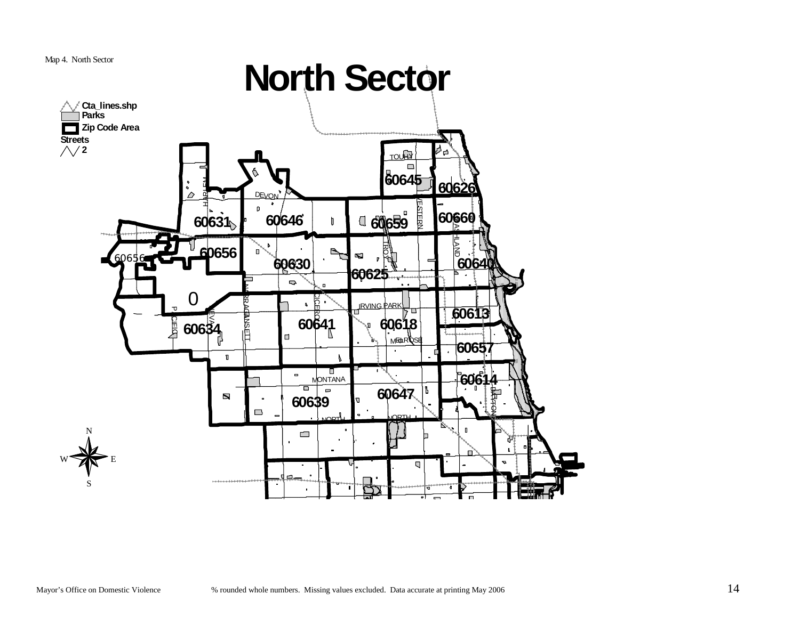

<span id="page-13-0"></span>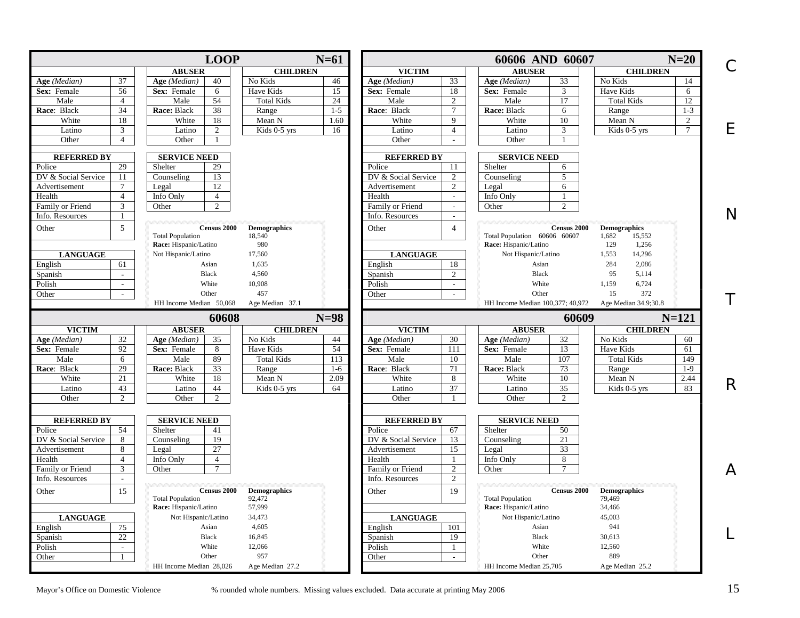<span id="page-14-0"></span>

|                     |                                   | <b>LOOP</b>                                  |                     | $N=61$  |                     |                 | 60606 AND 60607                              | $N=20$                   |
|---------------------|-----------------------------------|----------------------------------------------|---------------------|---------|---------------------|-----------------|----------------------------------------------|--------------------------|
|                     |                                   | <b>ABUSER</b>                                | <b>CHILDREN</b>     |         | <b>VICTIM</b>       |                 | <b>ABUSER</b>                                | <b>CHILDREN</b>          |
| Age (Median)        | 37                                | 40<br>Age (Median)                           | No Kids             | 46      | Age (Median)        | 33              | Age (Median)<br>33                           | No Kids<br>14            |
| Sex: Female         | 56                                | Sex: Female<br>6                             | Have Kids           | 15      | Sex: Female         | 18              | 3<br>Sex: Female                             | Have Kids<br>6           |
| Male                | $\overline{4}$                    | 54<br>Male                                   | <b>Total Kids</b>   | 24      | Male                | 2               | 17<br>Male                                   | 12<br><b>Total Kids</b>  |
| Race: Black         | 34                                | Race: Black<br>38                            | Range               | $1-5$   | Race: Black         | $7\overline{ }$ | Race: Black<br>6                             | Range<br>$1 - 3$         |
| White               | 18                                | White<br>18                                  | Mean N              | 1.60    | White               | 9               | White<br>10                                  | Mean N<br>2              |
| Latino              | $\mathfrak{Z}$                    | $\overline{2}$<br>Latino                     | Kids 0-5 yrs        | 16      | Latino              | $\overline{4}$  | Latino<br>3                                  | Kids 0-5 yrs<br>$\tau$   |
| Other               | $\overline{4}$                    | Other                                        |                     |         | Other               | i.              | Other                                        |                          |
| <b>REFERRED BY</b>  |                                   | <b>SERVICE NEED</b>                          |                     |         | <b>REFERRED BY</b>  |                 | <b>SERVICE NEED</b>                          |                          |
| Police              | 29                                | 29<br>Shelter                                |                     |         | Police              | 11              | Shelter<br>6                                 |                          |
| DV & Social Service | 11                                | 13<br>Counseling                             |                     |         | DV & Social Service | $\overline{2}$  | Counseling<br>5                              |                          |
| Advertisement       | $7\phantom{.0}$                   | $\overline{12}$<br>Legal                     |                     |         | Advertisement       | $\overline{2}$  | 6<br>Legal                                   |                          |
| Health              | $\overline{4}$                    | Info Only<br>$\overline{4}$                  |                     |         | Health              | $\sim$          | Info Only<br>-1                              |                          |
| Family or Friend    | 3                                 | $\overline{2}$<br>Other                      |                     |         | Family or Friend    | $\sim$          | Other<br>$\overline{c}$                      |                          |
| Info. Resources     | $\mathbf{1}$                      |                                              |                     |         | Info. Resources     | $\omega$        |                                              |                          |
| Other               | 5                                 | <b>Census 2000</b>                           | <b>Demographics</b> |         | Other               | $\overline{4}$  | Census 2000                                  | <b>Demographics</b>      |
|                     |                                   | <b>Total Population</b>                      | 18,540<br>980       |         |                     |                 | Total Population 60606 60607                 | 1,682<br>15,552<br>129   |
|                     |                                   | Race: Hispanic/Latino<br>Not Hispanic/Latino | 17,560              |         |                     |                 | Race: Hispanic/Latino<br>Not Hispanic/Latino | 1,256<br>1,553<br>14,296 |
| <b>LANGUAGE</b>     |                                   | Asian                                        | 1,635               |         | <b>LANGUAGE</b>     |                 | Asian                                        | 284<br>2,086             |
| English             | 61<br>$\mathcal{L}^{\mathcal{L}}$ | <b>Black</b>                                 | 4,560               |         | English             | 18<br>2         | <b>Black</b>                                 | 95<br>5,114              |
| Spanish             |                                   | White                                        |                     |         | Spanish             |                 | White                                        |                          |
| Polish              | $\sim$                            |                                              | 10,908              |         | Polish              | $\sim$          |                                              | 6,724<br>1,159           |
| Other               | $\sim$                            | Other                                        | 457                 |         | Other               | $\sim$          | Other                                        | 15<br>372                |
|                     |                                   | HH Income Median 50,068                      | Age Median 37.1     |         |                     |                 | HH Income Median 100,377; 40,972             | Age Median 34.9;30.8     |
|                     |                                   | 60608                                        |                     | $N=98$  |                     |                 | 60609                                        | $N = 121$                |
| <b>VICTIM</b>       |                                   | <b>ABUSER</b>                                | <b>CHILDREN</b>     |         | <b>VICTIM</b>       |                 | <b>ABUSER</b>                                | <b>CHILDREN</b>          |
| Age (Median)        | 32                                | 35<br>Age (Median)                           | No Kids             | 44      | Age (Median)        | 30              | Age (Median)<br>32                           | No Kids<br>60            |
| Sex: Female         | 92                                | Sex: Female<br>8                             | Have Kids           | 54      | Sex: Female         | 111             | 13<br>Sex: Female                            | Have Kids<br>61          |
| Male                | 6                                 | 89<br>Male                                   | <b>Total Kids</b>   | 113     | Male                | 10              | Male<br>107                                  | <b>Total Kids</b><br>149 |
| Race: Black         | 29                                | 33<br>Race: Black                            | Range               | $1 - 6$ | Race: Black         | 71              | Race: Black<br>73                            | $1-9$<br>Range           |
| White               | 21                                | 18<br>White                                  | Mean N              | 2.09    | White               | 8               | White<br>10                                  | Mean N<br>2.44           |
| Latino              | 43                                | 44<br>Latino                                 | Kids 0-5 yrs        | 64      | Latino              | 37              | Latino<br>35                                 | 83<br>Kids 0-5 yrs       |
| Other               | 2                                 | Other<br>2                                   |                     |         | Other               | -1              | Other<br>$\overline{2}$                      |                          |
| <b>REFERRED BY</b>  |                                   | <b>SERVICE NEED</b>                          |                     |         | <b>REFERRED BY</b>  |                 | <b>SERVICE NEED</b>                          |                          |
| Police              | 54                                | 41<br>Shelter                                |                     |         | Police              | 67              | 50<br>Shelter                                |                          |
| DV & Social Service | 8                                 | 19<br>Counseling                             |                     |         | DV & Social Service | 13              | Counseling<br>21                             |                          |
| Advertisement       | 8                                 | 27<br>Legal                                  |                     |         | Advertisement       | 15              | 33<br>Legal                                  |                          |
| Health              | $\overline{4}$                    | Info Only<br>$\overline{4}$                  |                     |         | Health              |                 | 8<br>Info Only                               |                          |
| Family or Friend    | $\overline{3}$                    | $\tau$<br>Other                              |                     |         | Family or Friend    | 2               | $\overline{7}$<br>Other                      |                          |
| Info. Resources     | $\sim$                            |                                              |                     |         | Info. Resources     | 2               |                                              |                          |
| Other               | 15                                | <b>Census 2000</b>                           | <b>Demographics</b> |         | Other               | 19              | <b>Census 2000</b>                           | <b>Demographics</b>      |
|                     |                                   | <b>Total Population</b>                      | 92,472              |         |                     |                 | <b>Total Population</b>                      | 79,469                   |
|                     |                                   | Race: Hispanic/Latino                        | 57,999              |         |                     |                 | Race: Hispanic/Latino                        | 34,466                   |
|                     |                                   | Not Hispanic/Latino                          | 34,473              |         | <b>LANGUAGE</b>     |                 | Not Hispanic/Latino                          | 45,003                   |
| <b>LANGUAGE</b>     |                                   |                                              |                     |         | English             |                 | Asian                                        | 941                      |
| English             | 75                                | Asian                                        | 4,605               |         |                     | 101             |                                              |                          |
| Spanish             | 22                                | Black                                        | 16,845              |         | Spanish             | 19              | <b>Black</b>                                 | 30,613                   |
| Polish              | $\sim$                            | White                                        | 12,066              |         | Polish              | $\mathbf{1}$    | White                                        | 12,560                   |
| Other               | $\mathbf{1}$                      | Other                                        | 957                 |         | Other               | $\omega$        | Other                                        | 889                      |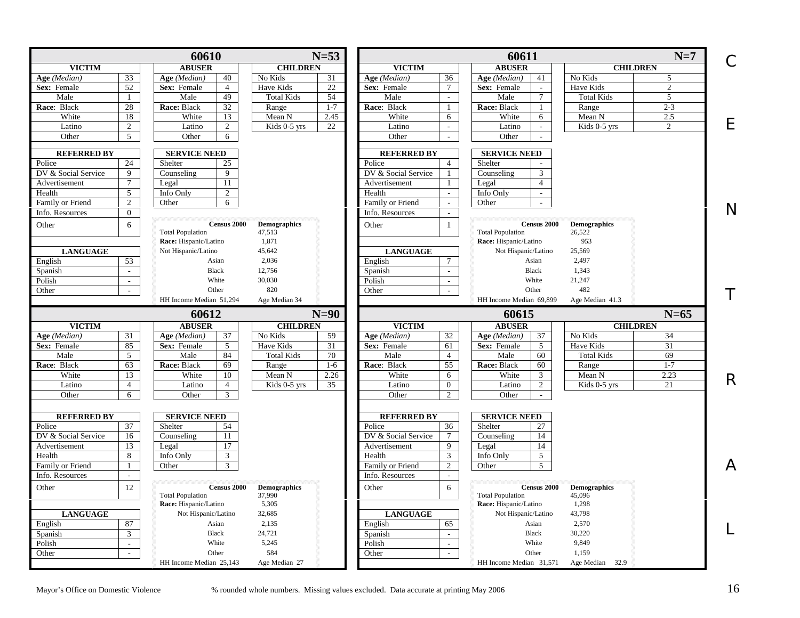|                                       | 60610                                         | $N=53$                        |                     |                             | 60611                                            |                               | $N=7$           | C                           |
|---------------------------------------|-----------------------------------------------|-------------------------------|---------------------|-----------------------------|--------------------------------------------------|-------------------------------|-----------------|-----------------------------|
| <b>VICTIM</b>                         | <b>ABUSER</b>                                 | <b>CHILDREN</b>               | <b>VICTIM</b>       |                             | <b>ABUSER</b>                                    |                               | <b>CHILDREN</b> |                             |
| 33<br>Age (Median)                    | 40<br>Age (Median)                            | No Kids<br>31                 | Age (Median)        | 36                          | Age (Median)<br>41                               | No Kids                       | 5               |                             |
| 52<br>Sex: Female                     | Sex: Female<br>$\overline{4}$                 | Have Kids<br>22               | Sex: Female         | $\tau$                      | Sex: Female<br>$\mathcal{L}$                     | Have Kids                     | $\overline{2}$  |                             |
| $\mathbf{1}$<br>Male                  | 49<br>Male                                    | <b>Total Kids</b><br>54       | Male                | $\overline{a}$              | $\tau$<br>Male                                   | <b>Total Kids</b>             | 5               |                             |
| $28\,$<br>Race: Black                 | 32<br>Race: Black                             | Range<br>$1 - 7$              | Race: Black         | $\mathbf{1}$                | Race: Black<br>$\mathbf{1}$                      | Range                         | $2 - 3$         |                             |
| White<br>18                           | White<br>13                                   | Mean N<br>2.45                | White               | 6                           | White<br>6                                       | Mean N                        | 2.5             |                             |
| 2<br>Latino                           | Latino<br>$\overline{2}$                      | Kids 0-5 yrs<br>22            | Latino              | $\mathbf{r}$                | Latino<br>$\sim$                                 | Kids 0-5 yrs                  | $\overline{2}$  | E                           |
| Other<br>5 <sup>5</sup>               | Other<br>6                                    |                               | Other               | $\mathcal{L}$               | Other<br>$\sim$                                  |                               |                 |                             |
| <b>REFERRED BY</b>                    | <b>SERVICE NEED</b>                           |                               | <b>REFERRED BY</b>  |                             | <b>SERVICE NEED</b>                              |                               |                 |                             |
| Police<br>24                          | Shelter<br>25                                 |                               | Police              | $\overline{4}$              | Shelter                                          |                               |                 |                             |
| $\overline{9}$<br>DV & Social Service | 9<br>Counseling                               |                               | DV & Social Service | $\mathbf{1}$                | 3<br>Counseling                                  |                               |                 |                             |
| $\tau$<br>Advertisement               | 11<br>Legal                                   |                               | Advertisement       | 1                           | $\overline{4}$<br>Legal                          |                               |                 |                             |
| 5<br>Health                           | Info Only<br>2                                |                               | Health              | $\sim$                      | Info Only<br>$\sim$                              |                               |                 |                             |
| $\overline{c}$                        |                                               |                               |                     | $\omega$                    |                                                  |                               |                 |                             |
| Family or Friend                      | 6<br>Other                                    |                               | Family or Friend    |                             | Other                                            |                               |                 | N                           |
| $\overline{0}$<br>Info. Resources     |                                               |                               | Info. Resources     | $\overline{a}$              |                                                  |                               |                 |                             |
| Other<br>6                            | <b>Census 2000</b>                            | <b>Demographics</b>           | Other               | $\mathbf{1}$                | <b>Census 2000</b>                               | <b>Demographics</b>           |                 |                             |
|                                       | <b>Total Population</b>                       | 47,513                        |                     |                             | <b>Total Population</b>                          | 26,522                        |                 |                             |
|                                       | Race: Hispanic/Latino                         | 1,871                         |                     |                             | Race: Hispanic/Latino                            | 953                           |                 |                             |
| <b>LANGUAGE</b>                       | Not Hispanic/Latino                           | 45,642                        | <b>LANGUAGE</b>     |                             | Not Hispanic/Latino                              | 25,569                        |                 |                             |
| English<br>53                         | Asian                                         | 2,036                         | English             | $\tau$                      | Asian                                            | 2,497                         |                 |                             |
| $\mathcal{L}$<br>Spanish              | Black                                         | 12,756                        | Spanish             | $\mathcal{L}^{\mathcal{A}}$ | Black                                            | 1,343                         |                 |                             |
| Polish<br>$\sim$                      | White                                         | 30,030                        | Polish              | $\blacksquare$              | White                                            | 21,247                        |                 |                             |
| Other<br>$\sim$                       | Other                                         | 820                           | Other               | $\sim$                      | Other                                            | 482                           |                 |                             |
|                                       | HH Income Median 51,294                       | Age Median 34                 |                     |                             | HH Income Median 69,899                          | Age Median 41.3               |                 |                             |
|                                       |                                               |                               |                     |                             |                                                  |                               |                 |                             |
|                                       | 60612                                         | $N=90$                        |                     |                             | 60615                                            |                               | $N=65$          |                             |
| <b>VICTIM</b>                         | <b>ABUSER</b>                                 | <b>CHILDREN</b>               | <b>VICTIM</b>       |                             | <b>ABUSER</b>                                    |                               | <b>CHILDREN</b> |                             |
| Age (Median)<br>31                    | Age (Median)<br>37                            | No Kids<br>59                 | Age (Median)        | 32                          | Age (Median)<br>37                               | No Kids                       | 34              |                             |
| 85<br>Sex: Female                     | 5<br>Sex: Female                              | Have Kids<br>31               | Sex: Female         | 61                          | Sex: Female<br>5                                 | Have Kids                     | 31              |                             |
| 5<br>Male                             | Male<br>84                                    | 70<br><b>Total Kids</b>       | Male                | $\overline{4}$              | Male<br>60                                       | <b>Total Kids</b>             | 69              |                             |
| 63<br>Race: Black                     | Race: Black<br>69                             | Range<br>$1-6$                | Race: Black         | 55                          | Race: Black<br>60                                | Range                         | $1 - 7$         |                             |
| White<br>13                           | White<br>10                                   | Mean N<br>2.26                | White               | 6                           | White<br>3                                       | Mean N                        | 2.23            |                             |
| $\overline{4}$<br>Latino              | Latino<br>$\overline{4}$                      | Kids 0-5 yrs<br>35            | Latino              | $\overline{0}$              | $\overline{2}$<br>Latino                         | Kids 0-5 yrs                  | 21              |                             |
| Other<br>6                            | Other<br>3                                    |                               | Other               | $\overline{c}$              | Other<br>$\sim$                                  |                               |                 |                             |
|                                       |                                               |                               |                     |                             |                                                  |                               |                 |                             |
| <b>REFERRED BY</b>                    | <b>SERVICE NEED</b>                           |                               | <b>REFERRED BY</b>  |                             | <b>SERVICE NEED</b>                              |                               |                 |                             |
| 37<br>Police                          | Shelter<br>54                                 |                               | Police              | 36                          | Shelter<br>27                                    |                               |                 |                             |
| DV & Social Service<br>16             | 11<br>Counseling                              |                               | DV & Social Service | $\tau$                      | Counseling<br>14                                 |                               |                 |                             |
| 13<br>Advertisement                   | 17<br>Legal                                   |                               | Advertisement       | 9                           | 14<br>Legal                                      |                               |                 |                             |
| Health<br>8                           | $\mathbf{3}$<br>Info Only                     |                               | Health              | 3                           | $\overline{5}$<br>Info Only                      |                               |                 |                             |
| Family or Friend<br>$\mathbf{1}$      | 3<br>Other                                    |                               | Family or Friend    | 2                           | $\overline{5}$<br>Other                          |                               |                 |                             |
| Info. Resources<br>$\sim$             |                                               |                               | Info. Resources     | $\sim$                      |                                                  |                               |                 |                             |
|                                       |                                               |                               |                     |                             |                                                  |                               |                 |                             |
| 12<br>Other                           | <b>Census 2000</b><br><b>Total Population</b> | <b>Demographics</b><br>37,990 | Other               | 6                           | <b>Census 2000</b><br><b>Total Population</b>    | <b>Demographics</b><br>45,096 |                 |                             |
|                                       | Race: Hispanic/Latino                         | 5,305                         |                     |                             | Race: Hispanic/Latino                            | 1,298                         |                 |                             |
|                                       | Not Hispanic/Latino                           | 32,685                        |                     |                             | Not Hispanic/Latino                              | 43,798                        |                 |                             |
| <b>LANGUAGE</b>                       |                                               | 2.135                         | <b>LANGUAGE</b>     |                             | Asian                                            |                               |                 |                             |
| 87<br>English                         | Asian                                         |                               | English             | 65                          |                                                  | 2,570                         |                 |                             |
| $\overline{3}$<br>Spanish             | <b>Black</b>                                  | 24,721                        | Spanish             | $\omega$                    | <b>Black</b>                                     | 30,220                        |                 |                             |
| Polish<br>$\sim$                      | White                                         | 5,245                         | Polish              | $\mathcal{L}$               | White                                            | 9,849                         |                 |                             |
| Other<br>$\sim$                       | Other<br>HH Income Median 25,143              | 584<br>Age Median 27          | Other               | $\omega$                    | Other<br>HH Income Median 31,571 Age Median 32.9 | 1,159                         |                 | $\mathsf{R}$<br>$\bigwedge$ |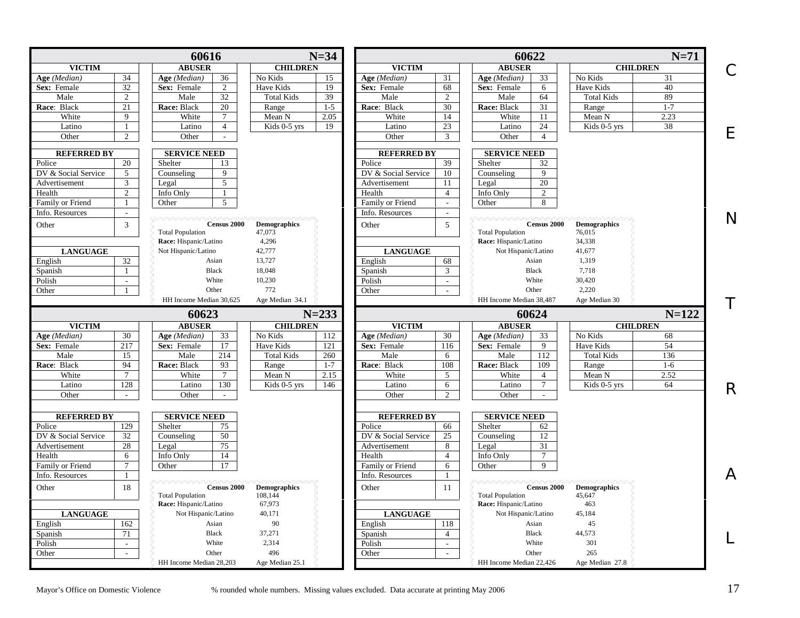|                     |                 | 60616                                         | $N=34$                        |                                                 | 60622                                         |                               | $N=71$       |
|---------------------|-----------------|-----------------------------------------------|-------------------------------|-------------------------------------------------|-----------------------------------------------|-------------------------------|--------------|
| <b>VICTIM</b>       |                 | <b>ABUSER</b>                                 | <b>CHILDREN</b>               | <b>VICTIM</b>                                   | <b>ABUSER</b>                                 | <b>CHILDREN</b>               | С            |
| Age (Median)        | 34              | Age (Median)<br>36                            | No Kids<br>15                 | 31<br>Age (Median)                              | Age (Median)<br>33                            | No Kids                       | 31           |
| Sex: Female         | 32              | 2<br>Sex: Female                              | 19<br>Have Kids               | Sex: Female<br>68                               | Sex: Female<br>6                              | Have Kids                     | 40           |
| Male                | $\overline{2}$  | $\overline{32}$<br>Male                       | 39<br><b>Total Kids</b>       | Male<br>$\mathfrak{2}$                          | Male<br>64                                    | <b>Total Kids</b>             | 89           |
| Race: Black         | 21              | 20<br>Race: Black                             | $1 - 5$<br>Range              | Race: Black<br>30                               | Race: Black<br>31                             | Range                         | $1 - 7$      |
| White               | 9               | White<br>$\tau$                               | 2.05<br>Mean N                | White<br>14                                     | White<br>11                                   | Mean N                        | 2.23         |
| Latino              | 1               | $\overline{4}$<br>Latino                      | 19<br>Kids 0-5 yrs            | 23<br>Latino                                    | 24<br>Latino                                  | Kids 0-5 yrs                  | 38           |
| Other               | $\overline{2}$  | Other<br>$\sim$                               |                               | Other<br>3                                      | Other<br>$\overline{4}$                       |                               | Е            |
| <b>REFERRED BY</b>  |                 | <b>SERVICE NEED</b>                           |                               | <b>REFERRED BY</b>                              | <b>SERVICE NEED</b>                           |                               |              |
| Police              | 20              | 13<br>Shelter                                 |                               | 39<br>Police                                    | Shelter<br>32                                 |                               |              |
| DV & Social Service | 5               | $\mathbf{Q}$<br>Counseling                    |                               | DV & Social Service<br>10                       | 9<br>Counseling                               |                               |              |
| Advertisement       | 3               | $\overline{5}$<br>Legal                       |                               | 11<br>Advertisement                             | 20<br>Legal                                   |                               |              |
| Health              | 2               | Info Only<br>1                                |                               | Health<br>$\overline{4}$                        | Info Only<br>$\overline{2}$                   |                               |              |
| Family or Friend    | 1               | 5<br>Other                                    |                               | Family or Friend<br>$\mathcal{L}^{\mathcal{A}}$ | Other<br>8                                    |                               |              |
| Info. Resources     | $\blacksquare$  |                                               |                               | Info. Resources<br>$\sim$                       |                                               |                               |              |
|                     |                 |                                               |                               |                                                 |                                               |                               | $\mathsf{N}$ |
| Other               | 3               | <b>Census 2000</b><br><b>Total Population</b> | <b>Demographics</b><br>47,073 | 5 <sup>5</sup><br>Other                         | <b>Census 2000</b><br><b>Total Population</b> | <b>Demographics</b><br>76,015 |              |
|                     |                 | Race: Hispanic/Latino                         | 4,296                         |                                                 | Race: Hispanic/Latino                         | 34,338                        |              |
| <b>LANGUAGE</b>     |                 | Not Hispanic/Latino                           | 42,777                        | <b>LANGUAGE</b>                                 | Not Hispanic/Latino                           | 41,677                        |              |
| English             | 32              | Asian                                         | 13,727                        | 68<br>English                                   | Asian                                         | 1,319                         |              |
| Spanish             | $\mathbf{1}$    | <b>Black</b>                                  | 18,048                        | 3<br>Spanish                                    | Black                                         | 7,718                         |              |
| Polish              | $\sim$          | White                                         | 10,230                        | Polish<br>$\sim$                                | White                                         | 30,420                        |              |
| Other               | -1              | Other                                         | 772                           | Other<br>$\sim$                                 | Other                                         | 2,220                         |              |
|                     |                 | HH Income Median 30.625                       | Age Median 34.1               |                                                 | HH Income Median 38.487                       | Age Median 30                 |              |
|                     |                 |                                               |                               |                                                 |                                               |                               | Τ            |
|                     |                 | 60623                                         | $N = 233$                     |                                                 | 60624                                         |                               | $N = 122$    |
| <b>VICTIM</b>       |                 | <b>ABUSER</b>                                 | <b>CHILDREN</b>               | <b>VICTIM</b>                                   | <b>ABUSER</b>                                 | <b>CHILDREN</b>               |              |
| Age (Median)        | $\overline{30}$ | 33<br>Age (Median)                            | No Kids<br>112                | Age (Median)<br>$\overline{30}$                 | Age (Median)<br>33                            | No Kids                       | 68           |
| Sex: Female         |                 |                                               |                               |                                                 |                                               |                               |              |
|                     | 217             | Sex: Female<br>17                             | Have Kids<br>121              | 116<br>Sex: Female                              | Sex: Female<br>9                              | Have Kids                     | 54           |
| Male                | 15              | Male<br>214                                   | 260<br><b>Total Kids</b>      | Male<br>6                                       | Male<br>112                                   | <b>Total Kids</b>             | 136          |
| Race: Black         | 94              | Race: Black<br>93                             | $1 - 7$<br>Range              | Race: Black<br>108                              | Race: Black<br>109                            | Range                         | $1-6$        |
| White               | $\tau$          | White<br>$\tau$                               | Mean N<br>2.15                | White<br>5                                      | White<br>$\overline{4}$                       | Mean N                        | 2.52         |
| Latino              | 128             | 130<br>Latino                                 | 146<br>Kids 0-5 yrs           | Latino<br>6                                     | Latino<br>$\tau$                              | Kids 0-5 yrs                  | 64           |
| Other               | $\sim$          | Other<br>$\sim$                               |                               | Other<br>$\overline{2}$                         | Other<br>$\sim$                               |                               | R            |
|                     |                 |                                               |                               |                                                 |                                               |                               |              |
| <b>REFERRED BY</b>  |                 | <b>SERVICE NEED</b>                           |                               | <b>REFERRED BY</b>                              | <b>SERVICE NEED</b>                           |                               |              |
| Police              | 129             | 75<br>Shelter                                 |                               | Police<br>66                                    | Shelter<br>62                                 |                               |              |
| DV & Social Service | 32              | 50<br>Counseling                              |                               | DV & Social Service<br>25                       | 12<br>Counseling                              |                               |              |
| Advertisement       | 28              | 75<br>Legal                                   |                               | Advertisement<br>8                              | 31<br>Legal                                   |                               |              |
| Health              | 6               | 14<br>Info Only                               |                               | Health<br>$\overline{4}$                        | $\overline{7}$<br>Info Only                   |                               |              |
| Family or Friend    | $\tau$          | 17<br>Other                                   |                               | Family or Friend<br>6                           | Other<br>9                                    |                               |              |
| Info. Resources     |                 |                                               |                               | Info. Resources<br>-1                           |                                               |                               | A            |
| Other               | 18              | <b>Census 2000</b>                            | <b>Demographics</b>           | Other<br>11                                     | <b>Census 2000</b>                            | <b>Demographics</b>           |              |
|                     |                 | <b>Total Population</b>                       | 108,144                       |                                                 | <b>Total Population</b>                       | 45,647                        |              |
|                     |                 | Race: Hispanic/Latino                         | 67,973                        |                                                 | Race: Hispanic/Latino                         | 463                           |              |
| <b>LANGUAGE</b>     |                 | Not Hispanic/Latino                           | 40,171                        | <b>LANGUAGE</b>                                 | Not Hispanic/Latino                           | 45,184                        |              |
| English             | 162             | Asian                                         | 90                            | 118<br>English                                  | Asian                                         | 45                            |              |
| Spanish             | 71              | <b>Black</b>                                  | 37,271                        | $\overline{4}$<br>Spanish                       | <b>Black</b>                                  | 44,573                        |              |
| Polish              | $\sim$          | White                                         | 2,314                         | Polish<br>$\sim$                                | White                                         | 301                           |              |
| Other               | $\sim$          | Other<br>HH Income Median 28,203              | 496<br>Age Median 25.1        | Other<br>$\mathcal{L}$                          | Other<br>HH Income Median 22,426              | 265<br>Age Median 27.8        |              |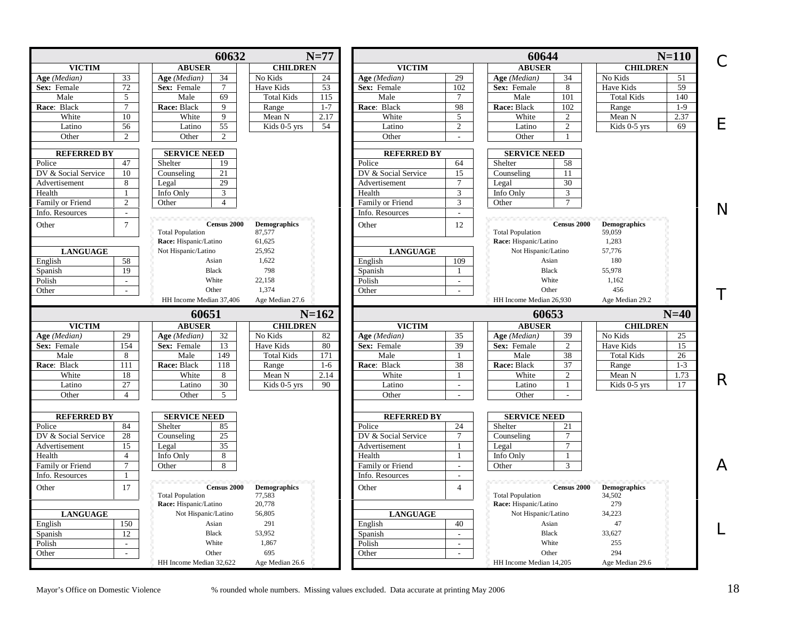|                     |                 | 60632                            | $N=77$                   |                     |                             | 60644                               | $N=110$                  | C      |
|---------------------|-----------------|----------------------------------|--------------------------|---------------------|-----------------------------|-------------------------------------|--------------------------|--------|
| <b>VICTIM</b>       |                 | <b>ABUSER</b>                    | <b>CHILDREN</b>          | <b>VICTIM</b>       |                             | <b>ABUSER</b>                       | <b>CHILDREN</b>          |        |
| Age (Median)        | 33              | 34<br>Age (Median)               | No Kids<br>24            | Age (Median)        | 29                          | 34<br>Age (Median)                  | No Kids<br>51            |        |
| Sex: Female         | 72              | Sex: Female<br>$7\phantom{.0}$   | 53<br>Have Kids          | Sex: Female         | 102                         | Sex: Female<br>8                    | Have Kids<br>59          |        |
| Male                | 5               | 69<br>Male                       | 115<br><b>Total Kids</b> | Male                | $\tau$                      | 101<br>Male                         | <b>Total Kids</b><br>140 |        |
| Race: Black         | $7\phantom{.0}$ | Race: Black<br>9                 | $1 - 7$<br>Range         | Race: Black         | 98                          | Race: Black<br>102                  | $1-9$<br>Range           |        |
| White               | 10              | White<br>$\overline{9}$          | 2.17<br>Mean N           | White               | $\overline{5}$              | White<br>2                          | Mean N<br>2.37           |        |
| Latino              | 56              | 55<br>Latino                     | Kids 0-5 yrs<br>54       | Latino              | $\overline{2}$              | Latino<br>2                         | Kids 0-5 yrs<br>69       | E      |
| Other               | $\overline{2}$  | Other<br>$\overline{2}$          |                          | Other               | $\sim$                      | Other                               |                          |        |
| <b>REFERRED BY</b>  |                 | <b>SERVICE NEED</b>              |                          | <b>REFERRED BY</b>  |                             | <b>SERVICE NEED</b>                 |                          |        |
| Police              | 47              | Shelter<br>19                    |                          | Police              | 64                          | Shelter<br>58                       |                          |        |
| DV & Social Service | 10              | 21<br>Counseling                 |                          | DV & Social Service | 15                          | 11<br>Counseling                    |                          |        |
| Advertisement       | 8               | 29<br>Legal                      |                          | Advertisement       | $7\phantom{.0}$             | 30<br>Legal                         |                          |        |
| Health              | $\mathbf{1}$    | Info Only<br>3                   |                          | Health              | 3                           | Info Only<br>3                      |                          |        |
| Family or Friend    | 2               | $\overline{4}$<br>Other          |                          | Family or Friend    | 3                           | Other                               |                          |        |
| Info. Resources     |                 |                                  |                          | Info. Resources     | $\omega$                    |                                     |                          | N      |
| Other               | $\tau$          | <b>Census 2000</b>               | <b>Demographics</b>      | Other               | 12                          | <b>Census 2000</b>                  | <b>Demographics</b>      |        |
|                     |                 | <b>Total Population</b>          | 87,577                   |                     |                             | <b>Total Population</b>             | 59,059                   |        |
|                     |                 | Race: Hispanic/Latino            | 61,625                   |                     |                             | Race: Hispanic/Latino               | 1,283                    |        |
| <b>LANGUAGE</b>     |                 | Not Hispanic/Latino              | 25,952                   | <b>LANGUAGE</b>     |                             | Not Hispanic/Latino                 | 57,776                   |        |
| English             | 58              | Asian                            | 1,622                    | English             | 109                         | Asian                               | 180                      |        |
| Spanish             | $\overline{19}$ | <b>Black</b>                     | 798                      | Spanish             | $\mathbf{1}$                | Black                               | 55,978                   |        |
| Polish              | $\sim$          | White                            | 22,158                   | Polish              | $\sim$                      | White                               | 1,162                    |        |
| Other               | $\sim$          | Other                            | 1.374                    | Other               | $\sim$                      | Other                               | 456                      |        |
|                     |                 | HH Income Median 37,406          | Age Median 27.6          |                     |                             | HH Income Median 26,930             | Age Median 29.2          | Τ      |
|                     |                 |                                  |                          |                     |                             |                                     |                          |        |
|                     |                 |                                  |                          |                     |                             |                                     |                          |        |
|                     |                 | 60651                            | $N = 162$                |                     |                             | 60653                               | $N=40$                   |        |
| <b>VICTIM</b>       |                 | <b>ABUSER</b>                    | <b>CHILDREN</b>          | <b>VICTIM</b>       |                             | <b>ABUSER</b>                       | <b>CHILDREN</b>          |        |
| Age (Median)        | 29              | Age (Median)<br>32               | No Kids<br>82            | Age (Median)        | 35                          | Age (Median)<br>39                  | No Kids<br>25            |        |
| Sex: Female         | 154             | Sex: Female<br>13                | 80<br>Have Kids          | Sex: Female         | 39                          | Sex: Female<br>$\overline{2}$       | Have Kids<br>15          |        |
| Male                | 8               | Male<br>149                      | 171<br><b>Total Kids</b> | Male                | $\mathbf{1}$                | 38<br>Male                          | <b>Total Kids</b><br>26  |        |
| Race: Black         | 111             | Race: Black<br>118               | Range<br>$1-6$           | Race: Black         | 38                          | Race: Black<br>37                   | $1 - 3$<br>Range         |        |
| White               | 18              | White<br>8                       | Mean N<br>2.14           | White               | $\mathbf{1}$                | White<br>2                          | Mean N<br>1.73           |        |
| Latino              | 27              | 30<br>Latino                     | 90<br>Kids 0-5 yrs       | Latino              | $\sim$                      | Latino<br>1                         | Kids 0-5 yrs<br>17       |        |
| Other               | $\overline{4}$  | 5<br>Other                       |                          | Other               | $\mathcal{L}$               | Other<br>$\sim$                     |                          |        |
| <b>REFERRED BY</b>  |                 | <b>SERVICE NEED</b>              |                          | <b>REFERRED BY</b>  |                             | <b>SERVICE NEED</b>                 |                          |        |
| Police              | 84              | Shelter<br>85                    |                          | Police              | 24                          | Shelter<br>21                       |                          |        |
| DV & Social Service | 28              | 25<br>Counseling                 |                          | DV & Social Service | $\tau$                      | $\tau$<br>Counseling                |                          |        |
| Advertisement       | 15              | 35<br>Legal                      |                          | Advertisement       | $\mathbf{1}$                | $\overline{7}$<br>Legal             |                          |        |
| Health              | $\overline{4}$  | Info Only<br>8                   |                          | Health              | $\mathbf{1}$                | Info Only                           |                          |        |
| Family or Friend    | $\tau$          | Other<br>8                       |                          | Family or Friend    | $\sim$                      | $\mathcal{R}$<br>Other              |                          |        |
|                     |                 |                                  |                          |                     | $\mathcal{L}_{\mathcal{A}}$ |                                     |                          |        |
| Info. Resources     |                 |                                  |                          | Info. Resources     |                             | <b><i>CONTRACTOR CONTRACTOR</i></b> |                          |        |
| Other               | 17              | <b>Census 2000</b>               | <b>Demographics</b>      | Other               | $\overline{4}$              | <b>Census 2000</b>                  | <b>Demographics</b>      |        |
|                     |                 | <b>Total Population</b>          | 77,583                   |                     |                             | <b>Total Population</b>             | 34,502                   |        |
|                     |                 | Race: Hispanic/Latino            | 20,778                   |                     |                             | Race: Hispanic/Latino               | 279                      |        |
| <b>LANGUAGE</b>     |                 | Not Hispanic/Latino              | 56,805                   | <b>LANGUAGE</b>     |                             | Not Hispanic/Latino                 | 34,223                   |        |
| English             | 150             | Asian                            | 291                      | English             | 40                          | Asian                               | 47                       |        |
| Spanish             | 12              | <b>Black</b>                     | 53,952                   | Spanish             | $\mathcal{L}$               | <b>Black</b>                        | 33,627                   |        |
| Polish              | $\sim$          | White                            | 1,867                    | Polish              | $\sim$                      | White                               | 255                      |        |
| Other               | $\sim$          | Other<br>HH Income Median 32.622 | 695<br>Age Median 26.6   | Other               | $\sim$                      | Other<br>HH Income Median 14.205    | 294<br>Age Median 29.6   | R<br>A |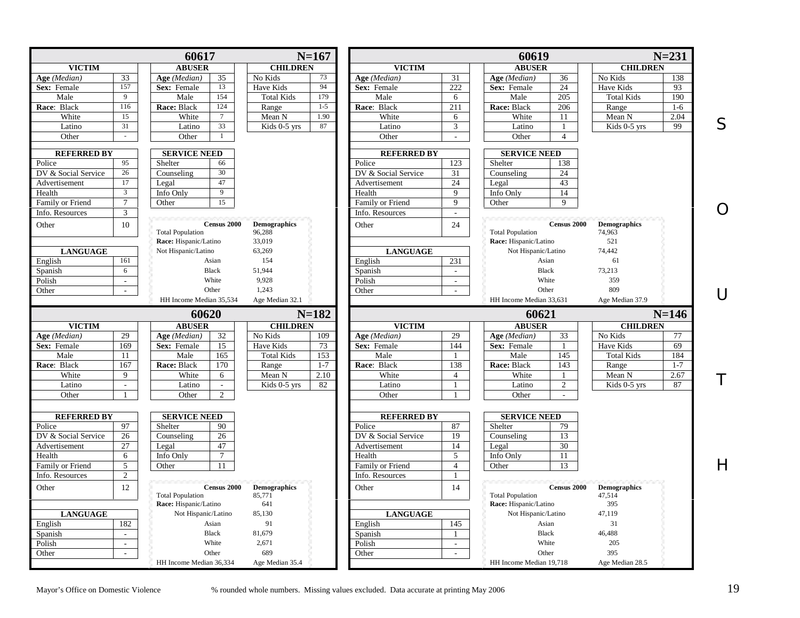<span id="page-18-0"></span>

|                     |                             | 60617                       | $N=167$             |         |                     |                             | 60619                   |                |                     | $N = 231$ |
|---------------------|-----------------------------|-----------------------------|---------------------|---------|---------------------|-----------------------------|-------------------------|----------------|---------------------|-----------|
| <b>VICTIM</b>       |                             | <b>ABUSER</b>               | <b>CHILDREN</b>     |         | <b>VICTIM</b>       |                             | <b>ABUSER</b>           |                | <b>CHILDREN</b>     |           |
| Age (Median)        | 33                          | 35<br>Age (Median)          | No Kids             | 73      | Age (Median)        | 31                          | Age (Median)            | 36             | No Kids             | 138       |
| Sex: Female         | 157                         | 13<br>Sex: Female           | Have Kids           | 94      | Sex: Female         | 222                         | Sex: Female             | 24             | Have Kids           | 93        |
| Male                | $\overline{9}$              | 154<br>Male                 | <b>Total Kids</b>   | 179     | Male                | 6                           | Male                    | 205            | <b>Total Kids</b>   | 190       |
| Race: Black         | 116                         | 124<br>Race: Black          | Range               | $1-5$   | Race: Black         | 211                         | Race: Black             | 206            | Range               | $1-6$     |
| White               | 15                          | White<br>$7\phantom{.0}$    | Mean N              | 1.90    | White               | 6                           | White                   | 11             | Mean N              | 2.04      |
| Latino              | 31                          | 33<br>Latino                | Kids 0-5 yrs        | 87      | Latino              | 3                           | Latino                  | -1             | Kids 0-5 yrs        | 99        |
| Other               | $\sim$                      | Other<br>$\mathbf{1}$       |                     |         | Other               | $\sim$                      | Other                   | $\overline{4}$ |                     |           |
|                     |                             |                             |                     |         |                     |                             |                         |                |                     |           |
| <b>REFERRED BY</b>  |                             | <b>SERVICE NEED</b>         |                     |         | <b>REFERRED BY</b>  |                             | <b>SERVICE NEED</b>     |                |                     |           |
| Police              | 95<br>26                    | Shelter<br>66               |                     |         | Police              | 123                         | Shelter                 | 138            |                     |           |
| DV & Social Service |                             | 30<br>Counseling            |                     |         | DV & Social Service | 31                          | Counseling              | 24             |                     |           |
| Advertisement       | 17                          | 47<br>Legal                 |                     |         | Advertisement       | 24                          | Legal                   | 43             |                     |           |
| Health              | 3                           | Info Only<br>9              |                     |         | Health              | 9                           | Info Only               | 14             |                     |           |
| Family or Friend    | $\overline{7}$              | 15<br>Other                 |                     |         | Family or Friend    | $\mathbf Q$                 | Other                   | 9              |                     |           |
| Info. Resources     | 3                           |                             |                     |         | Info. Resources     | $\mathcal{L}_{\mathcal{A}}$ |                         |                |                     |           |
| Other               | 10                          | <b>Census 2000</b>          | <b>Demographics</b> |         | Other               | 24                          |                         | Census 2000    | <b>Demographics</b> |           |
|                     |                             | <b>Total Population</b>     | 96,288              |         |                     |                             | <b>Total Population</b> |                | 74,963              |           |
|                     |                             | Race: Hispanic/Latino       | 33,019              |         |                     |                             | Race: Hispanic/Latino   |                | 521                 |           |
| <b>LANGUAGE</b>     |                             | Not Hispanic/Latino         | 63,269              |         | <b>LANGUAGE</b>     |                             | Not Hispanic/Latino     |                | 74,442              |           |
| English             | 161                         | Asian                       | 154                 |         | English             | 231                         | Asian                   |                | 61                  |           |
| Spanish             | 6                           | <b>Black</b>                | 51,944              |         | Spanish             | $\mathcal{L}$               | <b>Black</b>            |                | 73,213              |           |
| Polish              | $\mathcal{L}^{\mathcal{L}}$ | White                       | 9,928               |         | Polish              | $\omega$                    | White                   |                | 359                 |           |
| Other               | $\sim$                      | Other                       | 1,243               |         | Other               | $\sim$                      | Other                   |                | 809                 |           |
|                     |                             | HH Income Median 35,534     | Age Median 32.1     |         |                     |                             | HH Income Median 33,631 |                | Age Median 37.9     |           |
|                     |                             | 60620                       | $N = 182$           |         |                     |                             | 60621                   |                |                     | $N = 146$ |
| <b>VICTIM</b>       |                             | <b>ABUSER</b>               | <b>CHILDREN</b>     |         | <b>VICTIM</b>       |                             | <b>ABUSER</b>           |                | <b>CHILDREN</b>     |           |
| Age (Median)        | 29                          | 32<br>Age (Median)          |                     | 109     | Age (Median)        | 29                          | Age (Median)            |                | No Kids             | 77        |
| Sex: Female         |                             |                             | No Kids             |         |                     |                             |                         | 33             |                     |           |
|                     | 169                         | 15<br>Sex: Female           | Have Kids           | 73      | Sex: Female         | 144                         | Sex: Female             | 1              | <b>Have Kids</b>    | 69        |
| Male                | 11                          | Male<br>165                 | <b>Total Kids</b>   | 153     | Male                | $\mathbf{1}$                | Male                    | 145            | <b>Total Kids</b>   | 184       |
| Race: Black         | 167                         | Race: Black<br>170          | Range               | $1 - 7$ | Race: Black         | 138                         | Race: Black             | 143            | Range               | $1 - 7$   |
| White               | 9                           | White<br>6                  | Mean N              | 2.10    | White               | $\overline{4}$              | White                   | $\mathbf{1}$   | Mean N              | 2.67      |
| Latino              | $\omega$                    | Latino<br>$\blacksquare$    | Kids 0-5 yrs        | 82      | Latino              | $\mathbf{1}$                | Latino                  | $\overline{2}$ | Kids 0-5 yrs        | 87        |
| Other               | $\mathbf{1}$                | Other<br>2                  |                     |         | Other               | $\overline{1}$              | Other                   | $\sim$         |                     |           |
|                     |                             |                             |                     |         |                     |                             |                         |                |                     |           |
| <b>REFERRED BY</b>  |                             | <b>SERVICE NEED</b>         |                     |         | <b>REFERRED BY</b>  |                             | <b>SERVICE NEED</b>     |                |                     |           |
| Police              | 97                          | Shelter<br>90               |                     |         | Police              | 87                          | Shelter                 | 79             |                     |           |
| DV & Social Service | 26                          | 26<br>Counseling            |                     |         | DV & Social Service | 19                          | Counseling              | 13             |                     |           |
| Advertisement       | 27                          | 47<br>Legal                 |                     |         | Advertisement       | 14                          | Legal                   | 30             |                     |           |
| Health              | 6                           | $\overline{7}$<br>Info Only |                     |         | Health              | 5                           | Info Only               | 11             |                     |           |
| Family or Friend    | 5                           | Other<br>11                 |                     |         | Family or Friend    | $\overline{4}$              | Other                   | 13             |                     |           |
| Info. Resources     | $\overline{2}$              |                             |                     |         | Info. Resources     | $\mathbf{1}$                |                         |                |                     |           |
| Other               | 12                          | Census 2000                 | <b>Demographics</b> |         | Other               | 14                          |                         | Census 2000    | <b>Demographics</b> |           |
|                     |                             | <b>Total Population</b>     | 85,771              |         |                     |                             | <b>Total Population</b> |                | 47,514              |           |
|                     |                             | Race: Hispanic/Latino       | 641                 |         |                     |                             | Race: Hispanic/Latino   |                | 395                 |           |
| <b>LANGUAGE</b>     |                             | Not Hispanic/Latino         | 85,130              |         | <b>LANGUAGE</b>     |                             | Not Hispanic/Latino     |                | 47,119              |           |
| English             | 182                         | Asian                       | 91                  |         | English             | 145                         | Asian                   |                | 31                  |           |
|                     | $\mathcal{L}^{\mathcal{L}}$ | <b>Black</b>                | 81,679              |         |                     | $\mathbf{1}$                | <b>Black</b>            |                | 46,488              |           |
| Spanish<br>Polish   | $\mathbb{Z}^2$              | White                       | 2,671               |         | Spanish<br>Polish   | $\mathbf{r}$                | White                   |                | 205                 |           |
| Other               | $\sim$                      | Other                       | 689                 |         | Other               | $\sim$                      | Other                   |                | 395                 |           |

S

O

U

T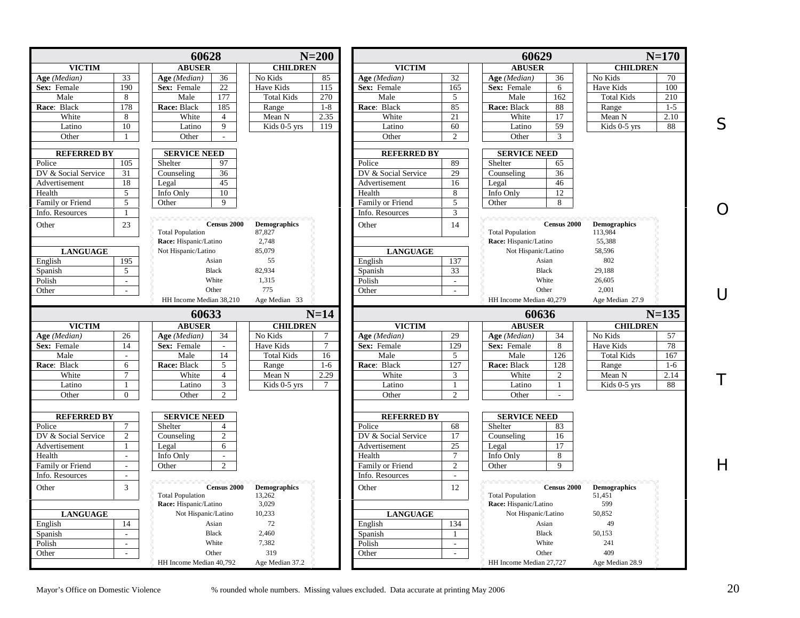|                                                |                             | 60628                                  |                               | $N=200$        |                            |                          | 60629                                  |                               | $N=170$ |
|------------------------------------------------|-----------------------------|----------------------------------------|-------------------------------|----------------|----------------------------|--------------------------|----------------------------------------|-------------------------------|---------|
| <b>VICTIM</b>                                  |                             | <b>ABUSER</b>                          | <b>CHILDREN</b>               |                | <b>VICTIM</b>              |                          | <b>ABUSER</b>                          | <b>CHILDREN</b>               |         |
| Age (Median)                                   | 33                          | Age (Median)<br>36                     | No Kids                       | 85             | Age (Median)               | 32                       | Age (Median)<br>36                     | No Kids                       | 70      |
| Sex: Female                                    | 190                         | $22\,$<br>Sex: Female                  | Have Kids                     | 115            | Sex: Female                | 165                      | Sex: Female<br>6                       | Have Kids                     | 100     |
| Male                                           | 8                           | 177<br>Male                            | <b>Total Kids</b>             | 270            | Male                       | 5                        | Male<br>162                            | <b>Total Kids</b>             | 210     |
| Race: Black                                    | 178                         | Race: Black<br>185                     | Range                         | $1 - 8$        | Race: Black                | 85                       | Race: Black<br>88                      | Range                         | $1 - 5$ |
| White                                          | 8                           | White<br>$\overline{4}$                | Mean N                        | 2.35           | White                      | 21                       | White<br>17                            | Mean N                        | 2.10    |
| Latino                                         | 10                          | 9<br>Latino                            | Kids 0-5 yrs                  | 119            | Latino                     | 60                       | 59<br>Latino                           | Kids 0-5 yrs                  | 88      |
| Other                                          |                             | Other<br>$\sim$                        |                               |                | Other                      | $\overline{c}$           | Other<br>3                             |                               |         |
|                                                |                             |                                        |                               |                |                            |                          |                                        |                               |         |
| <b>REFERRED BY</b>                             |                             | <b>SERVICE NEED</b>                    |                               |                | <b>REFERRED BY</b>         |                          | <b>SERVICE NEED</b>                    |                               |         |
| Police                                         | 105                         | 97<br>Shelter                          |                               |                | Police                     | 89                       | Shelter<br>65                          |                               |         |
| DV & Social Service                            | 31                          | 36<br>Counseling                       |                               |                | DV & Social Service        | 29                       | 36<br>Counseling                       |                               |         |
| Advertisement                                  | 18                          | 45<br>Legal                            |                               |                | Advertisement              | 16                       | 46<br>Legal                            |                               |         |
| Health                                         | 5                           | 10<br>Info Only                        |                               |                | Health                     | 8                        | Info Only<br>12                        |                               |         |
| Family or Friend                               | 5                           | 9<br>Other                             |                               |                | Family or Friend           | 5                        | 8<br>Other                             |                               |         |
| Info. Resources                                |                             |                                        |                               |                | Info. Resources            | 3                        |                                        |                               |         |
| Other                                          | 23                          | <b>Census 2000</b>                     | <b>Demographics</b>           |                | Other                      | 14                       | Census 2000                            | <b>Demographics</b>           |         |
|                                                |                             | <b>Total Population</b>                | 87,827                        |                |                            |                          | <b>Total Population</b>                | 113,984                       |         |
|                                                |                             | Race: Hispanic/Latino                  | 2,748                         |                |                            |                          | Race: Hispanic/Latino                  | 55,388                        |         |
| <b>LANGUAGE</b>                                |                             | Not Hispanic/Latino                    | 85,079                        |                | <b>LANGUAGE</b>            |                          | Not Hispanic/Latino                    | 58,596                        |         |
| English                                        | 195                         | Asian                                  | 55                            |                | English                    | 137                      | Asian                                  | 802                           |         |
| Spanish                                        | 5 <sup>5</sup>              | <b>Black</b>                           | 82,934                        |                | Spanish                    | 33                       | <b>Black</b>                           | 29,188                        |         |
| Polish                                         | $\blacksquare$              | White                                  | 1,315                         |                | Polish                     | $\sim$                   | White                                  | 26,605                        |         |
| Other                                          | $\sim$                      | Other                                  | 775                           |                | Other                      | $\sim$                   | Other                                  | 2,001                         |         |
|                                                |                             | HH Income Median 38,210                | Age Median 33                 |                |                            |                          | HH Income Median 40,279                | Age Median 27.9               |         |
|                                                |                             | 60633                                  |                               | $N=14$         |                            |                          | 60636                                  |                               | $N=135$ |
| <b>VICTIM</b>                                  |                             | <b>ABUSER</b>                          | <b>CHILDREN</b>               |                | <b>VICTIM</b>              |                          | <b>ABUSER</b>                          | <b>CHILDREN</b>               |         |
| Age (Median)                                   | 26                          | 34<br>Age (Median)                     | No Kids                       |                | Age (Median)               | 29                       | Age (Median)<br>34                     | No Kids                       | 57      |
| Sex: Female                                    | 14                          | Sex: Female                            | Have Kids                     | $\overline{7}$ | Sex: Female                | 129                      | Sex: Female<br>8                       | Have Kids                     | 78      |
| Male                                           | $\mathcal{L}$               | 14<br>Male                             | <b>Total Kids</b>             | 16             | Male                       | 5                        | Male<br>126                            | <b>Total Kids</b>             | 167     |
| Race: Black                                    | 6                           | Race: Black<br>5                       | Range                         | $1-6$          | Race: Black                | 127                      | Race: Black<br>128                     | Range                         | $1-6$   |
| White                                          | $\tau$                      | White<br>$\overline{4}$                | Mean N                        | 2.29           | White                      | 3                        | White<br>2                             | Mean N                        | 2.14    |
| Latino                                         | -1                          | 3<br>Latino                            | Kids 0-5 yrs                  | 7              | Latino                     | $\overline{1}$           | Latino<br>1                            | Kids 0-5 yrs                  | 88      |
| Other                                          |                             |                                        |                               |                |                            |                          |                                        |                               |         |
|                                                | $\theta$                    | $\overline{2}$<br>Other                |                               |                | Other                      | $\overline{c}$           | Other                                  |                               |         |
|                                                |                             |                                        |                               |                |                            |                          |                                        |                               |         |
| <b>REFERRED BY</b>                             |                             | <b>SERVICE NEED</b>                    |                               |                | <b>REFERRED BY</b>         |                          | <b>SERVICE NEED</b>                    |                               |         |
|                                                |                             | Shelter<br>$\overline{4}$              |                               |                | Police                     | 68                       | Shelter<br>83                          |                               |         |
|                                                | $\overline{c}$              | $\overline{2}$<br>Counseling           |                               |                | DV & Social Service        | 17                       | Counseling<br>16                       |                               |         |
| Police<br>DV & Social Service<br>Advertisement | $\mathbf{1}$                | 6<br>Legal                             |                               |                | Advertisement              | 25                       | 17<br>Legal                            |                               |         |
|                                                | $\sim$                      | Info Only<br>$\sim$                    |                               |                | Health                     | $\overline{7}$           | Info Only<br>8                         |                               |         |
|                                                | $\sim$                      | $\overline{2}$<br>Other                |                               |                | Family or Friend           | $\overline{2}$           | $\mathbf{Q}$<br>Other                  |                               |         |
| Health<br>Family or Friend<br>Info. Resources  | $\sim$                      |                                        |                               |                | Info. Resources            | $\overline{\phantom{a}}$ |                                        |                               |         |
|                                                |                             |                                        |                               |                |                            |                          |                                        |                               |         |
| Other                                          | 3                           | Census 2000<br><b>Total Population</b> | <b>Demographics</b><br>13,262 |                | Other                      | 12                       | Census 2000<br><b>Total Population</b> | <b>Demographics</b><br>51,451 |         |
|                                                |                             | Race: Hispanic/Latino                  | 3,029                         |                |                            |                          | Race: Hispanic/Latino                  | 599                           |         |
| <b>LANGUAGE</b>                                |                             | Not Hispanic/Latino                    | 10,233                        |                |                            |                          | Not Hispanic/Latino                    | 50,852                        |         |
| English                                        | 14                          | Asian                                  | 72                            |                | <b>LANGUAGE</b><br>English | 134                      | Asian                                  | 49                            |         |
|                                                | $\mathcal{L}^{\mathcal{L}}$ | <b>Black</b>                           | 2,460                         |                | Spanish                    | $\overline{1}$           | <b>Black</b>                           | 50,153                        |         |
|                                                | $\sim$                      | White                                  |                               |                |                            | $\sim$                   | White                                  |                               |         |
| Spanish<br>Polish<br>Other                     | $\sim$                      | Other                                  | 7,382<br>319                  |                | Polish<br>Other            | $\mathbb{Z}^2$           | Other                                  | 241<br>409                    |         |

S

O

U

T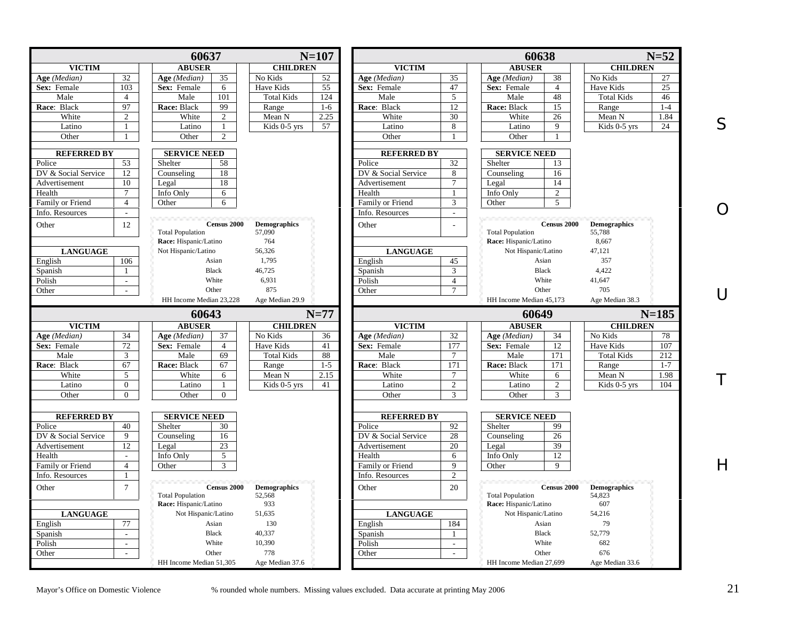|                                                |                          | 60637                         |                               | $N=107$ |                     |                | 60638                   |                    |                               | $N=52$                        |
|------------------------------------------------|--------------------------|-------------------------------|-------------------------------|---------|---------------------|----------------|-------------------------|--------------------|-------------------------------|-------------------------------|
| <b>VICTIM</b>                                  |                          | <b>ABUSER</b>                 | <b>CHILDREN</b>               |         | <b>VICTIM</b>       |                | <b>ABUSER</b>           |                    | <b>CHILDREN</b>               |                               |
| Age (Median)                                   | 32                       | 35<br>Age (Median)            | No Kids                       | 52      | Age (Median)        | 35             | Age (Median)            | 38                 | No Kids                       | 27                            |
| Sex: Female                                    | 103                      | Sex: Female<br>6              | Have Kids                     | 55      | Sex: Female         | 47             | Sex: Female             | $\overline{4}$     | Have Kids                     | 25                            |
| Male                                           | $\overline{4}$           | 101<br>Male                   | <b>Total Kids</b>             | 124     | Male                | 5              | Male                    | 48                 | <b>Total Kids</b>             | 46                            |
| Race: Black                                    | 97                       | 99<br>Race: Black             | Range                         | $1-6$   | Race: Black         | 12             | Race: Black             | 15                 | Range                         | $1-4$                         |
| White                                          | 2                        | White<br>2                    | Mean N                        | 2.25    | White               | 30             | White                   | 26                 | Mean N                        | 1.84                          |
| Latino                                         | -1                       | Latino<br>$\mathbf{1}$        | Kids 0-5 yrs                  | 57      | Latino              | 8              | Latino                  | 9                  | Kids 0-5 yrs                  | 24                            |
| Other                                          |                          | Other<br>$\overline{c}$       |                               |         | Other               | -1             | Other                   |                    |                               |                               |
|                                                |                          |                               |                               |         |                     |                |                         |                    |                               |                               |
| <b>REFERRED BY</b>                             |                          | <b>SERVICE NEED</b>           |                               |         | <b>REFERRED BY</b>  |                | <b>SERVICE NEED</b>     |                    |                               |                               |
| Police                                         | 53                       | 58<br>Shelter                 |                               |         | Police              | 32             | Shelter                 | 13                 |                               |                               |
| DV & Social Service                            | 12                       | 18<br>Counseling              |                               |         | DV & Social Service | 8              | Counseling              | 16                 |                               |                               |
| Advertisement                                  | 10                       | 18<br>Legal                   |                               |         | Advertisement       | $\tau$         | Legal                   | 14                 |                               |                               |
| Health                                         | $\tau$                   | Info Only<br>6                |                               |         | Health              | $\mathbf{1}$   | Info Only               | $\overline{2}$     |                               |                               |
| Family or Friend                               | $\overline{4}$           | 6<br>Other                    |                               |         | Family or Friend    | 3              | Other                   | 5                  |                               |                               |
| Info. Resources                                | $\sim$                   |                               |                               |         | Info. Resources     | $\overline{a}$ |                         |                    |                               |                               |
| Other                                          | 12                       | <b>Census 2000</b>            | <b>Demographics</b>           |         | Other               |                |                         | <b>Census 2000</b> | <b>Demographics</b>           |                               |
|                                                |                          | <b>Total Population</b>       | 57,090                        |         |                     |                | <b>Total Population</b> |                    | 55,788                        |                               |
|                                                |                          | Race: Hispanic/Latino         | 764                           |         |                     |                | Race: Hispanic/Latino   |                    | 8,667                         |                               |
| <b>LANGUAGE</b>                                |                          | Not Hispanic/Latino           | 56,326                        |         | <b>LANGUAGE</b>     |                | Not Hispanic/Latino     |                    | 47,121                        |                               |
| English                                        | 106                      | Asian                         | 1,795                         |         | English             | 45             |                         | Asian              | 357                           |                               |
| Spanish                                        | $\overline{1}$           | <b>Black</b>                  | 46,725                        |         | Spanish             | 3              | <b>Black</b>            |                    | 4.422                         |                               |
| Polish                                         | $\sim$                   | White                         | 6,931                         |         | Polish              | $\overline{4}$ |                         | White              | 41,647                        |                               |
| Other                                          | $\overline{\phantom{a}}$ | Other                         | 875                           |         | Other               | $\tau$         | Other                   |                    | 705                           |                               |
|                                                |                          | HH Income Median 23.228       | Age Median 29.9               |         |                     |                | HH Income Median 45.173 |                    | Age Median 38.3               |                               |
|                                                |                          |                               |                               |         |                     |                |                         |                    |                               |                               |
|                                                |                          | 60643                         |                               | $N=77$  |                     |                | 60649                   |                    |                               | $N = 185$                     |
| <b>VICTIM</b>                                  |                          | <b>ABUSER</b>                 | <b>CHILDREN</b>               |         | <b>VICTIM</b>       |                | <b>ABUSER</b>           |                    | <b>CHILDREN</b>               |                               |
| Age (Median)                                   | 34                       | Age (Median)<br>37            | No Kids                       | 36      | Age (Median)        | 32<br>177      | Age (Median)            | 34                 | No Kids<br>Have Kids          | 78                            |
| Sex: Female                                    | 72                       | Sex: Female<br>$\overline{4}$ | Have Kids                     | 41      |                     |                | Sex: Female             | 12                 |                               | 107                           |
| Male                                           | 3                        |                               |                               |         | Sex: Female         |                |                         |                    |                               |                               |
|                                                |                          | 69<br>Male                    | <b>Total Kids</b>             | 88      | Male                | $\overline{7}$ | Male                    | 171                | <b>Total Kids</b>             |                               |
|                                                | 67                       | 67<br>Race: Black             | Range                         | $1 - 5$ | Race: Black         | 171            | Race: Black             | 171                | Range                         |                               |
| White                                          | 5                        | White<br>6                    | Mean N                        | 2.15    | White               | $\tau$         | White                   | 6                  | Mean N                        |                               |
| Latino                                         | $\overline{0}$           | Latino<br>$\mathbf{1}$        | Kids 0-5 yrs                  | 41      | Latino              | 2              | Latino                  | $\mathbf{2}$       | Kids 0-5 yrs                  | 212<br>$1 - 7$<br>1.98<br>104 |
| Race: Black<br>Other                           | $\Omega$                 | Other<br>$\Omega$             |                               |         | Other               | 3              | Other                   | 3                  |                               |                               |
|                                                |                          |                               |                               |         |                     |                |                         |                    |                               |                               |
| <b>REFERRED BY</b>                             |                          | <b>SERVICE NEED</b>           |                               |         | <b>REFERRED BY</b>  |                | <b>SERVICE NEED</b>     |                    |                               |                               |
|                                                | 40                       | Shelter<br>30                 |                               |         | Police              | 92             | Shelter                 | 99                 |                               |                               |
| Police<br>DV & Social Service                  | $\mathbf Q$              | Counseling<br>16              |                               |         | DV & Social Service | 28             | Counseling              | 26                 |                               |                               |
|                                                | 12                       | 23<br>Legal                   |                               |         | Advertisement       | 20             | Legal                   | 39                 |                               |                               |
| Advertisement<br>Health                        | $\sim$                   | $\mathfrak{F}$<br>Info Only   |                               |         | Health              | 6              | Info Only               | 12                 |                               |                               |
|                                                | $\overline{4}$           | 3<br>Other                    |                               |         | Family or Friend    | 9              | Other                   | 9                  |                               |                               |
|                                                | $\mathbf{1}$             |                               |                               |         | Info. Resources     | $\overline{c}$ |                         |                    |                               |                               |
| Family or Friend<br>Info. Resources            | $\overline{7}$           | Census 2000                   |                               |         |                     |                |                         | Census 2000        |                               |                               |
|                                                |                          | <b>Total Population</b>       | <b>Demographics</b><br>52,568 |         | Other               | 20             | <b>Total Population</b> |                    | <b>Demographics</b><br>54,823 |                               |
|                                                |                          | Race: Hispanic/Latino         | 933                           |         |                     |                | Race: Hispanic/Latino   |                    | 607                           |                               |
| <b>LANGUAGE</b>                                |                          | Not Hispanic/Latino           | 51,635                        |         | <b>LANGUAGE</b>     |                | Not Hispanic/Latino     |                    | 54,216                        |                               |
|                                                | 77                       | Asian                         | 130                           |         |                     | 184            |                         | Asian              | 79                            |                               |
|                                                | $\mathcal{L}$            | <b>Black</b>                  | 40,337                        |         | English             | $\mathbf{1}$   | <b>Black</b>            |                    | 52,779                        |                               |
|                                                | $\sim$                   | White                         |                               |         | Spanish             | $\sim$         |                         | White              |                               |                               |
| Other<br>English<br>Spanish<br>Polish<br>Other | $\sim$                   | Other                         | 10,390<br>778                 |         | Polish<br>Other     | $\sim$         | Other                   |                    | 682<br>676                    |                               |

S

O

U

T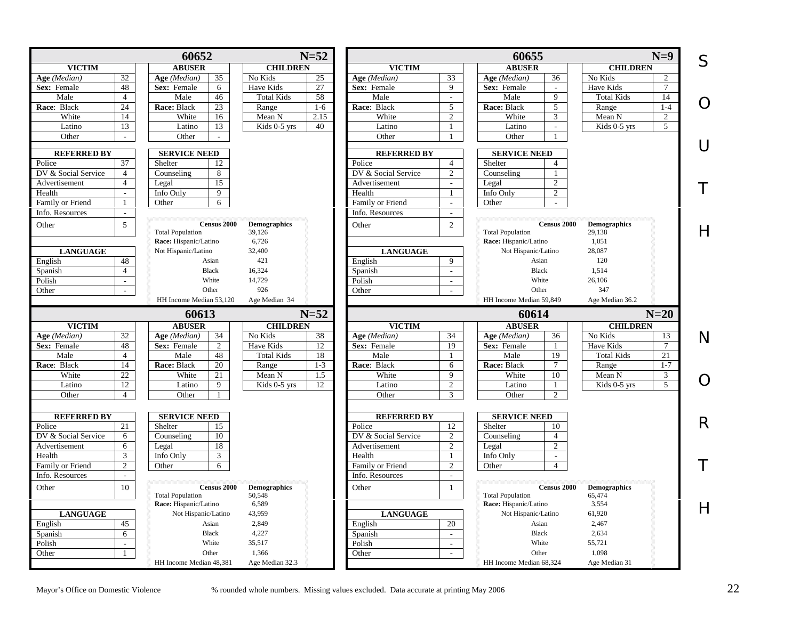<span id="page-21-0"></span>

| S<br><b>ABUSER</b><br><b>ABUSER</b><br><b>VICTIM</b><br><b>CHILDREN</b><br><b>VICTIM</b><br><b>CHILDREN</b><br>32<br>No Kids<br>33<br>36<br>No Kids<br>Age (Median)<br>Age (Median)<br>35<br>25<br>Age (Median)<br>Age (Median)<br>2<br>48<br>Sex: Female<br>Sex: Female<br>Have Kids<br>27<br>Sex: Female<br>9<br>Sex: Female<br>Have Kids<br>6<br>$\tau$<br>$\sim$<br>58<br>9<br>Male<br>$\overline{4}$<br>Male<br>46<br><b>Total Kids</b><br>Male<br>Male<br><b>Total Kids</b><br>14<br>$\omega$<br>$\Omega$<br>24<br>23<br>Race: Black<br>5<br>$1-4$<br>Race: Black<br>Race: Black<br>Range<br>$1-6$<br>5<br>Race: Black<br>Range<br>White<br>White<br>White<br>14<br>White<br>16<br>Mean N<br>2.15<br>Mean N<br>2<br>3<br>2<br>13<br>Kids 0-5 yrs<br>40<br>Kids 0-5 yrs<br>Latino<br>Latino<br>13<br>Latino<br>Latino<br>5<br>-1<br>$\blacksquare$<br>Other<br>Other<br>Other<br>Other<br>$\sim$<br>-1<br>$\sim$<br>$\cup$<br><b>SERVICE NEED</b><br><b>REFERRED BY</b><br><b>REFERRED BY</b><br><b>SERVICE NEED</b><br>37<br>Police<br>12<br>$\overline{4}$<br>Shelter<br>Police<br>Shelter<br>$\boldsymbol{\Delta}$<br>DV & Social Service<br>$\overline{4}$<br>8<br>DV & Social Service<br>2<br>Counseling<br>Counseling<br>15<br>$\overline{4}$<br>Advertisement<br>Advertisement<br>Legal<br>$\overline{2}$<br>Legal<br>$\sim$<br>Info Only<br>9<br>Health<br>Info Only<br>$\overline{2}$<br>Health<br>$\mathbf{1}$<br>$\sim$<br>Family or Friend<br>Other<br>6<br>Family or Friend<br>Other<br>1<br>$\sim$<br>Info. Resources<br>Info. Resources<br>$\mathcal{L}$<br>$\sim$<br>5<br><b>Census 2000</b><br>2<br><b>Census 2000</b><br><b>Demographics</b><br>Other<br><b>Demographics</b><br>Other<br>$\mathsf{H}$<br><b>Total Population</b><br><b>Total Population</b><br>39,126<br>29,138<br>Race: Hispanic/Latino<br>1,051<br>Race: Hispanic/Latino<br>6,726<br>Not Hispanic/Latino<br>32,400<br>28,087<br><b>LANGUAGE</b><br><b>LANGUAGE</b><br>Not Hispanic/Latino<br>$\overline{9}$<br>English<br>48<br>421<br>English<br>Asian<br>120<br>Asian<br>$\overline{4}$<br><b>Black</b><br><b>Black</b><br>16,324<br>Spanish<br>1,514<br>Spanish<br>$\sim$<br>White<br>White<br>14,729<br>26,106<br>Polish<br>Polish<br>$\omega$<br>$\mathbb{Z}^2$<br>926<br>Other<br>347<br>Other<br>Other<br>Other<br>$\mathbb{L}$<br>$\sim$<br>HH Income Median 53.120<br>HH Income Median 59,849<br>Age Median 36.2<br>Age Median 34<br>$N=20$<br>60613<br>$N=52$<br>60614<br><b>VICTIM</b><br><b>ABUSER</b><br><b>CHILDREN</b><br><b>VICTIM</b><br><b>ABUSER</b><br><b>CHILDREN</b><br>$\overline{32}$<br>$\overline{34}$<br>No Kids<br>Age (Median)<br>Age (Median)<br>34<br>No Kids<br>38<br>Age (Median)<br>Age (Median)<br>36<br>13<br>N<br>Have Kids<br>$\tau$<br>Sex: Female<br>48<br>Sex: Female<br>2<br>Have Kids<br>12<br>Sex: Female<br>19<br>Sex: Female<br>$\overline{4}$<br>48<br>18<br>19<br>21<br>Male<br>Male<br><b>Total Kids</b><br>Male<br>Male<br><b>Total Kids</b><br>-1<br>14<br>Race: Black<br>Race: Black<br>20<br>$1 - 3$<br>Race: Black<br>Race: Black<br>$\tau$<br>$1 - 7$<br>Range<br>6<br>Range<br>$\overline{22}$<br>White<br>White<br>White<br>White<br>Mean N<br>3<br>21<br>Mean N<br>1.5<br>9<br>10<br>$\Omega$<br>12<br>2<br>Kids 0-5 yrs<br>5<br>Latino<br>Latino<br>9<br>Kids 0-5 yrs<br>12<br>Latino<br>Latino<br>$\mathbf{1}$<br>Other<br>Other<br>Other<br>Other<br>$\overline{4}$<br>3<br>$\overline{2}$<br>1<br><b>SERVICE NEED</b><br><b>REFERRED BY</b><br><b>REFERRED BY</b><br><b>SERVICE NEED</b><br>21<br>12<br>Shelter<br>Police<br>Shelter<br>15<br>Police<br>10<br>2<br>DV & Social Service<br>6<br>10<br>DV & Social Service<br>Counseling<br>Counseling<br>$\overline{4}$<br>6<br>18<br>2<br>$\overline{2}$<br>Advertisement<br>Legal<br>Advertisement<br>Legal<br>3<br>3<br>Health<br>Info Only<br>Health<br>Info Only<br>-1<br>$\mathbf{r}$<br>Τ<br>Family or Friend<br>$\overline{2}$<br>Family or Friend<br>$\overline{2}$<br>Other<br>Other<br>6<br>$\overline{4}$<br>Info. Resources<br>Info. Resources<br>$\overline{\phantom{a}}$<br>$\overline{\phantom{a}}$<br>10<br>Census 2000<br><b>Census 2000</b><br><b>Demographics</b><br><b>Demographics</b><br>Other<br>Other<br>$\mathbf{1}$<br><b>Total Population</b><br>50,548<br><b>Total Population</b><br>65,474<br>6,589<br>3,554<br>Race: Hispanic/Latino<br>Race: Hispanic/Latino<br>$\overline{H}$<br>61,920<br><b>LANGUAGE</b><br>Not Hispanic/Latino<br>43,959<br><b>LANGUAGE</b><br>Not Hispanic/Latino<br>45<br>20<br>English<br>Asian<br>2,849<br>English<br>Asian<br>2,467<br>6<br><b>Black</b><br>4,227<br>Spanish<br><b>Black</b><br>2,634<br>Spanish<br>$\mathcal{L}^{\mathcal{L}}$<br>White<br>Polish<br>$\mathcal{L}^{\pm}$<br>White<br>35,517<br>Polish<br>55,721<br>$\mathbb{L}$<br>1.366<br>Other<br>1.098<br>Other<br>$\mathbf{1}$<br>Other<br>Other<br>$\sim$<br>HH Income Median 48,381<br>Age Median 32.3<br>HH Income Median 68.324<br>Age Median 31 |  | 60652 | $N=52$ |  | 60655 | $N=9$ |   |
|-------------------------------------------------------------------------------------------------------------------------------------------------------------------------------------------------------------------------------------------------------------------------------------------------------------------------------------------------------------------------------------------------------------------------------------------------------------------------------------------------------------------------------------------------------------------------------------------------------------------------------------------------------------------------------------------------------------------------------------------------------------------------------------------------------------------------------------------------------------------------------------------------------------------------------------------------------------------------------------------------------------------------------------------------------------------------------------------------------------------------------------------------------------------------------------------------------------------------------------------------------------------------------------------------------------------------------------------------------------------------------------------------------------------------------------------------------------------------------------------------------------------------------------------------------------------------------------------------------------------------------------------------------------------------------------------------------------------------------------------------------------------------------------------------------------------------------------------------------------------------------------------------------------------------------------------------------------------------------------------------------------------------------------------------------------------------------------------------------------------------------------------------------------------------------------------------------------------------------------------------------------------------------------------------------------------------------------------------------------------------------------------------------------------------------------------------------------------------------------------------------------------------------------------------------------------------------------------------------------------------------------------------------------------------------------------------------------------------------------------------------------------------------------------------------------------------------------------------------------------------------------------------------------------------------------------------------------------------------------------------------------------------------------------------------------------------------------------------------------------------------------------------------------------------------------------------------------------------------------------------------------------------------------------------------------------------------------------------------------------------------------------------------------------------------------------------------------------------------------------------------------------------------------------------------------------------------------------------------------------------------------------------------------------------------------------------------------------------------------------------------------------------------------------------------------------------------------------------------------------------------------------------------------------------------------------------------------------------------------------------------------------------------------------------------------------------------------------------------------------------------------------------------------------------------------------------------------------------------------------------------------------------------------------------------------------------------------------------------------------------------------------------------------------------------------------------------------------------------------------------------------------------------------------------------------------------------------------------------------------------------------------------------------------------------------------------------------------------------------------------------------------------------------------------------------------------------------------------------------------------------------------------------------------------------------------------------------------------------------------|--|-------|--------|--|-------|-------|---|
|                                                                                                                                                                                                                                                                                                                                                                                                                                                                                                                                                                                                                                                                                                                                                                                                                                                                                                                                                                                                                                                                                                                                                                                                                                                                                                                                                                                                                                                                                                                                                                                                                                                                                                                                                                                                                                                                                                                                                                                                                                                                                                                                                                                                                                                                                                                                                                                                                                                                                                                                                                                                                                                                                                                                                                                                                                                                                                                                                                                                                                                                                                                                                                                                                                                                                                                                                                                                                                                                                                                                                                                                                                                                                                                                                                                                                                                                                                                                                                                                                                                                                                                                                                                                                                                                                                                                                                                                                                                                                                                                                                                                                                                                                                                                                                                                                                                                                                                                                                                           |  |       |        |  |       |       |   |
|                                                                                                                                                                                                                                                                                                                                                                                                                                                                                                                                                                                                                                                                                                                                                                                                                                                                                                                                                                                                                                                                                                                                                                                                                                                                                                                                                                                                                                                                                                                                                                                                                                                                                                                                                                                                                                                                                                                                                                                                                                                                                                                                                                                                                                                                                                                                                                                                                                                                                                                                                                                                                                                                                                                                                                                                                                                                                                                                                                                                                                                                                                                                                                                                                                                                                                                                                                                                                                                                                                                                                                                                                                                                                                                                                                                                                                                                                                                                                                                                                                                                                                                                                                                                                                                                                                                                                                                                                                                                                                                                                                                                                                                                                                                                                                                                                                                                                                                                                                                           |  |       |        |  |       |       |   |
|                                                                                                                                                                                                                                                                                                                                                                                                                                                                                                                                                                                                                                                                                                                                                                                                                                                                                                                                                                                                                                                                                                                                                                                                                                                                                                                                                                                                                                                                                                                                                                                                                                                                                                                                                                                                                                                                                                                                                                                                                                                                                                                                                                                                                                                                                                                                                                                                                                                                                                                                                                                                                                                                                                                                                                                                                                                                                                                                                                                                                                                                                                                                                                                                                                                                                                                                                                                                                                                                                                                                                                                                                                                                                                                                                                                                                                                                                                                                                                                                                                                                                                                                                                                                                                                                                                                                                                                                                                                                                                                                                                                                                                                                                                                                                                                                                                                                                                                                                                                           |  |       |        |  |       |       |   |
|                                                                                                                                                                                                                                                                                                                                                                                                                                                                                                                                                                                                                                                                                                                                                                                                                                                                                                                                                                                                                                                                                                                                                                                                                                                                                                                                                                                                                                                                                                                                                                                                                                                                                                                                                                                                                                                                                                                                                                                                                                                                                                                                                                                                                                                                                                                                                                                                                                                                                                                                                                                                                                                                                                                                                                                                                                                                                                                                                                                                                                                                                                                                                                                                                                                                                                                                                                                                                                                                                                                                                                                                                                                                                                                                                                                                                                                                                                                                                                                                                                                                                                                                                                                                                                                                                                                                                                                                                                                                                                                                                                                                                                                                                                                                                                                                                                                                                                                                                                                           |  |       |        |  |       |       |   |
|                                                                                                                                                                                                                                                                                                                                                                                                                                                                                                                                                                                                                                                                                                                                                                                                                                                                                                                                                                                                                                                                                                                                                                                                                                                                                                                                                                                                                                                                                                                                                                                                                                                                                                                                                                                                                                                                                                                                                                                                                                                                                                                                                                                                                                                                                                                                                                                                                                                                                                                                                                                                                                                                                                                                                                                                                                                                                                                                                                                                                                                                                                                                                                                                                                                                                                                                                                                                                                                                                                                                                                                                                                                                                                                                                                                                                                                                                                                                                                                                                                                                                                                                                                                                                                                                                                                                                                                                                                                                                                                                                                                                                                                                                                                                                                                                                                                                                                                                                                                           |  |       |        |  |       |       |   |
|                                                                                                                                                                                                                                                                                                                                                                                                                                                                                                                                                                                                                                                                                                                                                                                                                                                                                                                                                                                                                                                                                                                                                                                                                                                                                                                                                                                                                                                                                                                                                                                                                                                                                                                                                                                                                                                                                                                                                                                                                                                                                                                                                                                                                                                                                                                                                                                                                                                                                                                                                                                                                                                                                                                                                                                                                                                                                                                                                                                                                                                                                                                                                                                                                                                                                                                                                                                                                                                                                                                                                                                                                                                                                                                                                                                                                                                                                                                                                                                                                                                                                                                                                                                                                                                                                                                                                                                                                                                                                                                                                                                                                                                                                                                                                                                                                                                                                                                                                                                           |  |       |        |  |       |       |   |
|                                                                                                                                                                                                                                                                                                                                                                                                                                                                                                                                                                                                                                                                                                                                                                                                                                                                                                                                                                                                                                                                                                                                                                                                                                                                                                                                                                                                                                                                                                                                                                                                                                                                                                                                                                                                                                                                                                                                                                                                                                                                                                                                                                                                                                                                                                                                                                                                                                                                                                                                                                                                                                                                                                                                                                                                                                                                                                                                                                                                                                                                                                                                                                                                                                                                                                                                                                                                                                                                                                                                                                                                                                                                                                                                                                                                                                                                                                                                                                                                                                                                                                                                                                                                                                                                                                                                                                                                                                                                                                                                                                                                                                                                                                                                                                                                                                                                                                                                                                                           |  |       |        |  |       |       |   |
|                                                                                                                                                                                                                                                                                                                                                                                                                                                                                                                                                                                                                                                                                                                                                                                                                                                                                                                                                                                                                                                                                                                                                                                                                                                                                                                                                                                                                                                                                                                                                                                                                                                                                                                                                                                                                                                                                                                                                                                                                                                                                                                                                                                                                                                                                                                                                                                                                                                                                                                                                                                                                                                                                                                                                                                                                                                                                                                                                                                                                                                                                                                                                                                                                                                                                                                                                                                                                                                                                                                                                                                                                                                                                                                                                                                                                                                                                                                                                                                                                                                                                                                                                                                                                                                                                                                                                                                                                                                                                                                                                                                                                                                                                                                                                                                                                                                                                                                                                                                           |  |       |        |  |       |       |   |
|                                                                                                                                                                                                                                                                                                                                                                                                                                                                                                                                                                                                                                                                                                                                                                                                                                                                                                                                                                                                                                                                                                                                                                                                                                                                                                                                                                                                                                                                                                                                                                                                                                                                                                                                                                                                                                                                                                                                                                                                                                                                                                                                                                                                                                                                                                                                                                                                                                                                                                                                                                                                                                                                                                                                                                                                                                                                                                                                                                                                                                                                                                                                                                                                                                                                                                                                                                                                                                                                                                                                                                                                                                                                                                                                                                                                                                                                                                                                                                                                                                                                                                                                                                                                                                                                                                                                                                                                                                                                                                                                                                                                                                                                                                                                                                                                                                                                                                                                                                                           |  |       |        |  |       |       |   |
|                                                                                                                                                                                                                                                                                                                                                                                                                                                                                                                                                                                                                                                                                                                                                                                                                                                                                                                                                                                                                                                                                                                                                                                                                                                                                                                                                                                                                                                                                                                                                                                                                                                                                                                                                                                                                                                                                                                                                                                                                                                                                                                                                                                                                                                                                                                                                                                                                                                                                                                                                                                                                                                                                                                                                                                                                                                                                                                                                                                                                                                                                                                                                                                                                                                                                                                                                                                                                                                                                                                                                                                                                                                                                                                                                                                                                                                                                                                                                                                                                                                                                                                                                                                                                                                                                                                                                                                                                                                                                                                                                                                                                                                                                                                                                                                                                                                                                                                                                                                           |  |       |        |  |       |       |   |
|                                                                                                                                                                                                                                                                                                                                                                                                                                                                                                                                                                                                                                                                                                                                                                                                                                                                                                                                                                                                                                                                                                                                                                                                                                                                                                                                                                                                                                                                                                                                                                                                                                                                                                                                                                                                                                                                                                                                                                                                                                                                                                                                                                                                                                                                                                                                                                                                                                                                                                                                                                                                                                                                                                                                                                                                                                                                                                                                                                                                                                                                                                                                                                                                                                                                                                                                                                                                                                                                                                                                                                                                                                                                                                                                                                                                                                                                                                                                                                                                                                                                                                                                                                                                                                                                                                                                                                                                                                                                                                                                                                                                                                                                                                                                                                                                                                                                                                                                                                                           |  |       |        |  |       |       |   |
|                                                                                                                                                                                                                                                                                                                                                                                                                                                                                                                                                                                                                                                                                                                                                                                                                                                                                                                                                                                                                                                                                                                                                                                                                                                                                                                                                                                                                                                                                                                                                                                                                                                                                                                                                                                                                                                                                                                                                                                                                                                                                                                                                                                                                                                                                                                                                                                                                                                                                                                                                                                                                                                                                                                                                                                                                                                                                                                                                                                                                                                                                                                                                                                                                                                                                                                                                                                                                                                                                                                                                                                                                                                                                                                                                                                                                                                                                                                                                                                                                                                                                                                                                                                                                                                                                                                                                                                                                                                                                                                                                                                                                                                                                                                                                                                                                                                                                                                                                                                           |  |       |        |  |       |       |   |
|                                                                                                                                                                                                                                                                                                                                                                                                                                                                                                                                                                                                                                                                                                                                                                                                                                                                                                                                                                                                                                                                                                                                                                                                                                                                                                                                                                                                                                                                                                                                                                                                                                                                                                                                                                                                                                                                                                                                                                                                                                                                                                                                                                                                                                                                                                                                                                                                                                                                                                                                                                                                                                                                                                                                                                                                                                                                                                                                                                                                                                                                                                                                                                                                                                                                                                                                                                                                                                                                                                                                                                                                                                                                                                                                                                                                                                                                                                                                                                                                                                                                                                                                                                                                                                                                                                                                                                                                                                                                                                                                                                                                                                                                                                                                                                                                                                                                                                                                                                                           |  |       |        |  |       |       |   |
|                                                                                                                                                                                                                                                                                                                                                                                                                                                                                                                                                                                                                                                                                                                                                                                                                                                                                                                                                                                                                                                                                                                                                                                                                                                                                                                                                                                                                                                                                                                                                                                                                                                                                                                                                                                                                                                                                                                                                                                                                                                                                                                                                                                                                                                                                                                                                                                                                                                                                                                                                                                                                                                                                                                                                                                                                                                                                                                                                                                                                                                                                                                                                                                                                                                                                                                                                                                                                                                                                                                                                                                                                                                                                                                                                                                                                                                                                                                                                                                                                                                                                                                                                                                                                                                                                                                                                                                                                                                                                                                                                                                                                                                                                                                                                                                                                                                                                                                                                                                           |  |       |        |  |       |       |   |
|                                                                                                                                                                                                                                                                                                                                                                                                                                                                                                                                                                                                                                                                                                                                                                                                                                                                                                                                                                                                                                                                                                                                                                                                                                                                                                                                                                                                                                                                                                                                                                                                                                                                                                                                                                                                                                                                                                                                                                                                                                                                                                                                                                                                                                                                                                                                                                                                                                                                                                                                                                                                                                                                                                                                                                                                                                                                                                                                                                                                                                                                                                                                                                                                                                                                                                                                                                                                                                                                                                                                                                                                                                                                                                                                                                                                                                                                                                                                                                                                                                                                                                                                                                                                                                                                                                                                                                                                                                                                                                                                                                                                                                                                                                                                                                                                                                                                                                                                                                                           |  |       |        |  |       |       |   |
|                                                                                                                                                                                                                                                                                                                                                                                                                                                                                                                                                                                                                                                                                                                                                                                                                                                                                                                                                                                                                                                                                                                                                                                                                                                                                                                                                                                                                                                                                                                                                                                                                                                                                                                                                                                                                                                                                                                                                                                                                                                                                                                                                                                                                                                                                                                                                                                                                                                                                                                                                                                                                                                                                                                                                                                                                                                                                                                                                                                                                                                                                                                                                                                                                                                                                                                                                                                                                                                                                                                                                                                                                                                                                                                                                                                                                                                                                                                                                                                                                                                                                                                                                                                                                                                                                                                                                                                                                                                                                                                                                                                                                                                                                                                                                                                                                                                                                                                                                                                           |  |       |        |  |       |       |   |
|                                                                                                                                                                                                                                                                                                                                                                                                                                                                                                                                                                                                                                                                                                                                                                                                                                                                                                                                                                                                                                                                                                                                                                                                                                                                                                                                                                                                                                                                                                                                                                                                                                                                                                                                                                                                                                                                                                                                                                                                                                                                                                                                                                                                                                                                                                                                                                                                                                                                                                                                                                                                                                                                                                                                                                                                                                                                                                                                                                                                                                                                                                                                                                                                                                                                                                                                                                                                                                                                                                                                                                                                                                                                                                                                                                                                                                                                                                                                                                                                                                                                                                                                                                                                                                                                                                                                                                                                                                                                                                                                                                                                                                                                                                                                                                                                                                                                                                                                                                                           |  |       |        |  |       |       |   |
|                                                                                                                                                                                                                                                                                                                                                                                                                                                                                                                                                                                                                                                                                                                                                                                                                                                                                                                                                                                                                                                                                                                                                                                                                                                                                                                                                                                                                                                                                                                                                                                                                                                                                                                                                                                                                                                                                                                                                                                                                                                                                                                                                                                                                                                                                                                                                                                                                                                                                                                                                                                                                                                                                                                                                                                                                                                                                                                                                                                                                                                                                                                                                                                                                                                                                                                                                                                                                                                                                                                                                                                                                                                                                                                                                                                                                                                                                                                                                                                                                                                                                                                                                                                                                                                                                                                                                                                                                                                                                                                                                                                                                                                                                                                                                                                                                                                                                                                                                                                           |  |       |        |  |       |       |   |
|                                                                                                                                                                                                                                                                                                                                                                                                                                                                                                                                                                                                                                                                                                                                                                                                                                                                                                                                                                                                                                                                                                                                                                                                                                                                                                                                                                                                                                                                                                                                                                                                                                                                                                                                                                                                                                                                                                                                                                                                                                                                                                                                                                                                                                                                                                                                                                                                                                                                                                                                                                                                                                                                                                                                                                                                                                                                                                                                                                                                                                                                                                                                                                                                                                                                                                                                                                                                                                                                                                                                                                                                                                                                                                                                                                                                                                                                                                                                                                                                                                                                                                                                                                                                                                                                                                                                                                                                                                                                                                                                                                                                                                                                                                                                                                                                                                                                                                                                                                                           |  |       |        |  |       |       |   |
|                                                                                                                                                                                                                                                                                                                                                                                                                                                                                                                                                                                                                                                                                                                                                                                                                                                                                                                                                                                                                                                                                                                                                                                                                                                                                                                                                                                                                                                                                                                                                                                                                                                                                                                                                                                                                                                                                                                                                                                                                                                                                                                                                                                                                                                                                                                                                                                                                                                                                                                                                                                                                                                                                                                                                                                                                                                                                                                                                                                                                                                                                                                                                                                                                                                                                                                                                                                                                                                                                                                                                                                                                                                                                                                                                                                                                                                                                                                                                                                                                                                                                                                                                                                                                                                                                                                                                                                                                                                                                                                                                                                                                                                                                                                                                                                                                                                                                                                                                                                           |  |       |        |  |       |       |   |
|                                                                                                                                                                                                                                                                                                                                                                                                                                                                                                                                                                                                                                                                                                                                                                                                                                                                                                                                                                                                                                                                                                                                                                                                                                                                                                                                                                                                                                                                                                                                                                                                                                                                                                                                                                                                                                                                                                                                                                                                                                                                                                                                                                                                                                                                                                                                                                                                                                                                                                                                                                                                                                                                                                                                                                                                                                                                                                                                                                                                                                                                                                                                                                                                                                                                                                                                                                                                                                                                                                                                                                                                                                                                                                                                                                                                                                                                                                                                                                                                                                                                                                                                                                                                                                                                                                                                                                                                                                                                                                                                                                                                                                                                                                                                                                                                                                                                                                                                                                                           |  |       |        |  |       |       |   |
|                                                                                                                                                                                                                                                                                                                                                                                                                                                                                                                                                                                                                                                                                                                                                                                                                                                                                                                                                                                                                                                                                                                                                                                                                                                                                                                                                                                                                                                                                                                                                                                                                                                                                                                                                                                                                                                                                                                                                                                                                                                                                                                                                                                                                                                                                                                                                                                                                                                                                                                                                                                                                                                                                                                                                                                                                                                                                                                                                                                                                                                                                                                                                                                                                                                                                                                                                                                                                                                                                                                                                                                                                                                                                                                                                                                                                                                                                                                                                                                                                                                                                                                                                                                                                                                                                                                                                                                                                                                                                                                                                                                                                                                                                                                                                                                                                                                                                                                                                                                           |  |       |        |  |       |       |   |
|                                                                                                                                                                                                                                                                                                                                                                                                                                                                                                                                                                                                                                                                                                                                                                                                                                                                                                                                                                                                                                                                                                                                                                                                                                                                                                                                                                                                                                                                                                                                                                                                                                                                                                                                                                                                                                                                                                                                                                                                                                                                                                                                                                                                                                                                                                                                                                                                                                                                                                                                                                                                                                                                                                                                                                                                                                                                                                                                                                                                                                                                                                                                                                                                                                                                                                                                                                                                                                                                                                                                                                                                                                                                                                                                                                                                                                                                                                                                                                                                                                                                                                                                                                                                                                                                                                                                                                                                                                                                                                                                                                                                                                                                                                                                                                                                                                                                                                                                                                                           |  |       |        |  |       |       |   |
|                                                                                                                                                                                                                                                                                                                                                                                                                                                                                                                                                                                                                                                                                                                                                                                                                                                                                                                                                                                                                                                                                                                                                                                                                                                                                                                                                                                                                                                                                                                                                                                                                                                                                                                                                                                                                                                                                                                                                                                                                                                                                                                                                                                                                                                                                                                                                                                                                                                                                                                                                                                                                                                                                                                                                                                                                                                                                                                                                                                                                                                                                                                                                                                                                                                                                                                                                                                                                                                                                                                                                                                                                                                                                                                                                                                                                                                                                                                                                                                                                                                                                                                                                                                                                                                                                                                                                                                                                                                                                                                                                                                                                                                                                                                                                                                                                                                                                                                                                                                           |  |       |        |  |       |       |   |
|                                                                                                                                                                                                                                                                                                                                                                                                                                                                                                                                                                                                                                                                                                                                                                                                                                                                                                                                                                                                                                                                                                                                                                                                                                                                                                                                                                                                                                                                                                                                                                                                                                                                                                                                                                                                                                                                                                                                                                                                                                                                                                                                                                                                                                                                                                                                                                                                                                                                                                                                                                                                                                                                                                                                                                                                                                                                                                                                                                                                                                                                                                                                                                                                                                                                                                                                                                                                                                                                                                                                                                                                                                                                                                                                                                                                                                                                                                                                                                                                                                                                                                                                                                                                                                                                                                                                                                                                                                                                                                                                                                                                                                                                                                                                                                                                                                                                                                                                                                                           |  |       |        |  |       |       |   |
|                                                                                                                                                                                                                                                                                                                                                                                                                                                                                                                                                                                                                                                                                                                                                                                                                                                                                                                                                                                                                                                                                                                                                                                                                                                                                                                                                                                                                                                                                                                                                                                                                                                                                                                                                                                                                                                                                                                                                                                                                                                                                                                                                                                                                                                                                                                                                                                                                                                                                                                                                                                                                                                                                                                                                                                                                                                                                                                                                                                                                                                                                                                                                                                                                                                                                                                                                                                                                                                                                                                                                                                                                                                                                                                                                                                                                                                                                                                                                                                                                                                                                                                                                                                                                                                                                                                                                                                                                                                                                                                                                                                                                                                                                                                                                                                                                                                                                                                                                                                           |  |       |        |  |       |       |   |
|                                                                                                                                                                                                                                                                                                                                                                                                                                                                                                                                                                                                                                                                                                                                                                                                                                                                                                                                                                                                                                                                                                                                                                                                                                                                                                                                                                                                                                                                                                                                                                                                                                                                                                                                                                                                                                                                                                                                                                                                                                                                                                                                                                                                                                                                                                                                                                                                                                                                                                                                                                                                                                                                                                                                                                                                                                                                                                                                                                                                                                                                                                                                                                                                                                                                                                                                                                                                                                                                                                                                                                                                                                                                                                                                                                                                                                                                                                                                                                                                                                                                                                                                                                                                                                                                                                                                                                                                                                                                                                                                                                                                                                                                                                                                                                                                                                                                                                                                                                                           |  |       |        |  |       |       |   |
|                                                                                                                                                                                                                                                                                                                                                                                                                                                                                                                                                                                                                                                                                                                                                                                                                                                                                                                                                                                                                                                                                                                                                                                                                                                                                                                                                                                                                                                                                                                                                                                                                                                                                                                                                                                                                                                                                                                                                                                                                                                                                                                                                                                                                                                                                                                                                                                                                                                                                                                                                                                                                                                                                                                                                                                                                                                                                                                                                                                                                                                                                                                                                                                                                                                                                                                                                                                                                                                                                                                                                                                                                                                                                                                                                                                                                                                                                                                                                                                                                                                                                                                                                                                                                                                                                                                                                                                                                                                                                                                                                                                                                                                                                                                                                                                                                                                                                                                                                                                           |  |       |        |  |       |       |   |
|                                                                                                                                                                                                                                                                                                                                                                                                                                                                                                                                                                                                                                                                                                                                                                                                                                                                                                                                                                                                                                                                                                                                                                                                                                                                                                                                                                                                                                                                                                                                                                                                                                                                                                                                                                                                                                                                                                                                                                                                                                                                                                                                                                                                                                                                                                                                                                                                                                                                                                                                                                                                                                                                                                                                                                                                                                                                                                                                                                                                                                                                                                                                                                                                                                                                                                                                                                                                                                                                                                                                                                                                                                                                                                                                                                                                                                                                                                                                                                                                                                                                                                                                                                                                                                                                                                                                                                                                                                                                                                                                                                                                                                                                                                                                                                                                                                                                                                                                                                                           |  |       |        |  |       |       |   |
|                                                                                                                                                                                                                                                                                                                                                                                                                                                                                                                                                                                                                                                                                                                                                                                                                                                                                                                                                                                                                                                                                                                                                                                                                                                                                                                                                                                                                                                                                                                                                                                                                                                                                                                                                                                                                                                                                                                                                                                                                                                                                                                                                                                                                                                                                                                                                                                                                                                                                                                                                                                                                                                                                                                                                                                                                                                                                                                                                                                                                                                                                                                                                                                                                                                                                                                                                                                                                                                                                                                                                                                                                                                                                                                                                                                                                                                                                                                                                                                                                                                                                                                                                                                                                                                                                                                                                                                                                                                                                                                                                                                                                                                                                                                                                                                                                                                                                                                                                                                           |  |       |        |  |       |       |   |
|                                                                                                                                                                                                                                                                                                                                                                                                                                                                                                                                                                                                                                                                                                                                                                                                                                                                                                                                                                                                                                                                                                                                                                                                                                                                                                                                                                                                                                                                                                                                                                                                                                                                                                                                                                                                                                                                                                                                                                                                                                                                                                                                                                                                                                                                                                                                                                                                                                                                                                                                                                                                                                                                                                                                                                                                                                                                                                                                                                                                                                                                                                                                                                                                                                                                                                                                                                                                                                                                                                                                                                                                                                                                                                                                                                                                                                                                                                                                                                                                                                                                                                                                                                                                                                                                                                                                                                                                                                                                                                                                                                                                                                                                                                                                                                                                                                                                                                                                                                                           |  |       |        |  |       |       |   |
|                                                                                                                                                                                                                                                                                                                                                                                                                                                                                                                                                                                                                                                                                                                                                                                                                                                                                                                                                                                                                                                                                                                                                                                                                                                                                                                                                                                                                                                                                                                                                                                                                                                                                                                                                                                                                                                                                                                                                                                                                                                                                                                                                                                                                                                                                                                                                                                                                                                                                                                                                                                                                                                                                                                                                                                                                                                                                                                                                                                                                                                                                                                                                                                                                                                                                                                                                                                                                                                                                                                                                                                                                                                                                                                                                                                                                                                                                                                                                                                                                                                                                                                                                                                                                                                                                                                                                                                                                                                                                                                                                                                                                                                                                                                                                                                                                                                                                                                                                                                           |  |       |        |  |       |       |   |
|                                                                                                                                                                                                                                                                                                                                                                                                                                                                                                                                                                                                                                                                                                                                                                                                                                                                                                                                                                                                                                                                                                                                                                                                                                                                                                                                                                                                                                                                                                                                                                                                                                                                                                                                                                                                                                                                                                                                                                                                                                                                                                                                                                                                                                                                                                                                                                                                                                                                                                                                                                                                                                                                                                                                                                                                                                                                                                                                                                                                                                                                                                                                                                                                                                                                                                                                                                                                                                                                                                                                                                                                                                                                                                                                                                                                                                                                                                                                                                                                                                                                                                                                                                                                                                                                                                                                                                                                                                                                                                                                                                                                                                                                                                                                                                                                                                                                                                                                                                                           |  |       |        |  |       |       |   |
|                                                                                                                                                                                                                                                                                                                                                                                                                                                                                                                                                                                                                                                                                                                                                                                                                                                                                                                                                                                                                                                                                                                                                                                                                                                                                                                                                                                                                                                                                                                                                                                                                                                                                                                                                                                                                                                                                                                                                                                                                                                                                                                                                                                                                                                                                                                                                                                                                                                                                                                                                                                                                                                                                                                                                                                                                                                                                                                                                                                                                                                                                                                                                                                                                                                                                                                                                                                                                                                                                                                                                                                                                                                                                                                                                                                                                                                                                                                                                                                                                                                                                                                                                                                                                                                                                                                                                                                                                                                                                                                                                                                                                                                                                                                                                                                                                                                                                                                                                                                           |  |       |        |  |       |       |   |
|                                                                                                                                                                                                                                                                                                                                                                                                                                                                                                                                                                                                                                                                                                                                                                                                                                                                                                                                                                                                                                                                                                                                                                                                                                                                                                                                                                                                                                                                                                                                                                                                                                                                                                                                                                                                                                                                                                                                                                                                                                                                                                                                                                                                                                                                                                                                                                                                                                                                                                                                                                                                                                                                                                                                                                                                                                                                                                                                                                                                                                                                                                                                                                                                                                                                                                                                                                                                                                                                                                                                                                                                                                                                                                                                                                                                                                                                                                                                                                                                                                                                                                                                                                                                                                                                                                                                                                                                                                                                                                                                                                                                                                                                                                                                                                                                                                                                                                                                                                                           |  |       |        |  |       |       |   |
|                                                                                                                                                                                                                                                                                                                                                                                                                                                                                                                                                                                                                                                                                                                                                                                                                                                                                                                                                                                                                                                                                                                                                                                                                                                                                                                                                                                                                                                                                                                                                                                                                                                                                                                                                                                                                                                                                                                                                                                                                                                                                                                                                                                                                                                                                                                                                                                                                                                                                                                                                                                                                                                                                                                                                                                                                                                                                                                                                                                                                                                                                                                                                                                                                                                                                                                                                                                                                                                                                                                                                                                                                                                                                                                                                                                                                                                                                                                                                                                                                                                                                                                                                                                                                                                                                                                                                                                                                                                                                                                                                                                                                                                                                                                                                                                                                                                                                                                                                                                           |  |       |        |  |       |       |   |
|                                                                                                                                                                                                                                                                                                                                                                                                                                                                                                                                                                                                                                                                                                                                                                                                                                                                                                                                                                                                                                                                                                                                                                                                                                                                                                                                                                                                                                                                                                                                                                                                                                                                                                                                                                                                                                                                                                                                                                                                                                                                                                                                                                                                                                                                                                                                                                                                                                                                                                                                                                                                                                                                                                                                                                                                                                                                                                                                                                                                                                                                                                                                                                                                                                                                                                                                                                                                                                                                                                                                                                                                                                                                                                                                                                                                                                                                                                                                                                                                                                                                                                                                                                                                                                                                                                                                                                                                                                                                                                                                                                                                                                                                                                                                                                                                                                                                                                                                                                                           |  |       |        |  |       |       |   |
|                                                                                                                                                                                                                                                                                                                                                                                                                                                                                                                                                                                                                                                                                                                                                                                                                                                                                                                                                                                                                                                                                                                                                                                                                                                                                                                                                                                                                                                                                                                                                                                                                                                                                                                                                                                                                                                                                                                                                                                                                                                                                                                                                                                                                                                                                                                                                                                                                                                                                                                                                                                                                                                                                                                                                                                                                                                                                                                                                                                                                                                                                                                                                                                                                                                                                                                                                                                                                                                                                                                                                                                                                                                                                                                                                                                                                                                                                                                                                                                                                                                                                                                                                                                                                                                                                                                                                                                                                                                                                                                                                                                                                                                                                                                                                                                                                                                                                                                                                                                           |  |       |        |  |       |       |   |
|                                                                                                                                                                                                                                                                                                                                                                                                                                                                                                                                                                                                                                                                                                                                                                                                                                                                                                                                                                                                                                                                                                                                                                                                                                                                                                                                                                                                                                                                                                                                                                                                                                                                                                                                                                                                                                                                                                                                                                                                                                                                                                                                                                                                                                                                                                                                                                                                                                                                                                                                                                                                                                                                                                                                                                                                                                                                                                                                                                                                                                                                                                                                                                                                                                                                                                                                                                                                                                                                                                                                                                                                                                                                                                                                                                                                                                                                                                                                                                                                                                                                                                                                                                                                                                                                                                                                                                                                                                                                                                                                                                                                                                                                                                                                                                                                                                                                                                                                                                                           |  |       |        |  |       |       | R |
|                                                                                                                                                                                                                                                                                                                                                                                                                                                                                                                                                                                                                                                                                                                                                                                                                                                                                                                                                                                                                                                                                                                                                                                                                                                                                                                                                                                                                                                                                                                                                                                                                                                                                                                                                                                                                                                                                                                                                                                                                                                                                                                                                                                                                                                                                                                                                                                                                                                                                                                                                                                                                                                                                                                                                                                                                                                                                                                                                                                                                                                                                                                                                                                                                                                                                                                                                                                                                                                                                                                                                                                                                                                                                                                                                                                                                                                                                                                                                                                                                                                                                                                                                                                                                                                                                                                                                                                                                                                                                                                                                                                                                                                                                                                                                                                                                                                                                                                                                                                           |  |       |        |  |       |       |   |
|                                                                                                                                                                                                                                                                                                                                                                                                                                                                                                                                                                                                                                                                                                                                                                                                                                                                                                                                                                                                                                                                                                                                                                                                                                                                                                                                                                                                                                                                                                                                                                                                                                                                                                                                                                                                                                                                                                                                                                                                                                                                                                                                                                                                                                                                                                                                                                                                                                                                                                                                                                                                                                                                                                                                                                                                                                                                                                                                                                                                                                                                                                                                                                                                                                                                                                                                                                                                                                                                                                                                                                                                                                                                                                                                                                                                                                                                                                                                                                                                                                                                                                                                                                                                                                                                                                                                                                                                                                                                                                                                                                                                                                                                                                                                                                                                                                                                                                                                                                                           |  |       |        |  |       |       |   |
|                                                                                                                                                                                                                                                                                                                                                                                                                                                                                                                                                                                                                                                                                                                                                                                                                                                                                                                                                                                                                                                                                                                                                                                                                                                                                                                                                                                                                                                                                                                                                                                                                                                                                                                                                                                                                                                                                                                                                                                                                                                                                                                                                                                                                                                                                                                                                                                                                                                                                                                                                                                                                                                                                                                                                                                                                                                                                                                                                                                                                                                                                                                                                                                                                                                                                                                                                                                                                                                                                                                                                                                                                                                                                                                                                                                                                                                                                                                                                                                                                                                                                                                                                                                                                                                                                                                                                                                                                                                                                                                                                                                                                                                                                                                                                                                                                                                                                                                                                                                           |  |       |        |  |       |       |   |
|                                                                                                                                                                                                                                                                                                                                                                                                                                                                                                                                                                                                                                                                                                                                                                                                                                                                                                                                                                                                                                                                                                                                                                                                                                                                                                                                                                                                                                                                                                                                                                                                                                                                                                                                                                                                                                                                                                                                                                                                                                                                                                                                                                                                                                                                                                                                                                                                                                                                                                                                                                                                                                                                                                                                                                                                                                                                                                                                                                                                                                                                                                                                                                                                                                                                                                                                                                                                                                                                                                                                                                                                                                                                                                                                                                                                                                                                                                                                                                                                                                                                                                                                                                                                                                                                                                                                                                                                                                                                                                                                                                                                                                                                                                                                                                                                                                                                                                                                                                                           |  |       |        |  |       |       |   |
|                                                                                                                                                                                                                                                                                                                                                                                                                                                                                                                                                                                                                                                                                                                                                                                                                                                                                                                                                                                                                                                                                                                                                                                                                                                                                                                                                                                                                                                                                                                                                                                                                                                                                                                                                                                                                                                                                                                                                                                                                                                                                                                                                                                                                                                                                                                                                                                                                                                                                                                                                                                                                                                                                                                                                                                                                                                                                                                                                                                                                                                                                                                                                                                                                                                                                                                                                                                                                                                                                                                                                                                                                                                                                                                                                                                                                                                                                                                                                                                                                                                                                                                                                                                                                                                                                                                                                                                                                                                                                                                                                                                                                                                                                                                                                                                                                                                                                                                                                                                           |  |       |        |  |       |       |   |
|                                                                                                                                                                                                                                                                                                                                                                                                                                                                                                                                                                                                                                                                                                                                                                                                                                                                                                                                                                                                                                                                                                                                                                                                                                                                                                                                                                                                                                                                                                                                                                                                                                                                                                                                                                                                                                                                                                                                                                                                                                                                                                                                                                                                                                                                                                                                                                                                                                                                                                                                                                                                                                                                                                                                                                                                                                                                                                                                                                                                                                                                                                                                                                                                                                                                                                                                                                                                                                                                                                                                                                                                                                                                                                                                                                                                                                                                                                                                                                                                                                                                                                                                                                                                                                                                                                                                                                                                                                                                                                                                                                                                                                                                                                                                                                                                                                                                                                                                                                                           |  |       |        |  |       |       |   |
|                                                                                                                                                                                                                                                                                                                                                                                                                                                                                                                                                                                                                                                                                                                                                                                                                                                                                                                                                                                                                                                                                                                                                                                                                                                                                                                                                                                                                                                                                                                                                                                                                                                                                                                                                                                                                                                                                                                                                                                                                                                                                                                                                                                                                                                                                                                                                                                                                                                                                                                                                                                                                                                                                                                                                                                                                                                                                                                                                                                                                                                                                                                                                                                                                                                                                                                                                                                                                                                                                                                                                                                                                                                                                                                                                                                                                                                                                                                                                                                                                                                                                                                                                                                                                                                                                                                                                                                                                                                                                                                                                                                                                                                                                                                                                                                                                                                                                                                                                                                           |  |       |        |  |       |       |   |
|                                                                                                                                                                                                                                                                                                                                                                                                                                                                                                                                                                                                                                                                                                                                                                                                                                                                                                                                                                                                                                                                                                                                                                                                                                                                                                                                                                                                                                                                                                                                                                                                                                                                                                                                                                                                                                                                                                                                                                                                                                                                                                                                                                                                                                                                                                                                                                                                                                                                                                                                                                                                                                                                                                                                                                                                                                                                                                                                                                                                                                                                                                                                                                                                                                                                                                                                                                                                                                                                                                                                                                                                                                                                                                                                                                                                                                                                                                                                                                                                                                                                                                                                                                                                                                                                                                                                                                                                                                                                                                                                                                                                                                                                                                                                                                                                                                                                                                                                                                                           |  |       |        |  |       |       |   |
|                                                                                                                                                                                                                                                                                                                                                                                                                                                                                                                                                                                                                                                                                                                                                                                                                                                                                                                                                                                                                                                                                                                                                                                                                                                                                                                                                                                                                                                                                                                                                                                                                                                                                                                                                                                                                                                                                                                                                                                                                                                                                                                                                                                                                                                                                                                                                                                                                                                                                                                                                                                                                                                                                                                                                                                                                                                                                                                                                                                                                                                                                                                                                                                                                                                                                                                                                                                                                                                                                                                                                                                                                                                                                                                                                                                                                                                                                                                                                                                                                                                                                                                                                                                                                                                                                                                                                                                                                                                                                                                                                                                                                                                                                                                                                                                                                                                                                                                                                                                           |  |       |        |  |       |       |   |
|                                                                                                                                                                                                                                                                                                                                                                                                                                                                                                                                                                                                                                                                                                                                                                                                                                                                                                                                                                                                                                                                                                                                                                                                                                                                                                                                                                                                                                                                                                                                                                                                                                                                                                                                                                                                                                                                                                                                                                                                                                                                                                                                                                                                                                                                                                                                                                                                                                                                                                                                                                                                                                                                                                                                                                                                                                                                                                                                                                                                                                                                                                                                                                                                                                                                                                                                                                                                                                                                                                                                                                                                                                                                                                                                                                                                                                                                                                                                                                                                                                                                                                                                                                                                                                                                                                                                                                                                                                                                                                                                                                                                                                                                                                                                                                                                                                                                                                                                                                                           |  |       |        |  |       |       |   |
|                                                                                                                                                                                                                                                                                                                                                                                                                                                                                                                                                                                                                                                                                                                                                                                                                                                                                                                                                                                                                                                                                                                                                                                                                                                                                                                                                                                                                                                                                                                                                                                                                                                                                                                                                                                                                                                                                                                                                                                                                                                                                                                                                                                                                                                                                                                                                                                                                                                                                                                                                                                                                                                                                                                                                                                                                                                                                                                                                                                                                                                                                                                                                                                                                                                                                                                                                                                                                                                                                                                                                                                                                                                                                                                                                                                                                                                                                                                                                                                                                                                                                                                                                                                                                                                                                                                                                                                                                                                                                                                                                                                                                                                                                                                                                                                                                                                                                                                                                                                           |  |       |        |  |       |       |   |
|                                                                                                                                                                                                                                                                                                                                                                                                                                                                                                                                                                                                                                                                                                                                                                                                                                                                                                                                                                                                                                                                                                                                                                                                                                                                                                                                                                                                                                                                                                                                                                                                                                                                                                                                                                                                                                                                                                                                                                                                                                                                                                                                                                                                                                                                                                                                                                                                                                                                                                                                                                                                                                                                                                                                                                                                                                                                                                                                                                                                                                                                                                                                                                                                                                                                                                                                                                                                                                                                                                                                                                                                                                                                                                                                                                                                                                                                                                                                                                                                                                                                                                                                                                                                                                                                                                                                                                                                                                                                                                                                                                                                                                                                                                                                                                                                                                                                                                                                                                                           |  |       |        |  |       |       |   |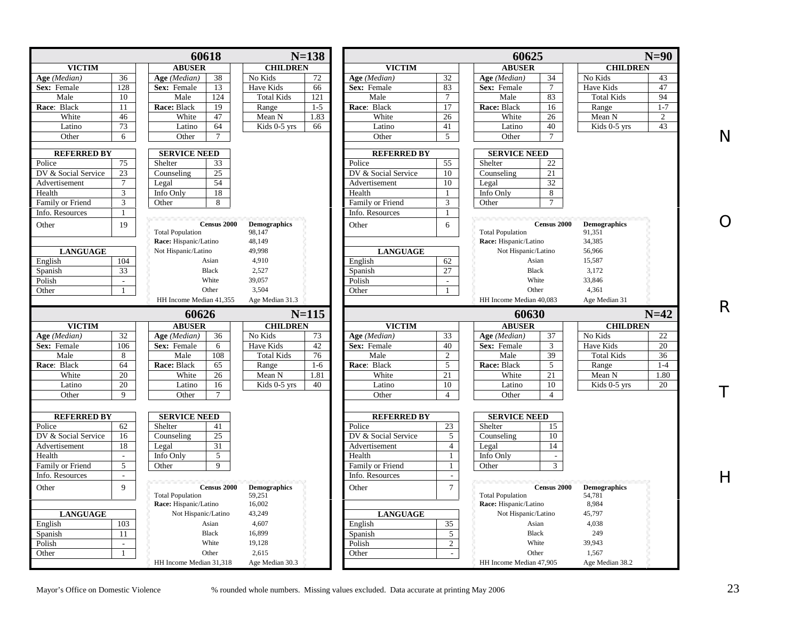|                                               |                       | 60618                                         |                               | $N = 138$ |                                     |                              | 60625                       |                    |                               | $N=90$         |
|-----------------------------------------------|-----------------------|-----------------------------------------------|-------------------------------|-----------|-------------------------------------|------------------------------|-----------------------------|--------------------|-------------------------------|----------------|
| <b>VICTIM</b>                                 |                       | <b>ABUSER</b>                                 | <b>CHILDREN</b>               |           | <b>VICTIM</b>                       |                              | <b>ABUSER</b>               |                    | <b>CHILDREN</b>               |                |
| 36<br>Age (Median)                            |                       | 38<br>Age (Median)                            | No Kids                       | 72        | Age (Median)                        | 32                           | Age (Median)                | 34                 | No Kids                       | 43             |
| 128<br>Sex: Female                            |                       | 13<br>Sex: Female                             | Have Kids                     | 66        | Sex: Female                         | 83                           | Sex: Female                 | $\tau$             | Have Kids                     | 47             |
| 10<br>Male                                    |                       | 124<br>Male                                   | <b>Total Kids</b>             | 121       | Male                                | $\overline{7}$               | Male                        | 83                 | <b>Total Kids</b>             | 94             |
| Race: Black<br>11                             |                       | Race: Black<br>19                             | Range                         | $1 - 5$   | Race: Black                         | 17                           | Race: Black                 | 16                 | Range                         | $1 - 7$        |
| White<br>46                                   |                       | White<br>47                                   | Mean N                        | 1.83      | White                               | 26                           | White                       | 26                 | Mean N                        | $\overline{c}$ |
| 73<br>Latino                                  |                       | 64<br>Latino                                  | Kids 0-5 yrs                  | 66        | Latino                              | 41                           | Latino                      | 40                 | Kids 0-5 yrs                  | 43             |
| Other<br>6                                    |                       | Other<br>$\tau$                               |                               |           | Other                               | 5                            | Other                       | $\tau$             |                               |                |
| <b>REFERRED BY</b>                            |                       | <b>SERVICE NEED</b>                           |                               |           | <b>REFERRED BY</b>                  |                              |                             |                    |                               |                |
| 75                                            |                       | 33                                            |                               |           |                                     | 55                           | <b>SERVICE NEED</b>         | 22                 |                               |                |
| Police<br>23                                  | Shelter               | 25                                            |                               |           | Police                              | 10                           | Shelter                     | 21                 |                               |                |
| DV & Social Service<br>$\tau$                 | Counseling            | 54                                            |                               |           | DV & Social Service                 | 10                           | Counseling                  | 32                 |                               |                |
| Advertisement                                 | Legal                 |                                               |                               |           | Advertisement                       |                              | Legal                       |                    |                               |                |
| 3<br>Health                                   | Info Only             | 18                                            |                               |           | Health                              | $\mathbf{1}$                 | Info Only                   | 8<br>$\tau$        |                               |                |
| 3<br>Family or Friend                         | Other                 | 8                                             |                               |           | Family or Friend                    | 3                            | Other                       |                    |                               |                |
| Info. Resources<br>$\mathbf{1}$               |                       |                                               |                               |           | Info. Resources                     | 1                            |                             |                    |                               |                |
| 19<br>Other                                   |                       | <b>Census 2000</b><br><b>Total Population</b> | <b>Demographics</b><br>98,147 |           | Other                               | 6                            | <b>Total Population</b>     | Census 2000        | <b>Demographics</b><br>91,351 |                |
|                                               |                       | Race: Hispanic/Latino                         | 48,149                        |           |                                     |                              | Race: Hispanic/Latino       |                    | 34,385                        |                |
| <b>LANGUAGE</b>                               |                       | Not Hispanic/Latino                           | 49,998                        |           | <b>LANGUAGE</b>                     |                              | Not Hispanic/Latino         |                    | 56,966                        |                |
| 104<br>English                                |                       | Asian                                         | 4,910                         |           | English                             | 62                           | Asian                       |                    | 15,587                        |                |
| 33<br>Spanish                                 |                       | <b>Black</b>                                  | 2,527                         |           | Spanish                             | 27                           | <b>Black</b>                |                    | 3,172                         |                |
| Polish<br>$\sim$                              |                       | White                                         | 39,057                        |           | Polish                              | $\blacksquare$               | White                       |                    | 33,846                        |                |
| Other<br>$\mathbf{1}$                         |                       | Other                                         | 3,504                         |           | Other                               | $\mathbf{1}$                 | Other                       |                    | 4,361                         |                |
|                                               |                       | HH Income Median 41.355                       | Age Median 31.3               |           |                                     |                              | HH Income Median 40.083     |                    | Age Median 31                 |                |
|                                               |                       |                                               |                               |           |                                     |                              |                             |                    |                               |                |
|                                               |                       | 60626                                         |                               | $N = 115$ |                                     |                              | 60630                       |                    |                               | $N=42$         |
| <b>VICTIM</b>                                 |                       | <b>ABUSER</b>                                 | <b>CHILDREN</b>               |           | <b>VICTIM</b>                       |                              | <b>ABUSER</b>               |                    | <b>CHILDREN</b>               |                |
| 32<br>Age (Median)                            |                       | Age (Median)<br>36                            | No Kids<br>Have Kids          | 73        | Age (Median)                        | 33<br>40                     | Age (Median)<br>Sex: Female | 37                 | No Kids                       | 22             |
| Sex: Female<br>106                            |                       | Sex: Female<br>6                              |                               | 42        | Sex: Female                         |                              |                             | 3                  | Have Kids                     | 20             |
|                                               |                       |                                               |                               |           |                                     |                              |                             |                    | <b>Total Kids</b>             | 36             |
| Male<br>8                                     |                       | Male<br>108                                   | <b>Total Kids</b>             | 76        | Male                                | $\overline{c}$               | Male                        | 39                 | Range                         |                |
| Race: Black<br>64                             |                       | Race: Black<br>65                             | Range                         | $1-6$     | Race: Black                         | 5                            | Race: Black                 | 5                  |                               | $1 - 4$        |
| White<br>20                                   |                       | White<br>26                                   | Mean N                        | 1.81      | White                               | 21                           | White                       | 21                 | Mean N                        | 1.80           |
| 20<br>Latino                                  |                       | 16<br>Latino                                  | Kids 0-5 yrs                  | 40        | Latino                              | 10                           | Latino                      | 10                 | Kids 0-5 yrs                  | 20             |
| Other<br>9                                    |                       | Other<br>7                                    |                               |           | Other                               | $\overline{4}$               | Other                       | $\overline{4}$     |                               |                |
| <b>REFERRED BY</b>                            |                       | <b>SERVICE NEED</b>                           |                               |           | <b>REFERRED BY</b>                  |                              | <b>SERVICE NEED</b>         |                    |                               |                |
|                                               |                       |                                               |                               |           |                                     |                              |                             |                    |                               |                |
| 62<br>Police<br>DV & Social Service<br>16     | Shelter<br>Counseling | 41<br>25                                      |                               |           | Police<br>DV & Social Service       | 23<br>5                      | Shelter<br>Counseling       | 15<br>10           |                               |                |
| 18                                            |                       |                                               |                               |           |                                     | $\overline{4}$               |                             | 14                 |                               |                |
| Advertisement<br>$\sim$                       | Legal                 | 31                                            |                               |           | Advertisement                       |                              | Legal                       | $\overline{a}$     |                               |                |
| Health<br>5                                   | Info Only             | 5<br>$\mathbf Q$                              |                               |           | Health                              | $\mathbf{1}$<br>$\mathbf{1}$ | Info Only                   | 3                  |                               |                |
| Family or Friend<br>Info. Resources<br>$\sim$ | Other                 |                                               |                               |           | Family or Friend<br>Info. Resources | $\overline{\phantom{a}}$     | Other                       |                    |                               |                |
|                                               |                       |                                               |                               |           |                                     |                              |                             |                    |                               |                |
| $\mathbf{Q}$<br>Other                         |                       | Census 2000<br><b>Total Population</b>        | <b>Demographics</b><br>59,251 |           | Other                               | $\overline{7}$               | <b>Total Population</b>     | <b>Census 2000</b> | <b>Demographics</b><br>54,781 |                |
|                                               |                       | Race: Hispanic/Latino                         | 16,002                        |           |                                     |                              | Race: Hispanic/Latino       |                    | 8,984                         |                |
| <b>LANGUAGE</b>                               |                       | Not Hispanic/Latino                           | 43,249                        |           | <b>LANGUAGE</b>                     |                              | Not Hispanic/Latino         |                    | 45,797                        |                |
| 103<br>English                                |                       | Asian                                         | 4,607                         |           | English                             | 35                           | Asian                       |                    | 4,038                         |                |
| 11                                            |                       | <b>Black</b>                                  | 16,899                        |           |                                     |                              | <b>Black</b>                |                    | 249                           |                |
| Spanish<br>Polish<br>$\mathcal{L}$            |                       | White                                         | 19,128                        |           | Spanish<br>Polish                   | 5                            | White                       |                    | 39,943                        |                |
| Other<br>$\mathbf{1}$                         |                       | Other                                         | 2,615                         |           | Other                               | $\overline{2}$<br>$\sim$     | Other                       |                    | 1,567                         |                |

R

O

T

 $\boldsymbol{\mathsf{H}}$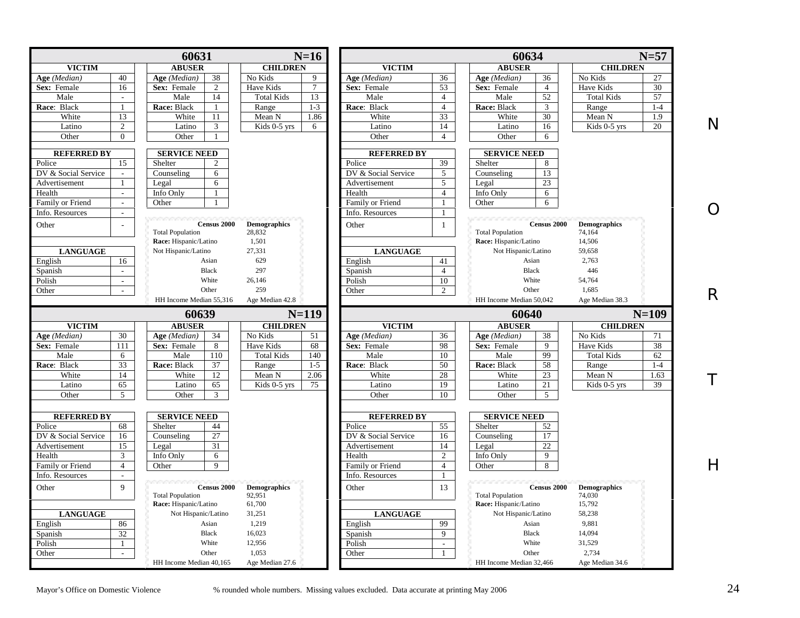|                                                                                           | 60631                                  | $N=16$                                  |                     |                 | 60634                                  |                               | $N=57$          |
|-------------------------------------------------------------------------------------------|----------------------------------------|-----------------------------------------|---------------------|-----------------|----------------------------------------|-------------------------------|-----------------|
| <b>VICTIM</b>                                                                             | <b>ABUSER</b>                          | <b>CHILDREN</b>                         | <b>VICTIM</b>       |                 | <b>ABUSER</b>                          | <b>CHILDREN</b>               |                 |
| 40<br>Age (Median)                                                                        | 38<br>Age (Median)                     | No Kids<br>9                            | Age (Median)        | 36              | Age (Median)<br>36                     | No Kids                       | 27              |
| Sex: Female<br>16                                                                         | Sex: Female<br>$\overline{c}$          | Have Kids<br>$\tau$                     | Sex: Female         | 53              | Sex: Female<br>$\overline{4}$          | Have Kids                     | 30              |
| Male<br>$\sim$                                                                            | Male<br>14                             | <b>Total Kids</b><br>13                 | Male                | $\overline{4}$  | Male<br>52                             | <b>Total Kids</b>             | $\overline{57}$ |
| Race: Black<br>$\overline{1}$                                                             | Race: Black                            | $1 - 3$<br>Range                        | Race: Black         | $\overline{4}$  | Race: Black<br>3                       | Range                         | $1 - 4$         |
| White<br>13                                                                               | White<br>11                            | Mean N<br>1.86                          | White               | 33              | White<br>30                            | Mean N                        | 1.9             |
| Latino<br>$\overline{2}$                                                                  | Latino<br>3                            | $\overline{\text{Kids } 0}$ -5 yrs<br>6 | Latino              | 14              | Latino<br>16                           | Kids 0-5 yrs                  | Ν<br>20         |
| Other<br>$\Omega$                                                                         | Other                                  |                                         | Other               | $\overline{4}$  | Other<br>6                             |                               |                 |
| <b>REFERRED BY</b>                                                                        | <b>SERVICE NEED</b>                    |                                         | <b>REFERRED BY</b>  |                 | <b>SERVICE NEED</b>                    |                               |                 |
| 15<br>Police                                                                              | Shelter<br>$\overline{c}$              |                                         | Police              | $\overline{39}$ | Shelter<br>8                           |                               |                 |
| DV & Social Service<br>$\mathcal{L}$                                                      | Counseling<br>6                        |                                         | DV & Social Service | 5               | 13<br>Counseling                       |                               |                 |
| Advertisement<br>$\overline{1}$                                                           | 6<br>Legal                             |                                         | Advertisement       | 5               | Legal<br>23                            |                               |                 |
| Health<br>$\mathbf{r}$                                                                    | Info Only                              |                                         | Health              | $\overline{4}$  | Info Only<br>6                         |                               |                 |
| Family or Friend<br>$\sim$                                                                | Other                                  |                                         | Family or Friend    |                 | Other<br>6                             |                               |                 |
| Info. Resources<br>$\sim$                                                                 |                                        |                                         | Info. Resources     |                 |                                        |                               |                 |
|                                                                                           |                                        |                                         |                     |                 |                                        |                               |                 |
| Other                                                                                     | Census 2000<br><b>Total Population</b> | <b>Demographics</b><br>28,832           | Other               | $\mathbf{1}$    | Census 2000<br><b>Total Population</b> | <b>Demographics</b><br>74,164 |                 |
|                                                                                           | Race: Hispanic/Latino                  | 1,501                                   |                     |                 | Race: Hispanic/Latino                  | 14,506                        |                 |
|                                                                                           | Not Hispanic/Latino                    | 27,331                                  |                     |                 | Not Hispanic/Latino                    | 59,658                        |                 |
| <b>LANGUAGE</b>                                                                           | Asian                                  | 629                                     | <b>LANGUAGE</b>     |                 |                                        | 2,763                         |                 |
| English<br>16                                                                             |                                        |                                         | English             | 41              | Asian                                  |                               |                 |
| Spanish<br>$\mathcal{L}^{\mathcal{L}}$                                                    | Black                                  | 297                                     | Spanish             | $\overline{4}$  | <b>Black</b>                           | 446                           |                 |
| Polish<br>$\sim$                                                                          | White                                  | 26,146                                  | Polish              | 10              | White                                  | 54,764                        |                 |
| Other<br>$\mathcal{L}^{\mathcal{A}}$                                                      | Other                                  | 259                                     | Other               | $\overline{2}$  | Other                                  | 1,685                         | R               |
|                                                                                           | HH Income Median 55,316                | Age Median 42.8                         |                     |                 | HH Income Median 50,042                | Age Median 38.3               |                 |
|                                                                                           | 60639                                  | $N=119$                                 |                     |                 | 60640                                  | $N=109$                       |                 |
| <b>VICTIM</b>                                                                             | <b>ABUSER</b>                          | <b>CHILDREN</b>                         | <b>VICTIM</b>       |                 | <b>ABUSER</b>                          | <b>CHILDREN</b>               |                 |
| Age (Median)<br>30                                                                        | Age (Median)<br>34                     | No Kids<br>51                           | Age (Median)        | 36              | Age (Median)<br>38                     | No Kids                       | 71              |
| Sex: Female<br>111                                                                        | Sex: Female<br>8                       | Have Kids<br>68                         | Sex: Female         | 98              | Sex: Female<br>9                       | Have Kids                     | 38              |
| Male<br>6                                                                                 | 110<br>Male                            | <b>Total Kids</b><br>140                | Male                | 10              | 99<br>Male                             | <b>Total Kids</b>             | 62              |
| 33<br>Race: Black                                                                         | 37<br>Race: Black                      | $1 - 5$<br>Range                        | Race: Black         | 50              | Race: Black<br>58                      | Range                         | $1-4$           |
| White<br>14                                                                               | White<br>12                            | 2.06<br>Mean N                          | White               | 28              | 23<br>White                            | Mean N                        | 1.63            |
| Latino<br>65                                                                              | Latino<br>65                           | Kids 0-5 yrs<br>75                      | Latino              | 19              | Latino<br>21                           | Kids 0-5 yrs                  | 39              |
| Other<br>$\mathfrak{F}$                                                                   | Other<br>3                             |                                         | Other               | 10              | Other<br>$\mathcal{F}$                 |                               |                 |
|                                                                                           |                                        |                                         |                     |                 |                                        |                               |                 |
|                                                                                           |                                        |                                         |                     |                 |                                        |                               |                 |
| <b>REFERRED BY</b>                                                                        | <b>SERVICE NEED</b>                    |                                         | <b>REFERRED BY</b>  |                 | <b>SERVICE NEED</b>                    |                               |                 |
| 68                                                                                        | Shelter<br>44                          |                                         | Police              | $\overline{55}$ | Shelter<br>52                          |                               |                 |
| 16                                                                                        | $\overline{27}$<br>Counseling          |                                         | DV & Social Service | 16              | Counseling<br>17                       |                               |                 |
| 15                                                                                        | 31<br>Legal                            |                                         | Advertisement       | 14              | Legal<br>22                            |                               |                 |
| 3                                                                                         | Info Only<br>6                         |                                         | Health              | $\overline{2}$  | $\mathbf{Q}$<br>Info Only              |                               |                 |
| $\overline{4}$                                                                            | 9<br>Other                             |                                         | Family or Friend    | $\overline{4}$  | Other<br>8                             |                               |                 |
| Police<br>Advertisement<br>Health<br>Family or Friend<br>Info. Resources<br>$\mathcal{L}$ |                                        |                                         | Info. Resources     | $\mathbf{1}$    |                                        |                               |                 |
| DV & Social Service<br>9                                                                  | <b>Census 2000</b>                     | <b>Demographics</b>                     | Other               | 13              | Census 2000                            | <b>Demographics</b>           |                 |
|                                                                                           | <b>Total Population</b>                | 92,951                                  |                     |                 | <b>Total Population</b>                | 74,030                        | Н               |
| Other                                                                                     | Race: Hispanic/Latino                  | 61,700                                  |                     |                 | Race: Hispanic/Latino                  | 15,792                        |                 |
| <b>LANGUAGE</b>                                                                           | Not Hispanic/Latino                    | 31,251                                  | <b>LANGUAGE</b>     |                 | Not Hispanic/Latino                    | 58,238                        |                 |
| 86                                                                                        | Asian                                  | 1,219                                   | English             | 99              | Asian                                  | 9,881                         |                 |
| 32                                                                                        | <b>Black</b>                           | 16,023                                  | Spanish             | $\overline{9}$  | <b>Black</b>                           | 14,094                        |                 |
| $\mathbf{1}$                                                                              | White                                  | 12,956                                  | Polish              | $\sim$          | White                                  | 31,529                        |                 |
| English<br>Spanish<br>Polish<br>Other                                                     | Other                                  | 1.053                                   | Other               | $\mathbf{1}$    | Other                                  | 2.734                         |                 |

T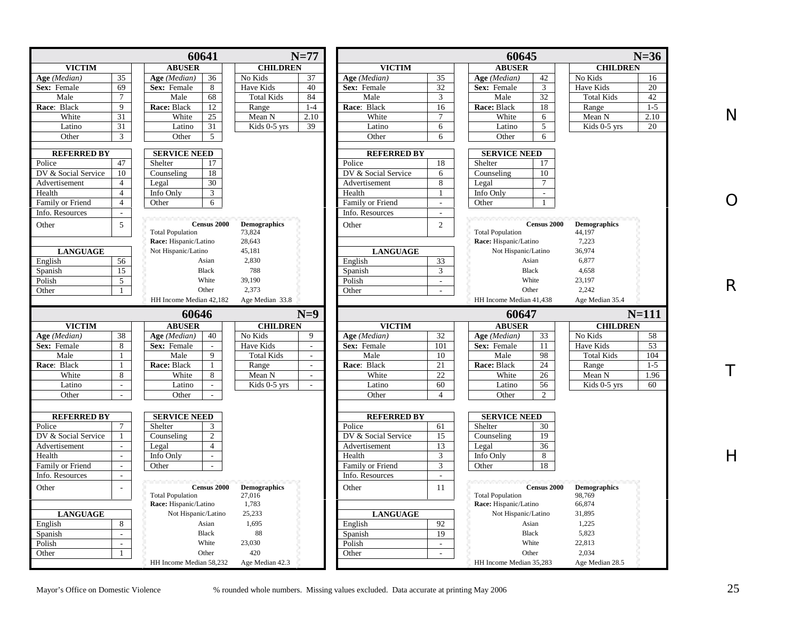|                          |                                | 60641                                         |                               | $N=77$                   |                                      |                                 | 60645                                  |                               | $N=36$  |
|--------------------------|--------------------------------|-----------------------------------------------|-------------------------------|--------------------------|--------------------------------------|---------------------------------|----------------------------------------|-------------------------------|---------|
| <b>VICTIM</b>            |                                | <b>ABUSER</b>                                 | <b>CHILDREN</b>               |                          | <b>VICTIM</b>                        |                                 | <b>ABUSER</b>                          | <b>CHILDREN</b>               |         |
| Age (Median)             | 35                             | 36<br>Age (Median)                            | No Kids                       | 37                       | Age (Median)                         | 35                              | 42<br>Age (Median)                     | No Kids                       |         |
| Sex: Female              | 69                             | Sex: Female<br>8                              | Have Kids                     | 40                       | Sex: Female                          | $\overline{32}$                 | Sex: Female<br>3                       | Have Kids                     |         |
| Male                     | $\tau$                         | 68<br>Male                                    | <b>Total Kids</b>             | 84                       | Male                                 | 3                               | 32<br>Male                             | <b>Total Kids</b>             |         |
| Race: Black              | 9                              | 12<br>Race: Black                             | Range                         | $1-4$                    | Race: Black                          | 16                              | Race: Black<br>18                      | Range                         |         |
| White                    | 31                             | White<br>25                                   | Mean N                        | 2.10                     | White                                | 7                               | White<br>6                             | Mean N                        | 2.10    |
| Latino                   | 31                             | 31<br>Latino                                  | Kids 0-5 yrs                  | 39                       | Latino                               | 6                               | 5<br>Latino                            | Kids $0-5$ yrs                |         |
| Other                    | 3                              | 5 <sup>5</sup><br>Other                       |                               |                          | Other                                | 6                               | Other<br>6                             |                               |         |
|                          |                                |                                               |                               |                          |                                      |                                 |                                        |                               |         |
| <b>REFERRED BY</b>       |                                | <b>SERVICE NEED</b>                           |                               |                          | <b>REFERRED BY</b>                   |                                 | <b>SERVICE NEED</b>                    |                               |         |
| Police                   | 47                             | Shelter<br>17                                 |                               |                          | Police                               | 18                              | Shelter<br>17                          |                               |         |
| DV & Social Service      | 10                             | 18<br>Counseling                              |                               |                          | DV & Social Service                  | 6                               | 10<br>Counseling                       |                               |         |
| Advertisement            | $\overline{4}$                 | 30<br>Legal                                   |                               |                          | Advertisement                        | 8                               | $\tau$<br>Legal                        |                               |         |
| Health                   | $\overline{4}$                 | 3<br>Info Only                                |                               |                          | Health                               | 1                               | Info Only<br>$\Box$                    |                               |         |
| Family or Friend         | $\overline{4}$                 | 6<br>Other                                    |                               |                          | Family or Friend                     | $\overline{\phantom{a}}$        | Other                                  |                               |         |
| Info. Resources          |                                |                                               |                               |                          | Info. Resources                      | $\overline{a}$                  |                                        |                               |         |
| Other                    | $\overline{5}$                 | Census 2000                                   | <b>Demographics</b>           |                          | Other                                | 2                               | Census 2000                            | <b>Demographics</b>           |         |
|                          |                                | <b>Total Population</b>                       | 73,824                        |                          |                                      |                                 | <b>Total Population</b>                | 44,197                        |         |
|                          |                                | Race: Hispanic/Latino                         | 28,643                        |                          |                                      |                                 | Race: Hispanic/Latino                  | 7,223                         |         |
| <b>LANGUAGE</b>          |                                | Not Hispanic/Latino                           | 45,181                        |                          | <b>LANGUAGE</b>                      |                                 | Not Hispanic/Latino                    | 36,974                        |         |
| English                  | 56                             | Asian                                         | 2,830                         |                          | English                              | 33                              | Asian                                  | 6,877                         |         |
| Spanish                  | 15                             | <b>Black</b>                                  | 788                           |                          | Spanish                              | 3                               | <b>Black</b>                           | 4,658                         |         |
| Polish                   | 5                              | White                                         | 39,190                        |                          | Polish                               | $\mathbb{Z}^2$                  | White                                  | 23,197                        |         |
| Other                    | -1                             | Other                                         | 2,373                         |                          | Other                                | $\overline{\phantom{a}}$        | Other                                  | 2,242                         |         |
|                          |                                | HH Income Median 42,182                       | Age Median 33.8               |                          |                                      |                                 | HH Income Median 41,438                | Age Median 35.4               |         |
|                          |                                | 60646                                         |                               | $N=9$                    |                                      |                                 | 60647                                  |                               | $N=111$ |
| <b>VICTIM</b>            |                                | <b>ABUSER</b>                                 | <b>CHILDREN</b>               |                          | <b>VICTIM</b>                        |                                 | <b>ABUSER</b>                          | <b>CHILDREN</b>               |         |
| Age (Median)             | 38                             | 40<br>Age (Median)                            | No Kids                       | 9                        | Age (Median)                         | 32                              | 33<br>Age (Median)                     | No Kids                       |         |
| Sex: Female              | 8                              | Sex: Female<br>$\mathcal{L}$                  | Have Kids                     | $\overline{\phantom{a}}$ | Sex: Female                          | 101                             | Sex: Female<br>11                      | Have Kids                     |         |
| Male                     | $\mathbf{1}$                   | Male<br>9                                     | <b>Total Kids</b>             |                          | Male                                 | 10                              | Male<br>98                             | <b>Total Kids</b>             |         |
| Race: Black              | $\mathbf{1}$                   | Race: Black<br>$\mathbf{1}$                   | Range                         |                          | Race: Black                          | 21                              | Race: Black<br>24                      | Range                         |         |
| White                    |                                |                                               |                               |                          |                                      |                                 |                                        |                               |         |
|                          |                                |                                               |                               | $\mathcal{L}$            |                                      |                                 |                                        |                               | 1.96    |
|                          | 8                              | White<br>8                                    | Mean N                        | $\sim$                   | White                                | 22                              | White<br>26                            | Mean N                        |         |
| Latino<br>Other          | $\mathcal{L}$<br>$\sim$        | Latino<br>$\omega$<br>Other<br>$\omega$       | Kids 0-5 yrs                  |                          | Latino<br>Other                      | 60<br>$\overline{4}$            | Latino<br>56<br>Other<br>2             | Kids 0-5 yrs                  |         |
|                          |                                |                                               |                               |                          |                                      |                                 |                                        |                               |         |
| <b>REFERRED BY</b>       |                                | <b>SERVICE NEED</b>                           |                               |                          | <b>REFERRED BY</b>                   |                                 | <b>SERVICE NEED</b>                    |                               |         |
|                          | $7\phantom{.0}$                | Shelter<br>3                                  |                               |                          | Police                               | 61                              | Shelter<br>30                          |                               |         |
| Police                   | $\mathbf{1}$                   | 2                                             |                               |                          |                                      |                                 | 19                                     |                               |         |
| DV & Social Service      |                                | Counseling<br>$\overline{4}$                  |                               |                          | DV & Social Service<br>Advertisement | 15<br>13                        | Counseling<br>36<br>Legal              |                               |         |
| Health                   | $\overline{a}$                 | Legal<br>$\mathcal{L}$                        |                               |                          | Health                               | 3                               | 8                                      |                               |         |
|                          | $\overline{a}$                 | Info Only<br>÷                                |                               |                          |                                      |                                 | Info Only                              |                               |         |
| Family or Friend         | i.                             | Other                                         |                               |                          | Family or Friend<br>Info. Resources  | 3<br>$\blacksquare$             | 18<br>Other                            |                               |         |
| Info. Resources          |                                |                                               |                               |                          |                                      |                                 |                                        |                               |         |
|                          |                                | <b>Census 2000</b><br><b>Total Population</b> | <b>Demographics</b><br>27,016 |                          | Other                                | 11                              | Census 2000<br><b>Total Population</b> | <b>Demographics</b><br>98,769 |         |
| Other                    |                                | Race: Hispanic/Latino                         | 1,783                         |                          |                                      |                                 | Race: Hispanic/Latino                  | 66,874                        |         |
|                          |                                | Not Hispanic/Latino                           | 25,233                        |                          |                                      |                                 | Not Hispanic/Latino                    | 31,895                        |         |
| <b>LANGUAGE</b>          | 8                              | Asian                                         | 1,695                         |                          | <b>LANGUAGE</b>                      |                                 | Asian                                  | 1,225                         |         |
| Advertisement<br>English |                                |                                               |                               |                          | English                              | 92                              |                                        |                               |         |
| Spanish                  | $\mathcal{L}$                  | <b>Black</b>                                  | 88                            |                          | Spanish                              | 19                              | <b>Black</b>                           | 5,823                         |         |
| Polish<br>Other          | $\mathbb{Z}^2$<br>$\mathbf{1}$ | White<br>Other                                | 23,030<br>420                 |                          | Polish<br>Other                      | $\mathcal{L}$<br>$\overline{a}$ | White<br>Other                         | 22,813<br>2,034               |         |

O

R

T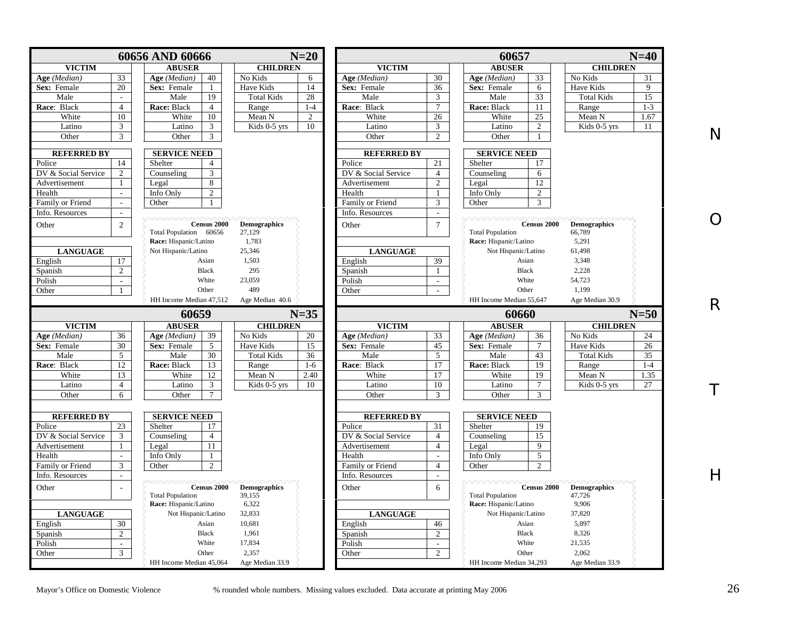|                                                 |                             | 60656 AND 60666                               |                               | $N=20$   |                     |                | 60657                            |                |                                | $N=40$  |
|-------------------------------------------------|-----------------------------|-----------------------------------------------|-------------------------------|----------|---------------------|----------------|----------------------------------|----------------|--------------------------------|---------|
| <b>VICTIM</b>                                   |                             | <b>ABUSER</b>                                 | <b>CHILDREN</b>               |          | <b>VICTIM</b>       |                | <b>ABUSER</b>                    |                | <b>CHILDREN</b>                |         |
| Age (Median)                                    | 33                          | 40<br>Age (Median)                            | No Kids                       | 6        | Age (Median)        | 30             | Age (Median)                     | 33             | No Kids                        | 31      |
| Sex: Female                                     | 20                          | Sex: Female<br>$\mathbf{1}$                   | Have Kids                     | 14       | Sex: Female         | 36             | Sex: Female                      | 6              | Have Kids                      | 9       |
| Male                                            | $\mathbb{Z}^2$              | 19<br>Male                                    | <b>Total Kids</b>             | 28       | Male                | 3              | Male                             | 33             | <b>Total Kids</b>              | 15      |
| Race: Black                                     | $\overline{4}$              | Race: Black<br>$\overline{4}$                 | Range                         | $1-4$    | Race: Black         | $\tau$         | Race: Black                      | 11             | Range                          | $1 - 3$ |
| White                                           | 10                          | White<br>10                                   | Mean N                        | 2        | White               | 26             | White                            | 25             | Mean N                         | 1.67    |
| Latino                                          | $\overline{3}$              | 3<br>Latino                                   | Kids 0-5 yrs                  | 10       | Latino              | 3              | Latino                           | $\overline{2}$ | Kids 0-5 yrs                   | 11      |
| Other                                           | $\mathfrak{Z}$              | Other<br>3                                    |                               |          | Other               | 2              | Other                            | $\mathbf{1}$   |                                |         |
|                                                 |                             |                                               |                               |          |                     |                |                                  |                |                                |         |
| <b>REFERRED BY</b>                              |                             | <b>SERVICE NEED</b>                           |                               |          | <b>REFERRED BY</b>  |                | <b>SERVICE NEED</b>              |                |                                |         |
| Police                                          | 14                          | Shelter<br>$\overline{4}$                     |                               |          | Police              | 21             | Shelter                          | 17             |                                |         |
| DV & Social Service                             | 2                           | 3<br>Counseling                               |                               |          | DV & Social Service | $\overline{4}$ | Counseling                       | 6              |                                |         |
| Advertisement                                   | $\mathbf{1}$                | 8<br>Legal                                    |                               |          | Advertisement       | 2              | Legal                            | 12             |                                |         |
| Health                                          | $\mathbb{Z}^2$              | $\overline{2}$<br>Info Only                   |                               |          | Health              | $\overline{1}$ | Info Only                        | $\mathbf{2}$   |                                |         |
| Family or Friend                                | $\omega$                    | Other                                         |                               |          | Family or Friend    | 3              | Other                            | 3              |                                |         |
| Info. Resources                                 | $\mathcal{L}^{\mathcal{L}}$ |                                               |                               |          | Info. Resources     | $\sim$         |                                  |                |                                |         |
| Other                                           | $\overline{2}$              | Census 2000                                   | <b>Demographics</b>           |          | Other               | $\overline{7}$ |                                  | Census 2000    | <b>Demographics</b>            |         |
|                                                 |                             | Total Population 60656                        | 27,129                        |          |                     |                | <b>Total Population</b>          |                | 66,789                         |         |
|                                                 |                             | Race: Hispanic/Latino                         | 1,783                         |          |                     |                | Race: Hispanic/Latino            |                | 5,291                          |         |
| <b>LANGUAGE</b>                                 |                             | Not Hispanic/Latino                           | 25,346                        |          | <b>LANGUAGE</b>     |                | Not Hispanic/Latino              |                | 61,498                         |         |
| English                                         | 17                          | Asian                                         | 1,503                         |          | English             | 39             | Asian                            |                | 3,348                          |         |
| Spanish                                         | $\overline{2}$              | <b>Black</b>                                  | 295                           |          | Spanish             | $\mathbf{1}$   | <b>Black</b>                     |                | 2,228                          |         |
| Polish                                          | $\mathcal{L}^{\mathcal{L}}$ | White                                         | 23,059                        |          | Polish              | $\mathbb{Z}^2$ | White                            |                | 54,723                         |         |
| Other                                           | $\mathbf{1}$                | Other                                         | 489                           |          | Other               | $\mathcal{L}$  | Other                            |                | 1.199                          |         |
|                                                 |                             | HH Income Median 47,512                       | Age Median 40.6               |          |                     |                | HH Income Median 55,647          |                | Age Median 30.9                |         |
|                                                 |                             |                                               |                               |          |                     |                |                                  |                |                                |         |
|                                                 |                             |                                               |                               |          |                     |                |                                  |                |                                |         |
|                                                 |                             | 60659                                         |                               | $N=35$   |                     |                | 60660                            |                |                                | $N=50$  |
| <b>VICTIM</b>                                   |                             | <b>ABUSER</b><br>39                           | <b>CHILDREN</b><br>No Kids    | 20       | <b>VICTIM</b>       |                | <b>ABUSER</b>                    | 36             | <b>CHILDREN</b><br>No Kids     | 24      |
| Age (Median)                                    | 36                          | Age (Median)                                  |                               |          | Age (Median)        | 33             | Age (Median)                     | $\tau$         |                                | 26      |
| Sex: Female<br>Male                             | 30<br>5                     | 5<br>Sex: Female<br>30<br>Male                | Have Kids                     | 15<br>36 | Sex: Female<br>Male | 45<br>5        | Sex: Female<br>Male              | 43             | Have Kids<br><b>Total Kids</b> | 35      |
|                                                 |                             |                                               | <b>Total Kids</b>             |          |                     |                |                                  |                |                                |         |
| Race: Black                                     | 12                          | 13<br>Race: Black                             | Range                         | $1-6$    | Race: Black         | 17             | Race: Black                      | 19             | Range                          | $1-4$   |
| White                                           | 13                          | White<br>12                                   | Mean N                        | 2.40     | White               | 17             | White                            | 19             | Mean N                         | 1.35    |
| Latino                                          | $\overline{4}$              | Latino<br>3                                   | Kids 0-5 yrs                  | 10       | Latino              | 10             | Latino                           | $\tau$         | Kids 0-5 yrs                   | 27      |
| Other                                           | 6                           | Other<br>$\tau$                               |                               |          | Other               | 3              | Other                            | 3              |                                |         |
|                                                 |                             |                                               |                               |          |                     |                |                                  |                |                                |         |
| <b>REFERRED BY</b>                              |                             | <b>SERVICE NEED</b>                           |                               |          | <b>REFERRED BY</b>  |                | <b>SERVICE NEED</b>              |                |                                |         |
|                                                 | 23                          | Shelter<br>17                                 |                               |          | Police              | 31             | Shelter                          | 19             |                                |         |
|                                                 | 3                           | Counseling<br>$\overline{4}$                  |                               |          | DV & Social Service | $\overline{4}$ | Counseling                       | 15             |                                |         |
|                                                 | $\mathbf{1}$                | 11<br>Legal                                   |                               |          | Advertisement       | $\overline{4}$ | Legal                            | 9              |                                |         |
| DV & Social Service<br>Advertisement<br>Health  | $\mathcal{L}$               | Info Only<br>$\mathbf{1}$                     |                               |          | Health              |                | Info Only                        | 5              |                                |         |
| Family or Friend                                | 3                           | $\overline{2}$<br>Other                       |                               |          | Family or Friend    | $\overline{4}$ | Other                            | $\overline{2}$ |                                |         |
| Info. Resources                                 | $\sim$                      |                                               |                               |          | Info. Resources     | $\sim$         |                                  |                |                                |         |
|                                                 |                             | <b>Census 2000</b><br><b>Total Population</b> | <b>Demographics</b><br>39,155 |          | Other               | 6              | <b>Total Population</b>          | Census 2000    | <b>Demographics</b><br>47,726  |         |
|                                                 |                             | Race: Hispanic/Latino                         | 6,322                         |          |                     |                | Race: Hispanic/Latino            |                | 9,906                          |         |
| <b>LANGUAGE</b>                                 |                             | Not Hispanic/Latino                           | 32,833                        |          | <b>LANGUAGE</b>     |                | Not Hispanic/Latino              |                | 37,820                         |         |
|                                                 | 30                          | Asian                                         | 10,681                        |          | English             | 46             | Asian                            |                | 5,897                          |         |
|                                                 | 2                           | <b>Black</b>                                  | 1,961                         |          | Spanish             | 2              | <b>Black</b>                     |                | 8,326                          |         |
| Police<br>Other<br>English<br>Spanish<br>Polish | $\mathcal{L}$               | White                                         | 17,834                        |          | Polish              | $\mathcal{L}$  |                                  | White          | 21,535                         |         |
| Other                                           | $\mathfrak{Z}$              | Other<br>HH Income Median 45,064              | 2,357<br>Age Median 33.9      |          | Other               | 2              | Other<br>HH Income Median 34,293 |                | 2,062<br>Age Median 33.9       |         |

O

R

T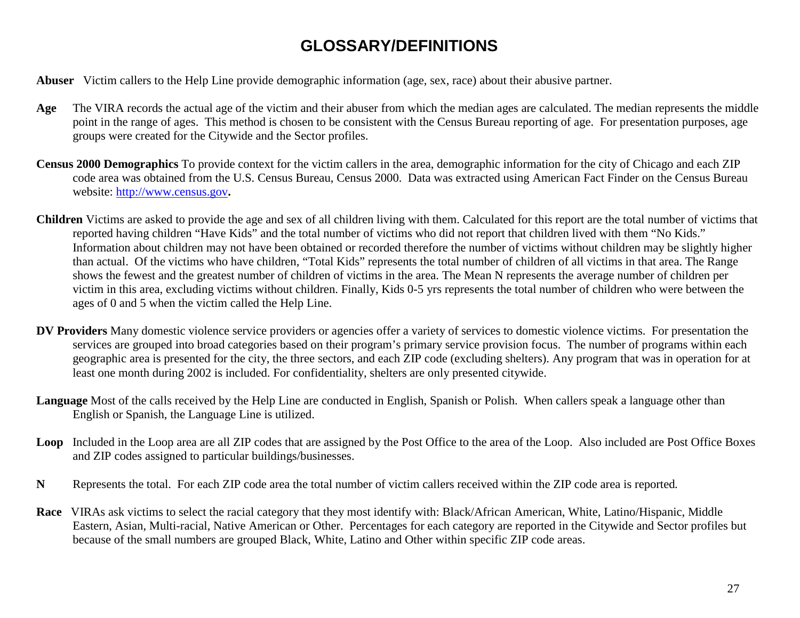# **GLOSSARY/DEFINITIONS**

<span id="page-26-0"></span>**Abuser** Victim callers to the Help Line provide demographic information (age, sex, race) about their abusive partner.

- **Age** The VIRA records the actual age of the victim and their abuser from which the median ages are calculated. The median represents the middle point in the range of ages. This method is chosen to be consistent with the Census Bureau reporting of age. For presentation purposes, age groups were created for the Citywide and the Sector profiles.
- **Census 2000 Demographics** To provide context for the victim callers in the area, demographic information for the city of Chicago and each ZIP code area was obtained from the U.S. Census Bureau, Census 2000. Data was extracted using American Fact Finder on the Census Bureau website:<http://www.census.gov>**.**
- **Children** Victims are asked to provide the age and sex of all children living with them. Calculated for this report are the total number of victims that reported having children "Have Kids" and the total number of victims who did not report that children lived with them "No Kids." Information about children may not have been obtained or recorded therefore the number of victims without children may be slightly higher than actual. Of the victims who have children, "Total Kids" represents the total number of children of all victims in that area. The Range shows the fewest and the greatest number of children of victims in the area. The Mean N represents the average number of children per victim in this area, excluding victims without children. Finally, Kids 0-5 yrs represents the total number of children who were between the ages of 0 and 5 when the victim called the Help Line.
- **DV Providers** Many domestic violence service providers or agencies offer a variety of services to domestic violence victims. For presentation the services are grouped into broad categories based on their program's primary service provision focus. The number of programs within each geographic area is presented for the city, the three sectors, and each ZIP code (excluding shelters). Any program that was in operation for at least one month during 2002 is included. For confidentiality, shelters are only presented citywide.
- **Language** Most of the calls received by the Help Line are conducted in English, Spanish or Polish. When callers speak a language other than English or Spanish, the Language Line is utilized.
- Loop Included in the Loop area are all ZIP codes that are assigned by the Post Office to the area of the Loop. Also included are Post Office Boxes and ZIP codes assigned to particular buildings/businesses.
- **N** Represents the total. For each ZIP code area the total number of victim callers received within the ZIP code area is reported.
- **Race** VIRAs ask victims to select the racial category that they most identify with: Black/African American, White, Latino/Hispanic, Middle Eastern, Asian, Multi-racial, Native American or Other. Percentages for each category are reported in the Citywide and Sector profiles but because of the small numbers are grouped Black, White, Latino and Other within specific ZIP code areas.